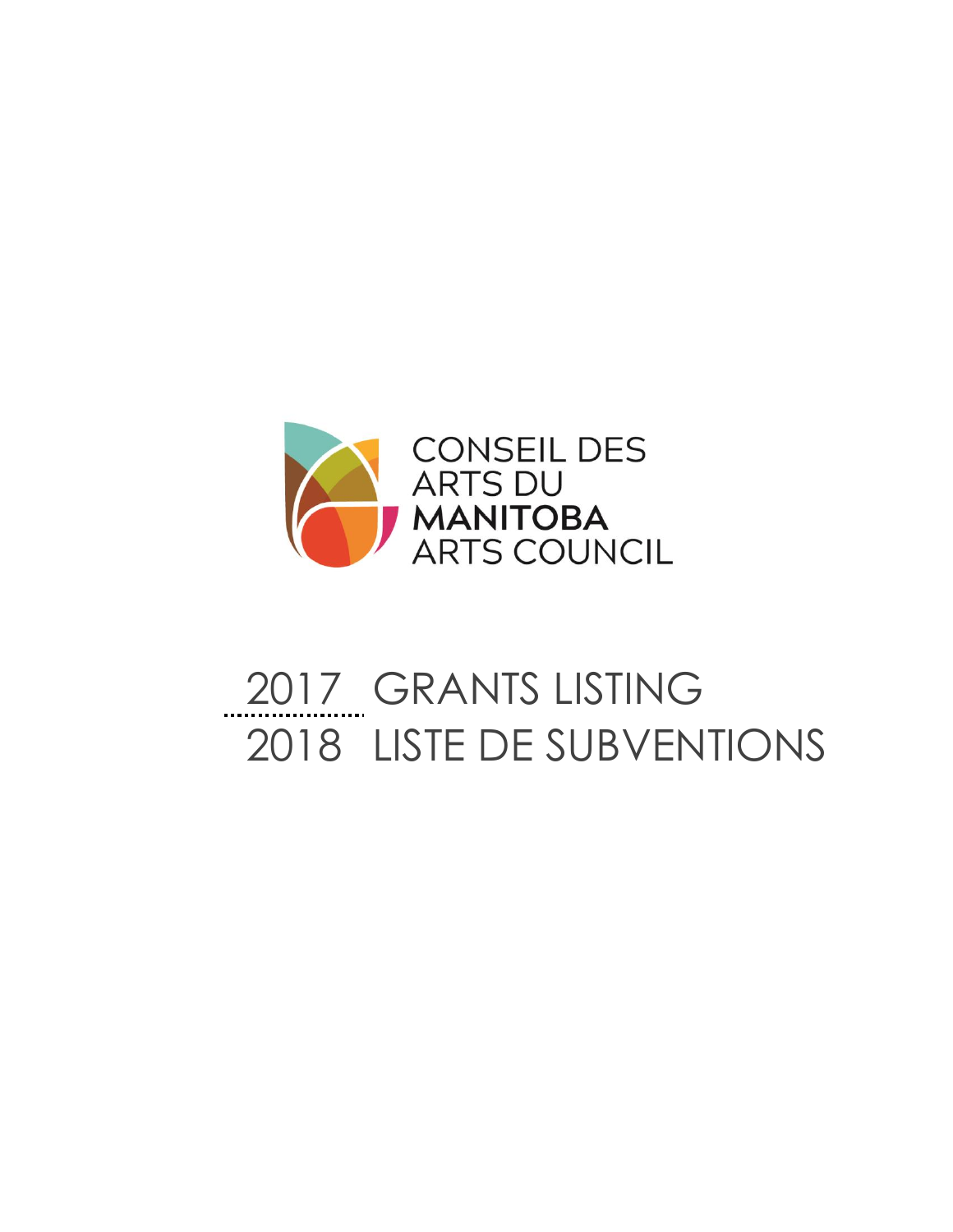

# GRANTS LISTING LISTE DE SUBVENTIONS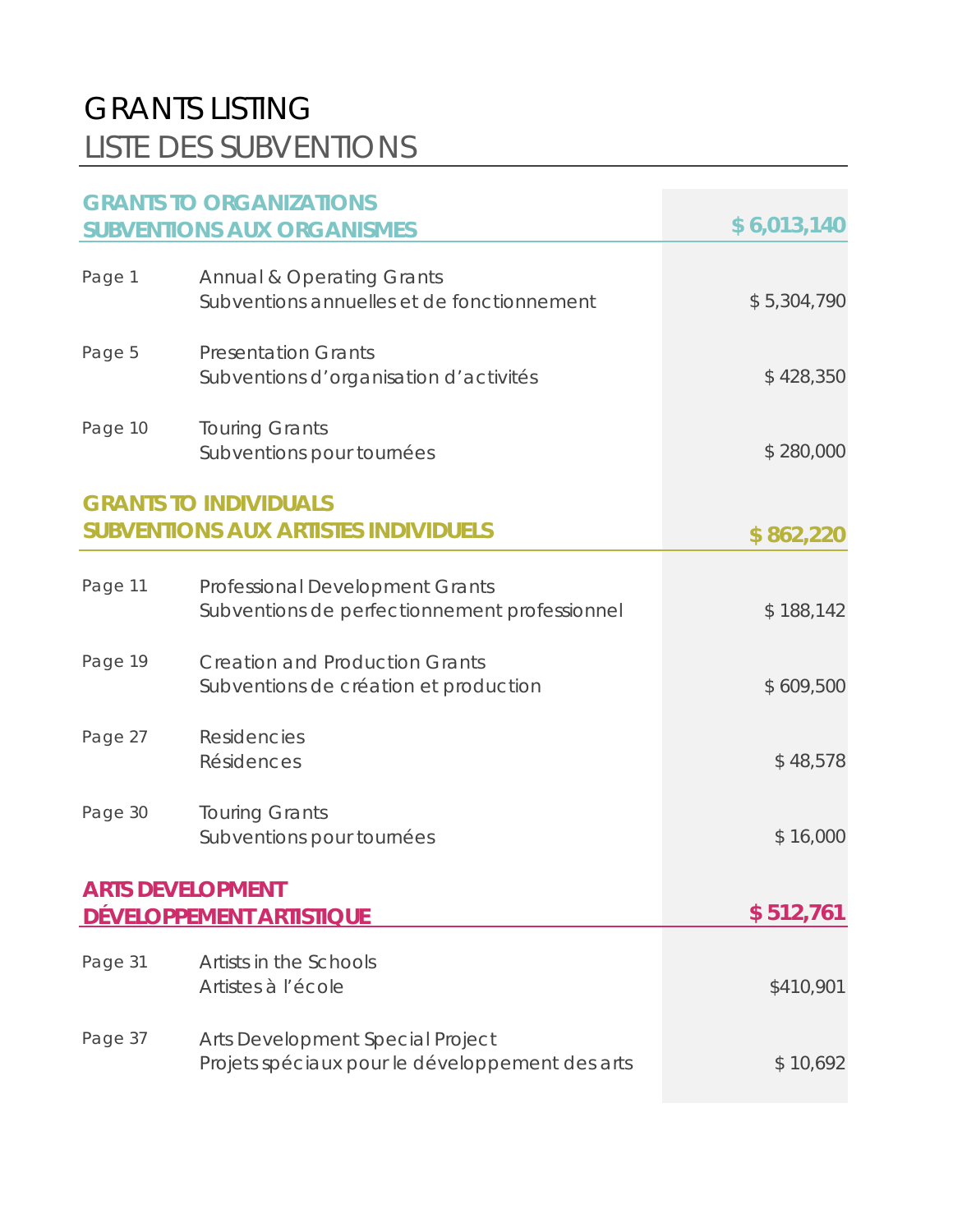## GRANTS LISTING LISTE DES SUBVENTIONS

|                         | <b>GRANTS TO ORGANIZATIONS</b><br><b>SUBVENTIONS AUX ORGANISMES</b>                     | \$6,013,140 |
|-------------------------|-----------------------------------------------------------------------------------------|-------------|
| Page 1                  | <b>Annual &amp; Operating Grants</b><br>Subventions annuelles et de fonctionnement      | \$5,304,790 |
| Page 5                  | <b>Presentation Grants</b><br>Subventions d'organisation d'activités                    | \$428,350   |
| Page 10                 | <b>Touring Grants</b><br>Subventions pour tournées                                      | \$280,000   |
|                         | <b>GRANTS TO INDIVIDUALS</b><br><b>SUBVENTIONS AUX ARTISTES INDIVIDUELS</b>             | \$862,220   |
| Page 11                 | <b>Professional Development Grants</b><br>Subventions de perfectionnement professionnel | \$188,142   |
| Page 19                 | <b>Creation and Production Grants</b><br>Subventions de création et production          | \$609,500   |
| Page 27                 | <b>Residencies</b><br>Résidences                                                        | \$48,578    |
| Page 30                 | <b>Touring Grants</b><br>Subventions pour tournées                                      | \$16,000    |
| <b>ARTS DEVELOPMENT</b> | DÉVELOPPEMENT ARTISTIQUE                                                                | \$512,761   |
| Page 31                 | Artists in the Schools<br>Artistes à l'école                                            | \$410,901   |
| Page 37                 | Arts Development Special Project<br>Projets spéciaux pour le développement des arts     | \$10,692    |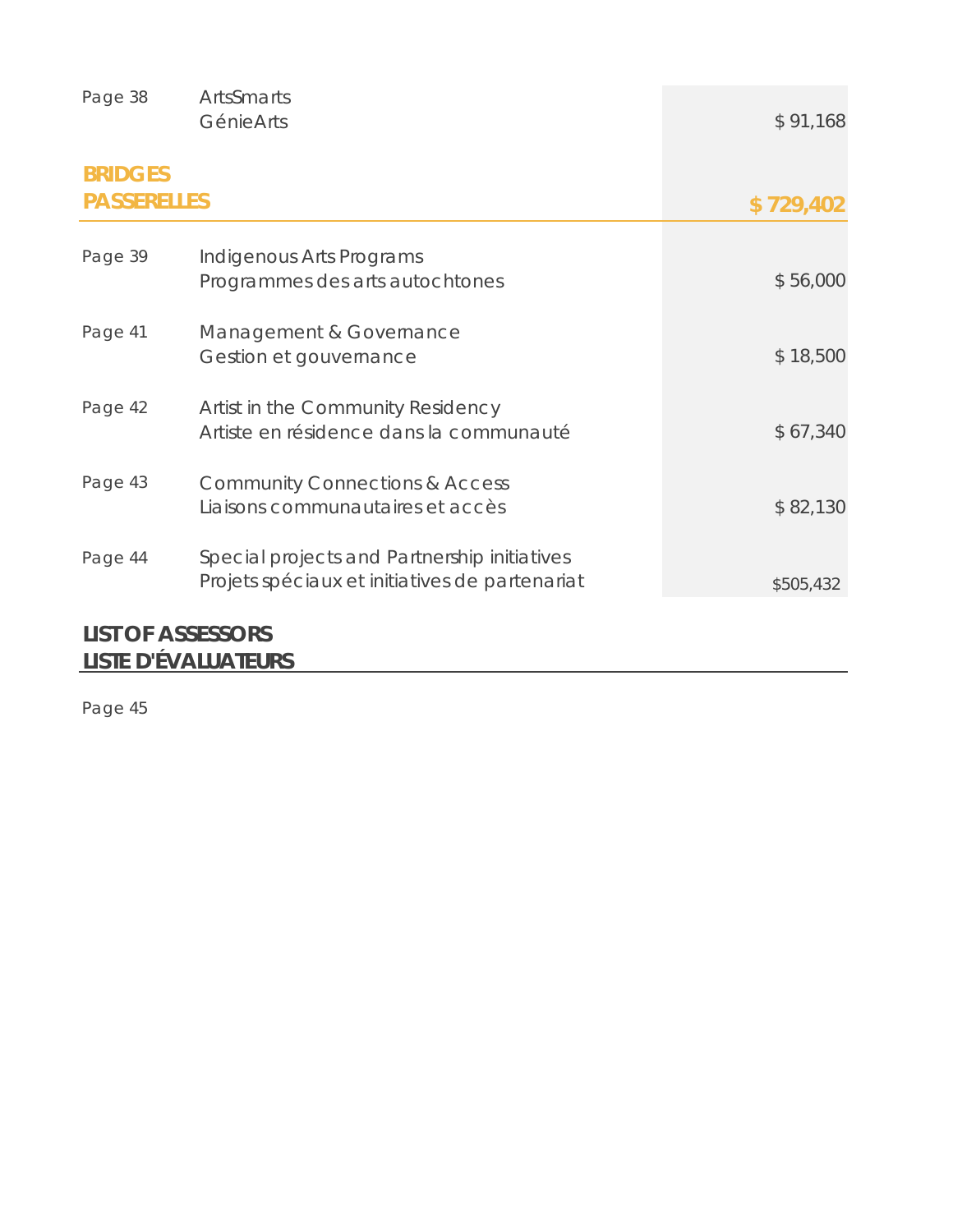| Page 38                              | ArtsSmarts<br>GénieArts                                                                        | \$91,168  |
|--------------------------------------|------------------------------------------------------------------------------------------------|-----------|
| <b>BRIDGES</b><br><b>PASSERELLES</b> |                                                                                                | \$729,402 |
| Page 39                              | Indigenous Arts Programs<br>Programmes des arts autochtones                                    | \$56,000  |
| Page 41                              | Management & Governance<br>Gestion et gouvernance                                              | \$18,500  |
| Page 42                              | Artist in the Community Residency<br>Artiste en résidence dans la communauté                   | \$67,340  |
| Page 43                              | <b>Community Connections &amp; Access</b><br>Liaisons communautaires et accès                  | \$82,130  |
| Page 44                              | Special projects and Partnership initiatives<br>Projets spéciaux et initiatives de partenariat | \$505,432 |
| <b>LIST OF ASSESSODS</b>             |                                                                                                |           |

### **LIST OF ASSESSORS LISTE D'ÉVALUATEURS**

Page 45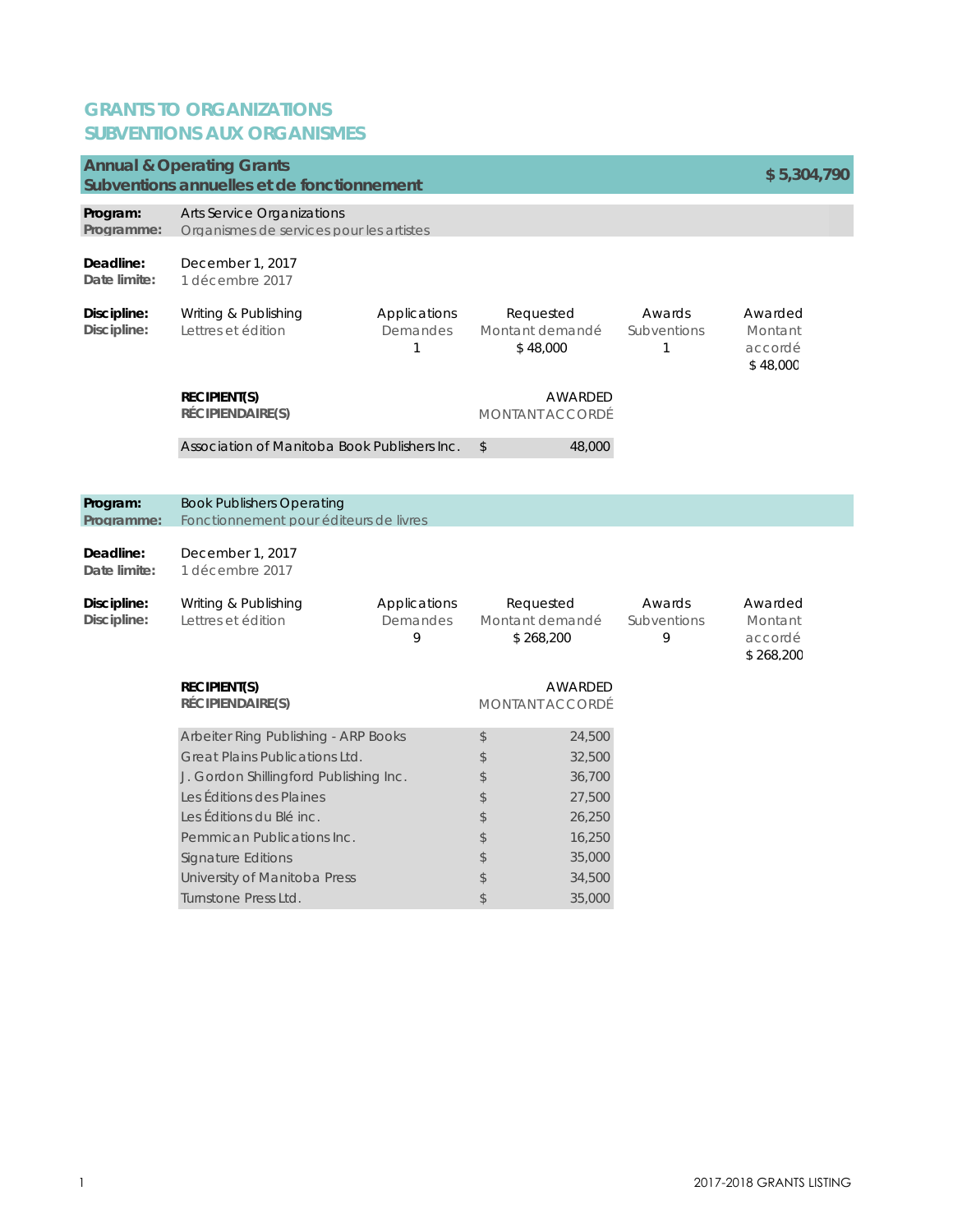### **GRANTS TO ORGANIZATIONS SUBVENTIONS AUX ORGANISMES**

|                            | <b>Annual &amp; Operating Grants</b><br>Subventions annuelles et de fonctionnement                                                                                                                                                                                                          |                               |                                                               |                                                                                        |                            | \$5,304,790                                |
|----------------------------|---------------------------------------------------------------------------------------------------------------------------------------------------------------------------------------------------------------------------------------------------------------------------------------------|-------------------------------|---------------------------------------------------------------|----------------------------------------------------------------------------------------|----------------------------|--------------------------------------------|
| Program:<br>Programme:     | Arts Service Organizations<br>Organismes de services pour les artistes                                                                                                                                                                                                                      |                               |                                                               |                                                                                        |                            |                                            |
| Deadline:<br>Date limite:  | December 1, 2017<br>1 décembre 2017                                                                                                                                                                                                                                                         |                               |                                                               |                                                                                        |                            |                                            |
| Discipline:<br>Discipline: | Writing & Publishing<br>Lettres et édition                                                                                                                                                                                                                                                  | Applications<br>Demandes<br>1 | Requested<br>Montant demandé<br>\$48,000                      |                                                                                        | Awards<br>Subventions<br>1 | Awarded<br>Montant<br>accordé<br>\$48,000  |
|                            | <b>RECIPIENT(S)</b><br>RÉCIPIENDAIRE(S)                                                                                                                                                                                                                                                     |                               | <b>MONTANT ACCORDÉ</b>                                        | AWARDED                                                                                |                            |                                            |
|                            | Association of Manitoba Book Publishers Inc.                                                                                                                                                                                                                                                |                               | $\frac{1}{2}$                                                 | 48,000                                                                                 |                            |                                            |
| Program:<br>Programme:     | <b>Book Publishers Operating</b><br>Fonctionnement pour éditeurs de livres                                                                                                                                                                                                                  |                               |                                                               |                                                                                        |                            |                                            |
| Deadline:<br>Date limite:  | December 1, 2017<br>1 décembre 2017                                                                                                                                                                                                                                                         |                               |                                                               |                                                                                        |                            |                                            |
| Discipline:<br>Discipline: | Writing & Publishing<br>Lettres et édition                                                                                                                                                                                                                                                  | Applications<br>Demandes<br>9 | Requested<br>Montant demandé<br>\$268,200                     |                                                                                        | Awards<br>Subventions<br>9 | Awarded<br>Montant<br>accordé<br>\$268,200 |
|                            | <b>RECIPIENT(S)</b><br>RÉCIPIENDAIRE(S)                                                                                                                                                                                                                                                     |                               | <b>AWARDED</b><br><b>MONTANT ACCORDÉ</b>                      |                                                                                        |                            |                                            |
|                            | Arbeiter Ring Publishing - ARP Books<br>Great Plains Publications Ltd.<br>J. Gordon Shillingford Publishing Inc.<br>Les Éditions des Plaines<br>Les Éditions du Blé inc.<br>Pemmican Publications Inc.<br><b>Signature Editions</b><br>University of Manitoba Press<br>Turnstone Press Ltd. |                               | \$<br>\$<br>\$<br>\$<br>\$<br>\$<br>\$<br>\$<br>$\mathcal{L}$ | 24,500<br>32,500<br>36,700<br>27,500<br>26,250<br>16,250<br>35,000<br>34,500<br>35,000 |                            |                                            |
|                            |                                                                                                                                                                                                                                                                                             |                               |                                                               |                                                                                        |                            |                                            |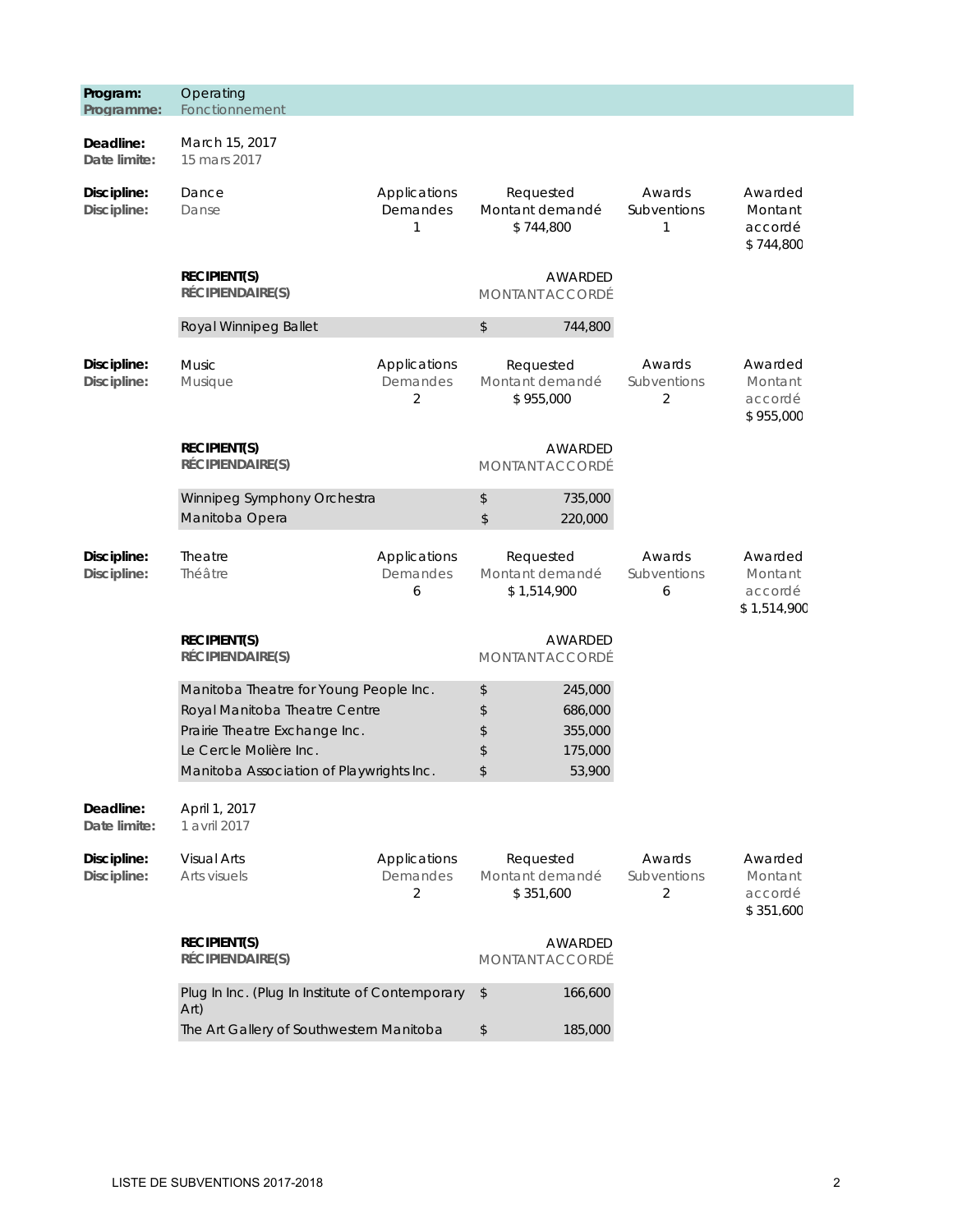| Program:<br>Programme:     | Operating<br>Fonctionnement                                                                                                                                                    |                               |                                             |                                                                         |                                         |                                              |
|----------------------------|--------------------------------------------------------------------------------------------------------------------------------------------------------------------------------|-------------------------------|---------------------------------------------|-------------------------------------------------------------------------|-----------------------------------------|----------------------------------------------|
| Deadline:<br>Date limite:  | March 15, 2017<br>15 mars 2017                                                                                                                                                 |                               |                                             |                                                                         |                                         |                                              |
| Discipline:<br>Discipline: | Dance<br>Danse                                                                                                                                                                 | Applications<br>Demandes<br>1 | Requested<br>Montant demandé<br>\$744,800   |                                                                         | Awards<br>Subventions<br>1              | Awarded<br>Montant<br>accordé<br>\$744,800   |
|                            | <b>RECIPIENT(S)</b><br><b>RÉCIPIENDAIRE(S)</b>                                                                                                                                 |                               | <b>MONTANT ACCORDÉ</b>                      | AWARDED                                                                 |                                         |                                              |
|                            | Royal Winnipeg Ballet                                                                                                                                                          |                               | $\,$                                        | 744,800                                                                 |                                         |                                              |
| Discipline:<br>Discipline: | <b>Music</b><br>Musique                                                                                                                                                        | Applications<br>Demandes<br>2 |                                             | Awards<br>Requested<br>Montant demandé<br>Subventions<br>\$955,000<br>2 |                                         | Awarded<br>Montant<br>accordé<br>\$955,000   |
|                            | <b>RECIPIENT(S)</b><br>RÉCIPIENDAIRE(S)                                                                                                                                        |                               | AWARDED<br>MONTANT ACCORDÉ                  |                                                                         |                                         |                                              |
|                            | Winnipeg Symphony Orchestra<br>Manitoba Opera                                                                                                                                  |                               | \$<br>735,000<br>\$<br>220,000              |                                                                         |                                         |                                              |
| Discipline:<br>Discipline: | Theatre<br>Théâtre                                                                                                                                                             | Applications<br>Demandes<br>6 | Requested<br>Montant demandé<br>\$1,514,900 |                                                                         | Awards<br>Subventions<br>6              | Awarded<br>Montant<br>accordé<br>\$1,514,900 |
|                            | <b>RECIPIENT(S)</b><br>RÉCIPIENDAIRE(S)                                                                                                                                        |                               | <b>MONTANT ACCORDÉ</b>                      | AWARDED                                                                 |                                         |                                              |
|                            | Manitoba Theatre for Young People Inc.<br>Royal Manitoba Theatre Centre<br>Prairie Theatre Exchange Inc.<br>Le Cercle Molière Inc.<br>Manitoba Association of Playwrights Inc. |                               | \$<br>\$<br>\$<br>\$<br>\$                  | 245,000<br>686,000<br>355,000<br>175,000<br>53,900                      |                                         |                                              |
| Deadline:<br>Date limite:  | April 1, 2017<br>1 avril 2017                                                                                                                                                  |                               |                                             |                                                                         |                                         |                                              |
| Discipline:<br>Discipline: | <b>Visual Arts</b><br>Arts visuels                                                                                                                                             | Applications<br>Demandes<br>2 | Requested<br>Montant demandé<br>\$351,600   |                                                                         | Awards<br>Subventions<br>$\overline{2}$ | Awarded<br>Montant<br>accordé<br>\$351,600   |
|                            | <b>RECIPIENT(S)</b><br>RÉCIPIENDAIRE(S)                                                                                                                                        |                               | <b>MONTANT ACCORDÉ</b>                      | AWARDED                                                                 |                                         |                                              |
|                            | Plug In Inc. (Plug In Institute of Contemporary<br>Art)                                                                                                                        |                               | $\sqrt[6]{}$                                | 166,600                                                                 |                                         |                                              |
|                            | The Art Gallery of Southwestern Manitoba                                                                                                                                       | \$                            | 185,000                                     |                                                                         |                                         |                                              |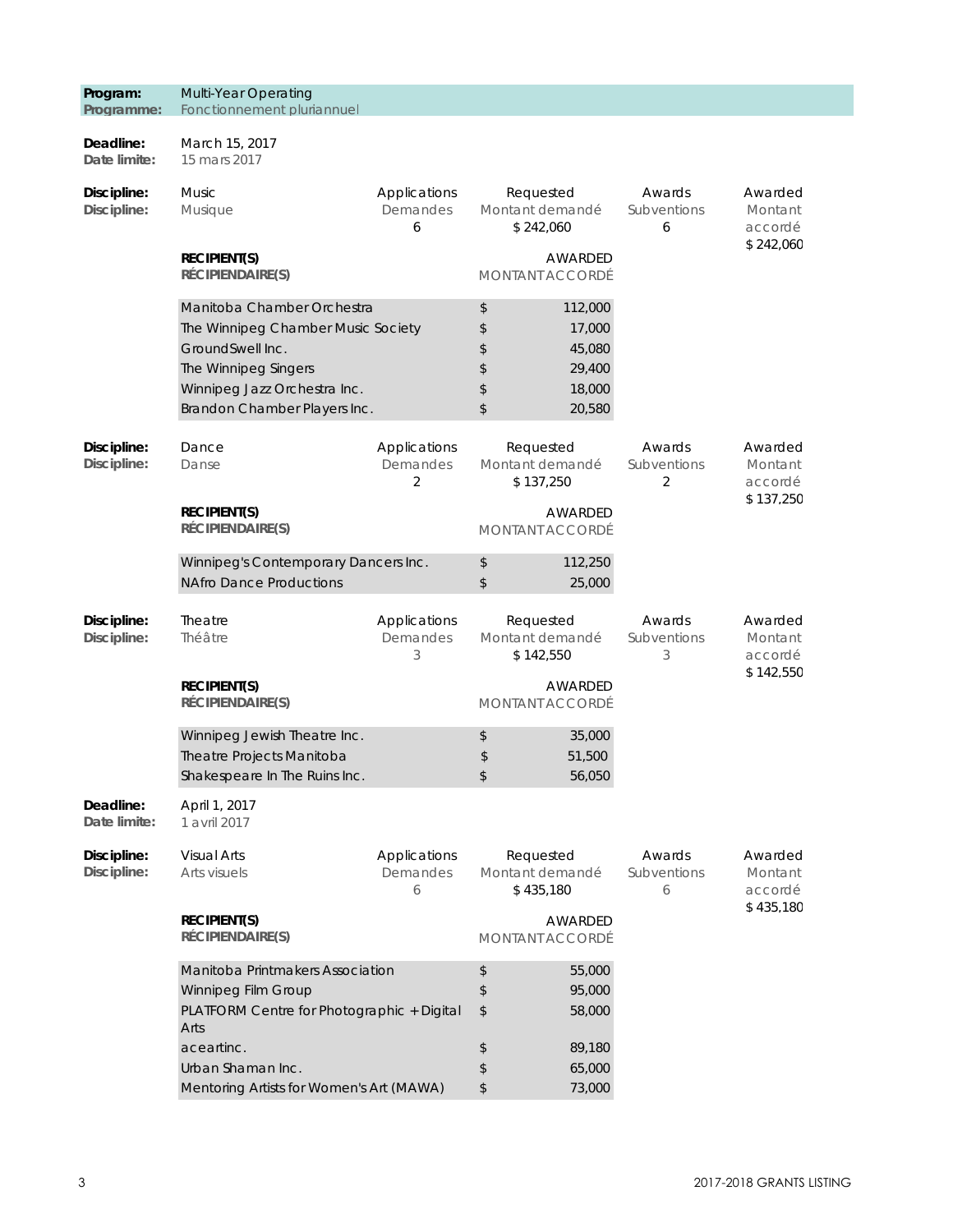| Programme:                 | Fonctionnement pluriannuel                                                                                                                                                   |                               |                                           |                                                                         |                            |                                            |
|----------------------------|------------------------------------------------------------------------------------------------------------------------------------------------------------------------------|-------------------------------|-------------------------------------------|-------------------------------------------------------------------------|----------------------------|--------------------------------------------|
| Deadline:<br>Date limite:  | March 15, 2017<br>15 mars 2017                                                                                                                                               |                               |                                           |                                                                         |                            |                                            |
| Discipline:<br>Discipline: | <b>Music</b><br>Musique                                                                                                                                                      | Applications<br>Demandes<br>6 | Requested<br>Montant demandé<br>\$242,060 |                                                                         | Awards<br>Subventions<br>6 | Awarded<br>Montant<br>accordé              |
|                            | <b>RECIPIENT(S)</b><br><b>RÉCIPIENDAIRE(S)</b>                                                                                                                               |                               | MONTANT ACCORDÉ                           | AWARDED                                                                 |                            | \$242,060                                  |
|                            | Manitoba Chamber Orchestra<br>The Winnipeg Chamber Music Society<br>GroundSwell Inc.<br>The Winnipeg Singers<br>Winnipeg Jazz Orchestra Inc.<br>Brandon Chamber Players Inc. |                               | \$<br>\$<br>\$<br>\$<br>\$<br>\$          | 112,000<br>17,000<br>45,080<br>29,400<br>18,000<br>20,580               |                            |                                            |
| Discipline:<br>Discipline: | Dance<br>Applications<br>Demandes<br>Danse<br>2                                                                                                                              |                               | Requested<br>Montant demandé<br>\$137,250 |                                                                         | Awards<br>Subventions<br>2 | Awarded<br>Montant<br>accordé              |
|                            | <b>RECIPIENT(S)</b><br>RÉCIPIENDAIRE(S)                                                                                                                                      |                               |                                           | AWARDED<br><b>MONTANT ACCORDÉ</b>                                       |                            | \$137,250                                  |
|                            | Winnipeg's Contemporary Dancers Inc.<br><b>NAfro Dance Productions</b>                                                                                                       |                               | \$<br>\$                                  | 112,250<br>25,000                                                       |                            |                                            |
| Discipline:<br>Discipline: | Theatre<br>Applications<br>Demandes<br>Théâtre<br>3                                                                                                                          |                               |                                           | Requested<br>Awards<br>Montant demandé<br>Subventions<br>\$142,550<br>3 |                            | Awarded<br>Montant<br>accordé<br>\$142,550 |
|                            | <b>RECIPIENT(S)</b><br>RÉCIPIENDAIRE(S)                                                                                                                                      |                               | <b>MONTANT ACCORDÉ</b>                    | AWARDED                                                                 |                            |                                            |
|                            | Winnipeg Jewish Theatre Inc.<br>Theatre Projects Manitoba<br>Shakespeare In The Ruins Inc.                                                                                   |                               | \$<br>\$<br>\$                            | 35,000<br>51,500<br>56,050                                              |                            |                                            |
| Deadline:<br>Date limite:  | April 1, 2017<br>1 avril 2017                                                                                                                                                |                               |                                           |                                                                         |                            |                                            |
| Discipline:<br>Discipline: | <b>Visual Arts</b><br>Arts visuels                                                                                                                                           | Applications<br>Demandes<br>6 |                                           | Requested<br>Awards<br>Montant demandé<br>Subventions<br>\$435,180<br>6 |                            | Awarded<br>Montant<br>accordé              |
|                            | <b>RECIPIENT(S)</b><br><b>RÉCIPIENDAIRE(S)</b>                                                                                                                               |                               | MONTANT ACCORDÉ                           | AWARDED                                                                 |                            | \$435,180                                  |
|                            | Manitoba Printmakers Association<br>Winnipeg Film Group<br>PLATFORM Centre for Photographic + Digital<br>Arts                                                                |                               | \$<br>\$<br>\$                            | 55,000<br>95,000<br>58,000                                              |                            |                                            |
|                            | aceartinc.<br>Urban Shaman Inc.<br>Mentoring Artists for Women's Art (MAWA)                                                                                                  |                               | \$<br>\$<br>\$                            | 89,180<br>65,000<br>73,000                                              |                            |                                            |

**Program:** 

Multi-Year Operating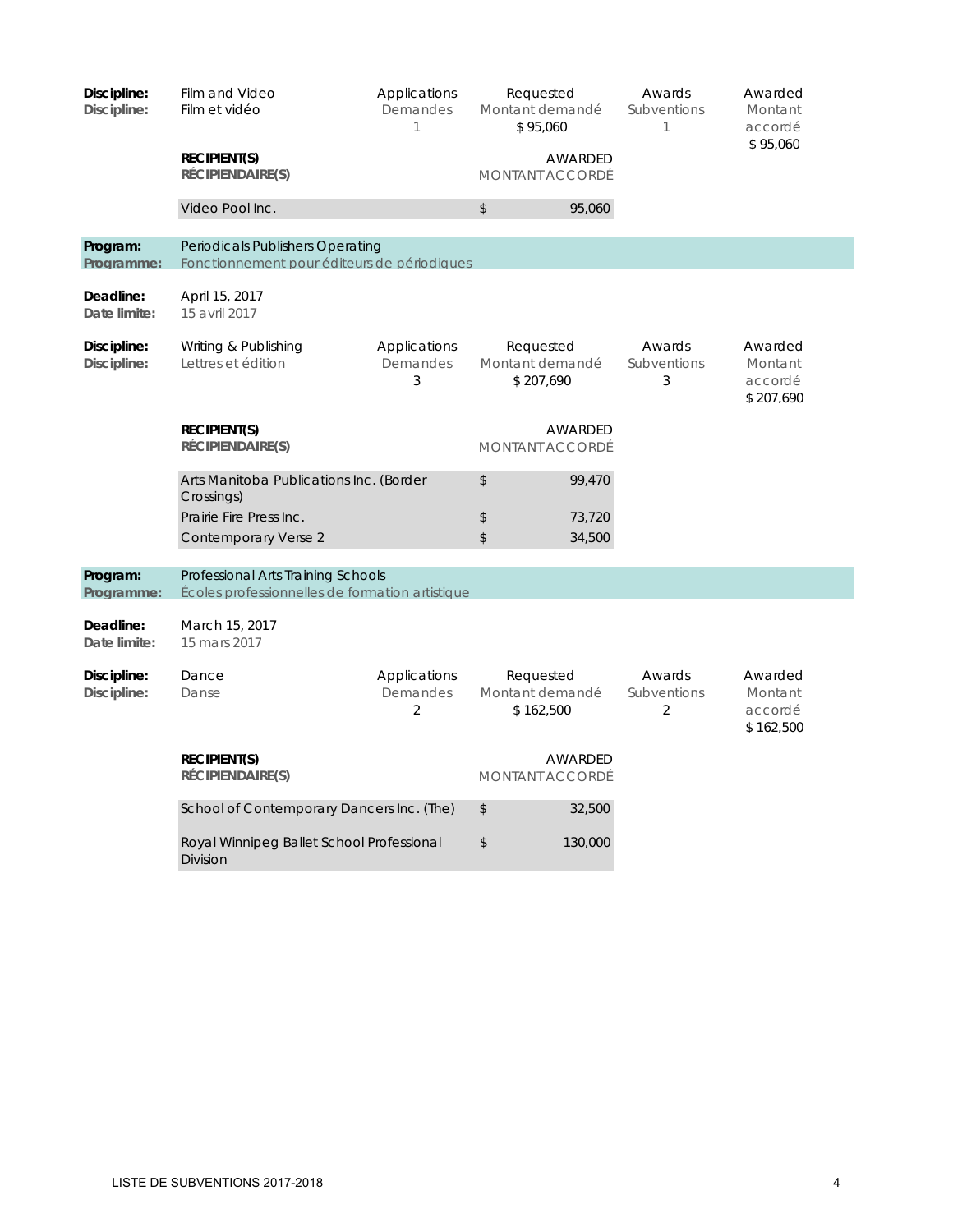| Discipline:<br>Discipline: | Film and Video<br>Film et vidéo<br><b>RECIPIENT(S)</b><br>RÉCIPIENDAIRE(S)                               | Applications<br>Demandes<br>1              | Requested<br>Montant demandé<br>\$95,060<br>AWARDED<br><b>MONTANT ACCORDÉ</b> |                            | Awards<br>Subventions<br>1              | Awarded<br>Montant<br>accordé<br>\$95,060  |
|----------------------------|----------------------------------------------------------------------------------------------------------|--------------------------------------------|-------------------------------------------------------------------------------|----------------------------|-----------------------------------------|--------------------------------------------|
|                            | Video Pool Inc.                                                                                          |                                            | \$                                                                            | 95,060                     |                                         |                                            |
| Program:<br>Programme:     | Periodicals Publishers Operating<br>Fonctionnement pour éditeurs de périodiques                          |                                            |                                                                               |                            |                                         |                                            |
| Deadline:<br>Date limite:  | April 15, 2017<br>15 avril 2017                                                                          |                                            |                                                                               |                            |                                         |                                            |
| Discipline:<br>Discipline: | Writing & Publishing<br>Lettres et édition                                                               | Applications<br>Demandes<br>3              | Requested<br>Montant demandé<br>\$207,690                                     |                            | Awards<br>Subventions<br>3              | Awarded<br>Montant<br>accordé<br>\$207,690 |
|                            | <b>RECIPIENT(S)</b><br>RÉCIPIENDAIRE(S)                                                                  |                                            | <b>MONTANT ACCORDÉ</b>                                                        | AWARDED                    |                                         |                                            |
|                            | Arts Manitoba Publications Inc. (Border<br>Crossings)<br>Prairie Fire Press Inc.<br>Contemporary Verse 2 |                                            | \$<br>\$<br>\$                                                                | 99,470<br>73,720<br>34,500 |                                         |                                            |
| Program:<br>Programme:     | Professional Arts Training Schools<br>Écoles professionnelles de formation artistique                    |                                            |                                                                               |                            |                                         |                                            |
| Deadline:<br>Date limite:  | March 15, 2017<br>15 mars 2017                                                                           |                                            |                                                                               |                            |                                         |                                            |
| Discipline:<br>Discipline: | Dance<br>Danse                                                                                           | Applications<br>Demandes<br>$\overline{2}$ | Requested<br>Montant demandé<br>\$162,500                                     |                            | Awards<br>Subventions<br>$\overline{2}$ | Awarded<br>Montant<br>accordé<br>\$162,500 |
|                            | <b>RECIPIENT(S)</b><br>RÉCIPIENDAIRE(S)                                                                  |                                            | <b>AWARDED</b><br><b>MONTANT ACCORDÉ</b>                                      |                            |                                         |                                            |
|                            | School of Contemporary Dancers Inc. (The)                                                                |                                            | \$                                                                            | 32,500                     |                                         |                                            |
|                            | Royal Winnipeg Ballet School Professional<br><b>Division</b>                                             |                                            | \$                                                                            | 130,000                    |                                         |                                            |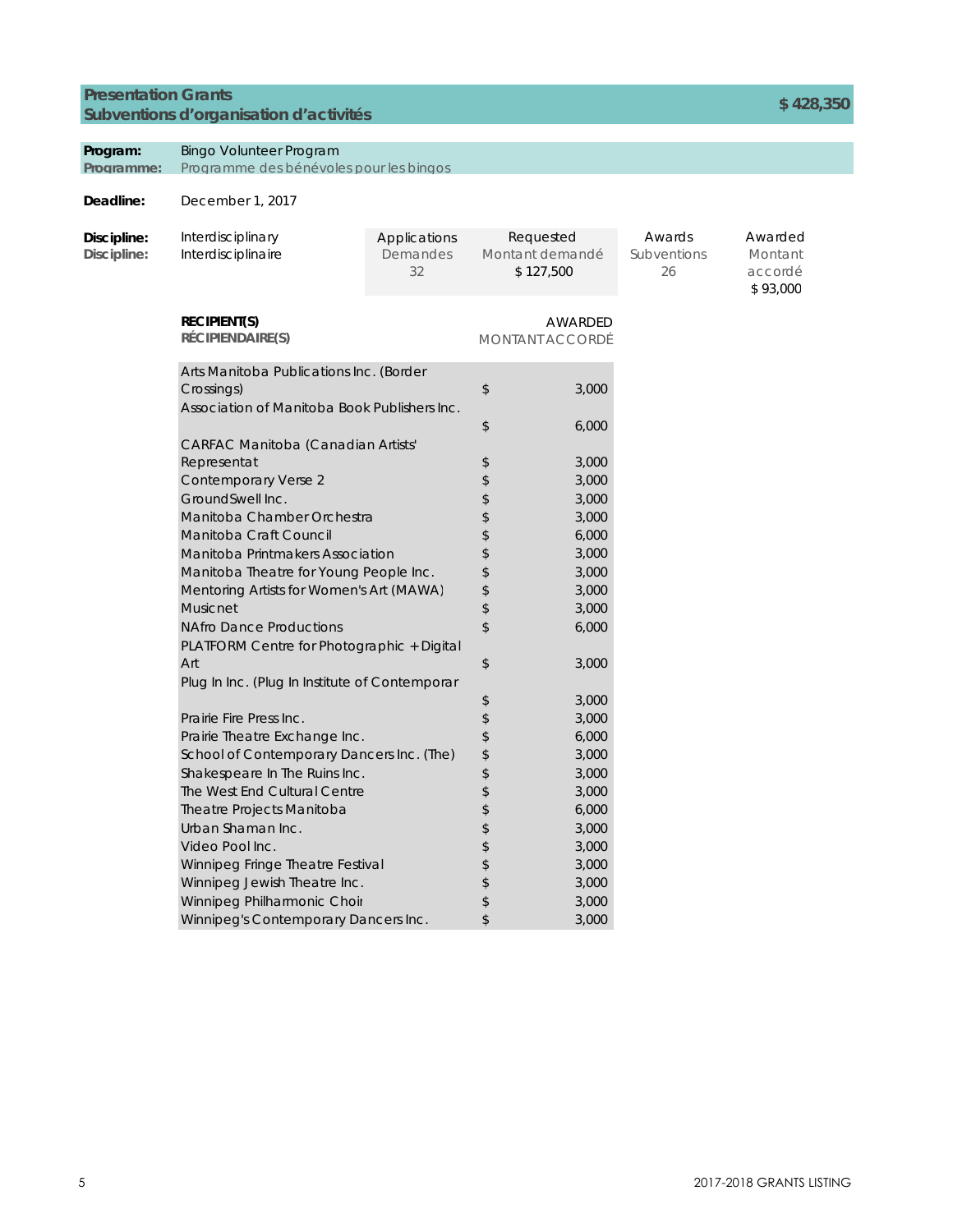### **Presentation Grants Subventions d'organisation d'activités \$ 428,350**

#### **Program:**  Bingo Volunteer Program

Programme: Programme des bénévoles pour les bingos

| Discipline:<br>Discipline: | Interdisciplinary<br>Interdisciplinaire               | Applications<br>Demandes<br>32 | Requested<br>Montant demandé<br>\$127,500 |                                   | Awards<br>Subventions<br>26 | Awarded<br>Montant<br>accordé<br>\$93,000 |
|----------------------------|-------------------------------------------------------|--------------------------------|-------------------------------------------|-----------------------------------|-----------------------------|-------------------------------------------|
|                            | <b>RECIPIENT(S)</b><br>RÉCIPIENDAIRE(S)               |                                |                                           | AWARDED<br><b>MONTANT ACCORDÉ</b> |                             |                                           |
|                            | Arts Manitoba Publications Inc. (Border<br>Crossings) |                                |                                           | 3,000                             |                             |                                           |
|                            | Association of Manitoba Book Publishers Inc.          |                                | \$                                        | 6,000                             |                             |                                           |
|                            | CARFAC Manitoba (Canadian Artists'                    |                                |                                           |                                   |                             |                                           |
|                            | Representat                                           | \$                             | 3,000                                     |                                   |                             |                                           |
|                            | <b>Contemporary Verse 2</b>                           |                                | \$                                        | 3,000                             |                             |                                           |
|                            | GroundSwell Inc.                                      |                                | \$                                        | 3,000                             |                             |                                           |
|                            | Manitoba Chamber Orchestra                            | \$                             | 3,000                                     |                                   |                             |                                           |
|                            | Manitoba Craft Council                                | \$                             | 6,000                                     |                                   |                             |                                           |
|                            | Manitoba Printmakers Association                      | \$                             | 3,000                                     |                                   |                             |                                           |
|                            | Manitoba Theatre for Young People Inc.                | \$                             | 3,000                                     |                                   |                             |                                           |
|                            | Mentoring Artists for Women's Art (MAWA)              | \$                             | 3,000                                     |                                   |                             |                                           |
|                            | Musicnet                                              |                                | \$                                        | 3,000                             |                             |                                           |
|                            | <b>NAfro Dance Productions</b>                        |                                | \$                                        | 6,000                             |                             |                                           |
|                            | PLATFORM Centre for Photographic + Digital            |                                |                                           |                                   |                             |                                           |
|                            | Art                                                   |                                | \$                                        | 3,000                             |                             |                                           |
|                            | Plug In Inc. (Plug In Institute of Contemporar        |                                |                                           |                                   |                             |                                           |
|                            |                                                       |                                | \$                                        | 3,000                             |                             |                                           |
|                            | Prairie Fire Press Inc.                               |                                | \$                                        | 3,000                             |                             |                                           |
|                            | Prairie Theatre Exchange Inc.                         |                                | \$                                        | 6,000                             |                             |                                           |
|                            | School of Contemporary Dancers Inc. (The)             |                                | \$                                        | 3,000                             |                             |                                           |
|                            | Shakespeare In The Ruins Inc.                         |                                | \$                                        | 3,000                             |                             |                                           |
|                            | The West End Cultural Centre                          |                                | \$                                        | 3,000                             |                             |                                           |
|                            | Theatre Projects Manitoba                             |                                | \$                                        | 6,000                             |                             |                                           |
|                            | Urban Shaman Inc.                                     |                                | \$                                        | 3,000                             |                             |                                           |
|                            | Video Pool Inc.                                       |                                | \$                                        | 3,000                             |                             |                                           |
|                            | Winnipeg Fringe Theatre Festival                      |                                |                                           | 3,000                             |                             |                                           |
|                            | Winnipeg Jewish Theatre Inc.                          |                                | \$                                        | 3,000                             |                             |                                           |
|                            | Winnipeg Philharmonic Choir                           |                                | \$                                        | 3,000                             |                             |                                           |
|                            | Winnipeg's Contemporary Dancers Inc.                  |                                | \$                                        | 3,000                             |                             |                                           |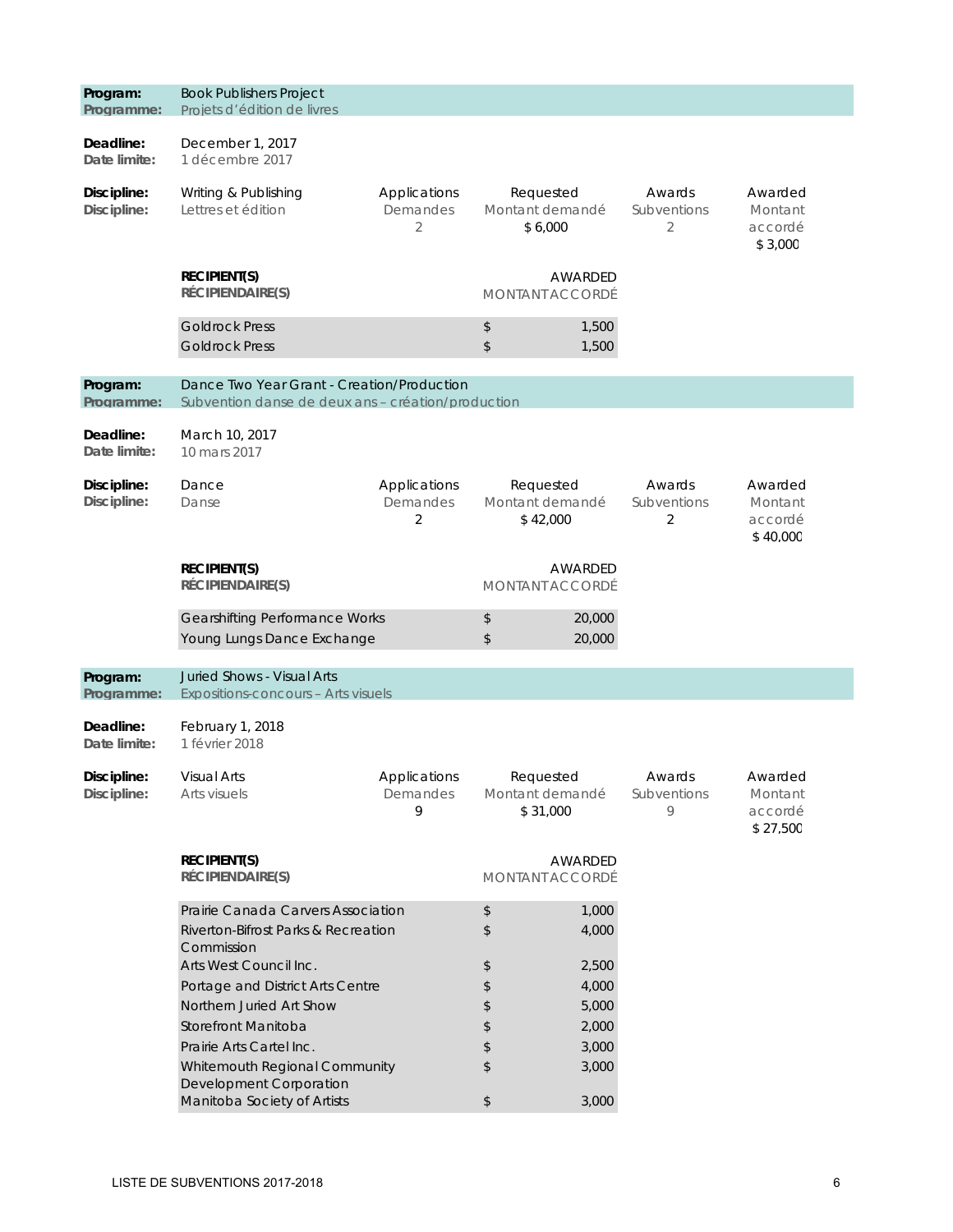| Program:<br>Programme:     | <b>Book Publishers Project</b><br>Projets d'édition de livres                                    |                               |                                          |                                   |                                       |                                           |
|----------------------------|--------------------------------------------------------------------------------------------------|-------------------------------|------------------------------------------|-----------------------------------|---------------------------------------|-------------------------------------------|
| Deadline:<br>Date limite:  | December 1, 2017<br>1 décembre 2017                                                              |                               |                                          |                                   |                                       |                                           |
| Discipline:<br>Discipline: | Writing & Publishing<br>Lettres et édition                                                       | Applications<br>Demandes<br>2 | Requested<br>Montant demandé<br>\$6,000  |                                   | Awards<br>Subventions<br>2            | Awarded<br>Montant<br>accordé<br>\$3,000  |
|                            | <b>RECIPIENT(S)</b><br>RÉCIPIENDAIRE(S)                                                          |                               |                                          | AWARDED<br>MONTANT ACCORDÉ        |                                       |                                           |
|                            | <b>Goldrock Press</b><br><b>Goldrock Press</b>                                                   |                               | \$<br>$\,$                               | 1,500<br>1,500                    |                                       |                                           |
| Program:<br>Programme:     | Dance Two Year Grant - Creation/Production<br>Subvention danse de deux ans - création/production |                               |                                          |                                   |                                       |                                           |
| Deadline:<br>Date limite:  | March 10, 2017<br>10 mars 2017                                                                   |                               |                                          |                                   |                                       |                                           |
| Discipline:<br>Discipline: | Dance<br>Applications<br>Demandes<br>Danse<br>2                                                  |                               | Requested<br>Montant demandé<br>\$42,000 |                                   | Awards<br>Subventions<br>2            | Awarded<br>Montant<br>accordé<br>\$40,000 |
|                            | <b>RECIPIENT(S)</b><br>RÉCIPIENDAIRE(S)                                                          |                               |                                          | AWARDED<br><b>MONTANT ACCORDÉ</b> |                                       |                                           |
|                            | <b>Gearshifting Performance Works</b><br>Young Lungs Dance Exchange                              |                               | \$<br>\$                                 | 20,000<br>20,000                  |                                       |                                           |
| Program:<br>Programme:     | <b>Juried Shows - Visual Arts</b><br>Expositions-concours - Arts visuels                         |                               |                                          |                                   |                                       |                                           |
| Deadline:<br>Date limite:  | February 1, 2018<br>1 février 2018                                                               |                               |                                          |                                   |                                       |                                           |
| Discipline:<br>Discipline: | <b>Visual Arts</b><br>Arts visuels                                                               | Applications<br>Demandes<br>9 | Requested<br>Montant demandé<br>\$31,000 |                                   | Awards<br>Subventions<br>$\mathsf{Q}$ | Awarded<br>Montant<br>accordé<br>\$27,500 |
|                            | <b>RECIPIENT(S)</b><br>RÉCIPIENDAIRE(S)                                                          |                               | AWARDED<br>MONTANT ACCORDÉ               |                                   |                                       |                                           |
|                            | Prairie Canada Carvers Association<br>Riverton-Bifrost Parks & Recreation<br>Commission          |                               | \$<br>\$                                 | 1,000<br>4,000                    |                                       |                                           |
|                            | Arts West Council Inc.                                                                           |                               | \$                                       | 2,500                             |                                       |                                           |
|                            | Portage and District Arts Centre                                                                 |                               | \$                                       | 4,000                             |                                       |                                           |
|                            | Northern Juried Art Show                                                                         |                               | \$                                       | 5,000                             |                                       |                                           |
|                            | Storefront Manitoba                                                                              |                               | \$                                       | 2,000                             |                                       |                                           |
|                            | Prairie Arts Cartel Inc.                                                                         |                               | \$                                       | 3,000                             |                                       |                                           |
|                            | Whitemouth Regional Community<br>Development Corporation                                         |                               | \$                                       | 3,000                             |                                       |                                           |
|                            | Manitoba Society of Artists                                                                      | $\,$                          | 3,000                                    |                                   |                                       |                                           |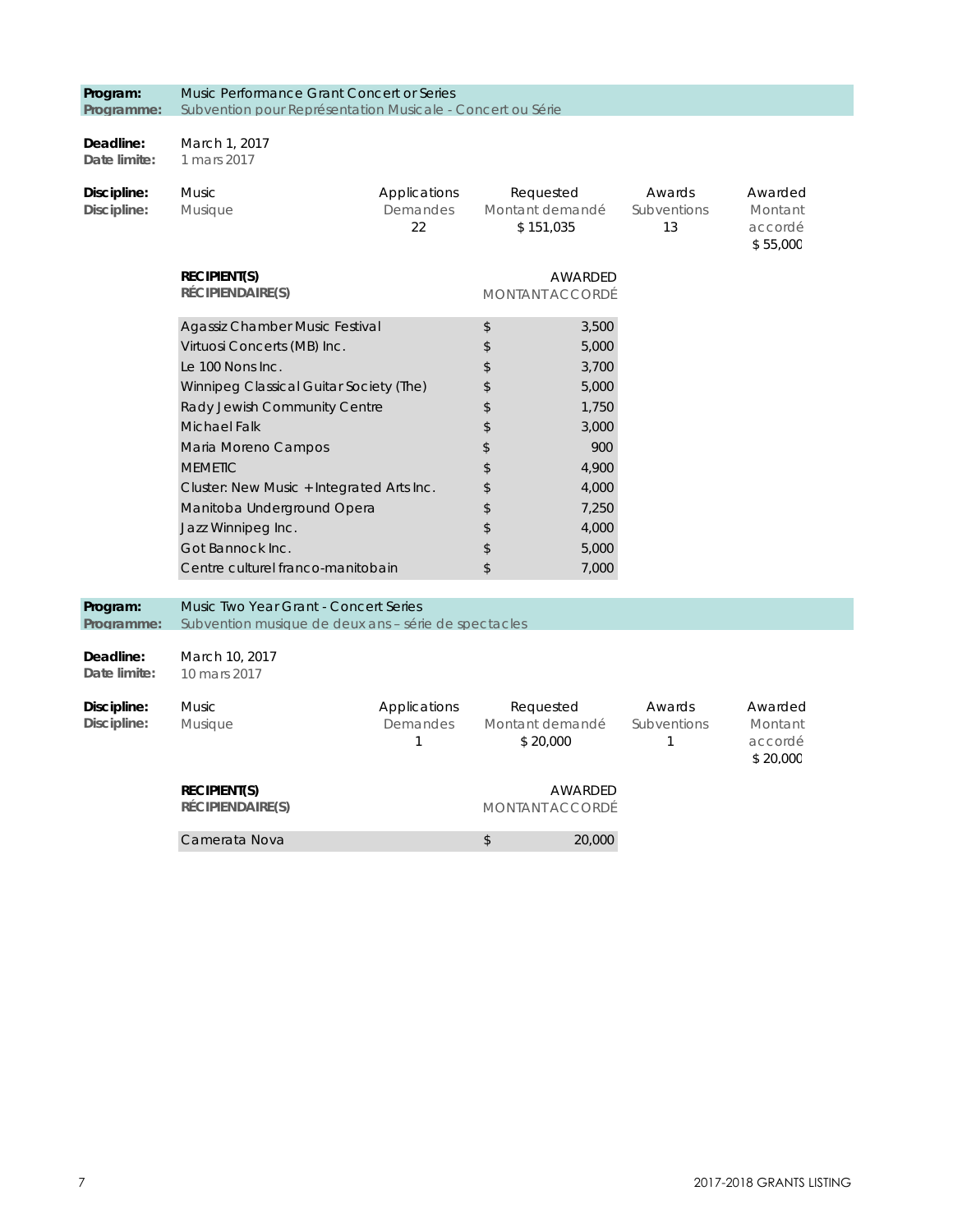| Programme:                 | Subvention pour Représentation Musicale - Concert ou Série                                    |                               |                                   |                                          |                            |                                           |
|----------------------------|-----------------------------------------------------------------------------------------------|-------------------------------|-----------------------------------|------------------------------------------|----------------------------|-------------------------------------------|
| Deadline:                  | March 1, 2017                                                                                 |                               |                                   |                                          |                            |                                           |
| Date limite:               | 1 mars 2017                                                                                   |                               |                                   |                                          |                            |                                           |
| Discipline:                | <b>Music</b>                                                                                  | Applications                  |                                   | Requested                                | Awards                     | Awarded                                   |
| Discipline:                | <b>Musique</b>                                                                                | Demandes<br>22                |                                   | Montant demandé<br>\$151,035             | Subventions<br>13          | Montant<br>accordé<br>\$55,000            |
|                            | <b>RECIPIENT(S)</b><br>RÉCIPIENDAIRE(S)                                                       |                               |                                   | <b>AWARDED</b><br>MONTANT ACCORDÉ        |                            |                                           |
|                            | Agassiz Chamber Music Festival                                                                | \$                            | 3,500                             |                                          |                            |                                           |
|                            | Virtuosi Concerts (MB) Inc.                                                                   |                               | \$                                | 5,000                                    |                            |                                           |
|                            | Le 100 Nons Inc.                                                                              |                               | \$                                | 3,700                                    |                            |                                           |
|                            | Winnipeg Classical Guitar Society (The)                                                       |                               | \$                                | 5,000                                    |                            |                                           |
|                            | Rady Jewish Community Centre                                                                  |                               | 1,750<br>\$                       |                                          |                            |                                           |
|                            | <b>Michael Falk</b>                                                                           |                               | \$<br>900<br>\$                   | 3,000                                    |                            |                                           |
|                            | Maria Moreno Campos                                                                           |                               |                                   |                                          |                            |                                           |
|                            | <b>MEMETIC</b><br>Cluster: New Music + Integrated Arts Inc.                                   |                               | \$<br>\$                          | 4,900<br>4,000                           |                            |                                           |
|                            |                                                                                               |                               | \$                                | 7,250                                    |                            |                                           |
|                            | Manitoba Underground Opera<br>Jazz Winnipeg Inc.                                              |                               | \$                                | 4,000                                    |                            |                                           |
|                            | Got Bannock Inc.                                                                              |                               | \$                                | 5,000                                    |                            |                                           |
|                            | Centre culturel franco-manitobain                                                             |                               | \$                                | 7,000                                    |                            |                                           |
|                            |                                                                                               |                               |                                   |                                          |                            |                                           |
| Program:<br>Programme:     | Music Two Year Grant - Concert Series<br>Subvention musique de deux ans – série de spectacles |                               |                                   |                                          |                            |                                           |
| Deadline:<br>Date limite:  | March 10, 2017<br>10 mars 2017                                                                |                               |                                   |                                          |                            |                                           |
| Discipline:<br>Discipline: | <b>Music</b><br>Musique                                                                       | Applications<br>Demandes<br>1 |                                   | Requested<br>Montant demandé<br>\$20,000 | Awards<br>Subventions<br>1 | Awarded<br>Montant<br>accordé<br>\$20,000 |
|                            | <b>RECIPIENT(S)</b><br>RÉCIPIENDAIRE(S)                                                       |                               | AWARDED<br><b>MONTANT ACCORDÉ</b> |                                          |                            |                                           |
|                            | Camerata Nova<br>\$<br>20,000                                                                 |                               |                                   |                                          |                            |                                           |

**Program:** 

Music Performance Grant Concert or Series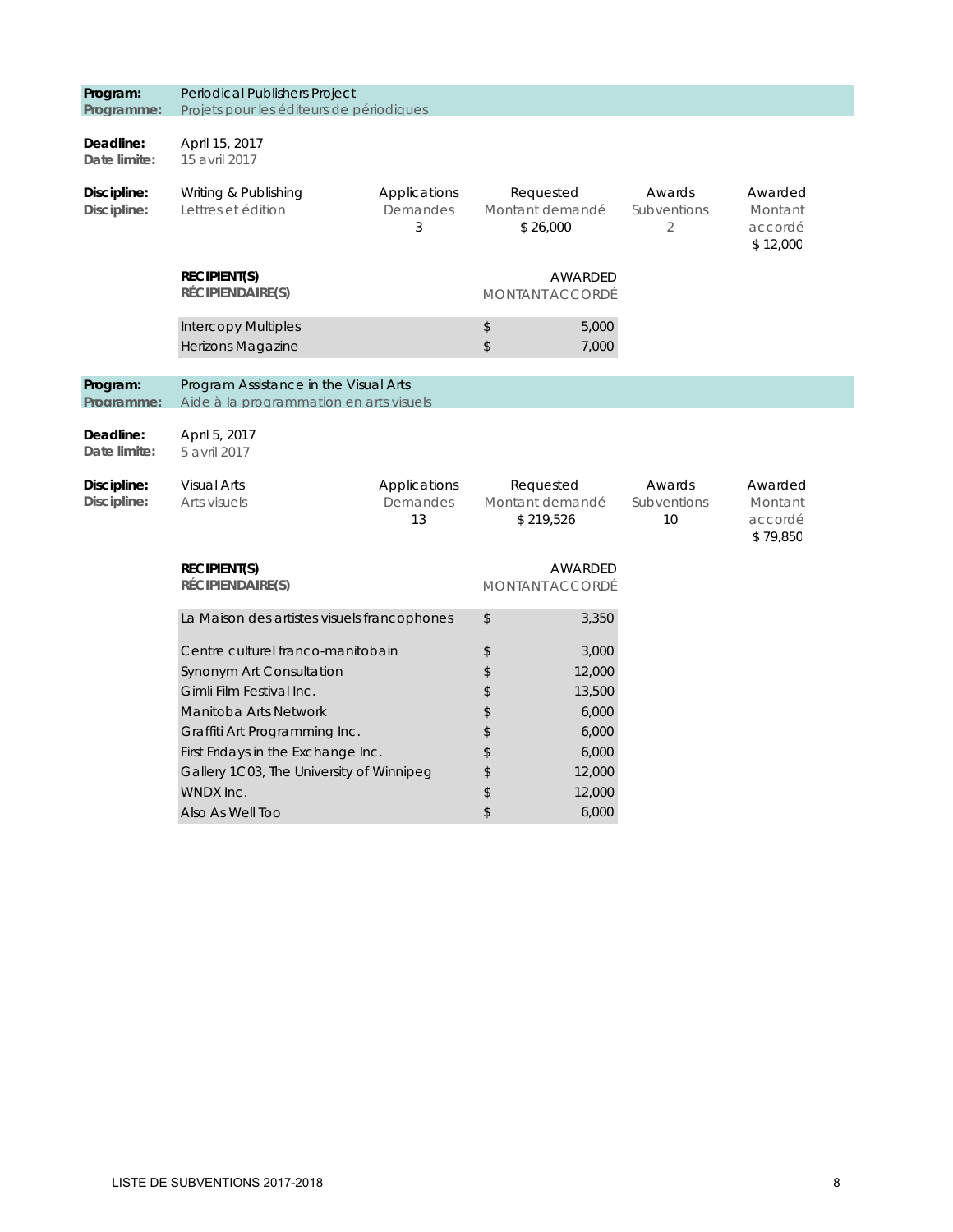| Program:<br>Programme:     | Periodical Publishers Project<br>Projets pour les éditeurs de périodiques        |                                |                                           |                |                             |                                           |  |  |
|----------------------------|----------------------------------------------------------------------------------|--------------------------------|-------------------------------------------|----------------|-----------------------------|-------------------------------------------|--|--|
| Deadline:<br>Date limite:  | April 15, 2017<br>15 avril 2017                                                  |                                |                                           |                |                             |                                           |  |  |
| Discipline:<br>Discipline: | Writing & Publishing<br>Lettres et édition                                       | Applications<br>Demandes<br>3  | Requested<br>Montant demandé<br>\$26,000  |                | Awards<br>Subventions<br>2  | Awarded<br>Montant<br>accordé<br>\$12,000 |  |  |
|                            | <b>RECIPIENT(S)</b><br>RÉCIPIENDAIRE(S)                                          |                                | <b>MONTANT ACCORDÉ</b>                    | AWARDED        |                             |                                           |  |  |
|                            | <b>Intercopy Multiples</b><br>Herizons Magazine                                  |                                | $\updownarrow$<br>\$                      | 5,000<br>7,000 |                             |                                           |  |  |
| Program:<br>Programme:     | Program Assistance in the Visual Arts<br>Aide à la programmation en arts visuels |                                |                                           |                |                             |                                           |  |  |
| Deadline:<br>Date limite:  | April 5, 2017<br>5 avril 2017                                                    |                                |                                           |                |                             |                                           |  |  |
| Discipline:<br>Discipline: | <b>Visual Arts</b><br>Arts visuels                                               | Applications<br>Demandes<br>13 | Requested<br>Montant demandé<br>\$219,526 |                | Awards<br>Subventions<br>10 | Awarded<br>Montant<br>accordé<br>\$79,850 |  |  |
|                            | <b>RECIPIENT(S)</b><br>RÉCIPIENDAIRE(S)                                          |                                | <b>AWARDED</b><br>MONTANT ACCORDÉ         |                |                             |                                           |  |  |
|                            | La Maison des artistes visuels francophones                                      |                                | \$                                        | 3,350          |                             |                                           |  |  |
|                            | Centre culturel franco-manitobain                                                |                                | \$                                        | 3,000          |                             |                                           |  |  |
|                            | Synonym Art Consultation                                                         |                                | \$                                        | 12,000         |                             |                                           |  |  |
|                            | Gimli Film Festival Inc.                                                         |                                | \$                                        | 13,500         |                             |                                           |  |  |
|                            | Manitoba Arts Network                                                            |                                | \$                                        | 6,000          |                             |                                           |  |  |
|                            | Graffiti Art Programming Inc.                                                    |                                | \$                                        | 6,000          |                             |                                           |  |  |
|                            | First Fridays in the Exchange Inc.                                               |                                | \$                                        | 6,000          |                             |                                           |  |  |
|                            | Gallery 1C03, The University of Winnipeg                                         |                                | \$                                        | 12,000         |                             |                                           |  |  |
|                            | WNDX Inc.                                                                        |                                | \$                                        | 12,000         |                             |                                           |  |  |
|                            | Also As Well Too                                                                 |                                | \$                                        | 6,000          |                             |                                           |  |  |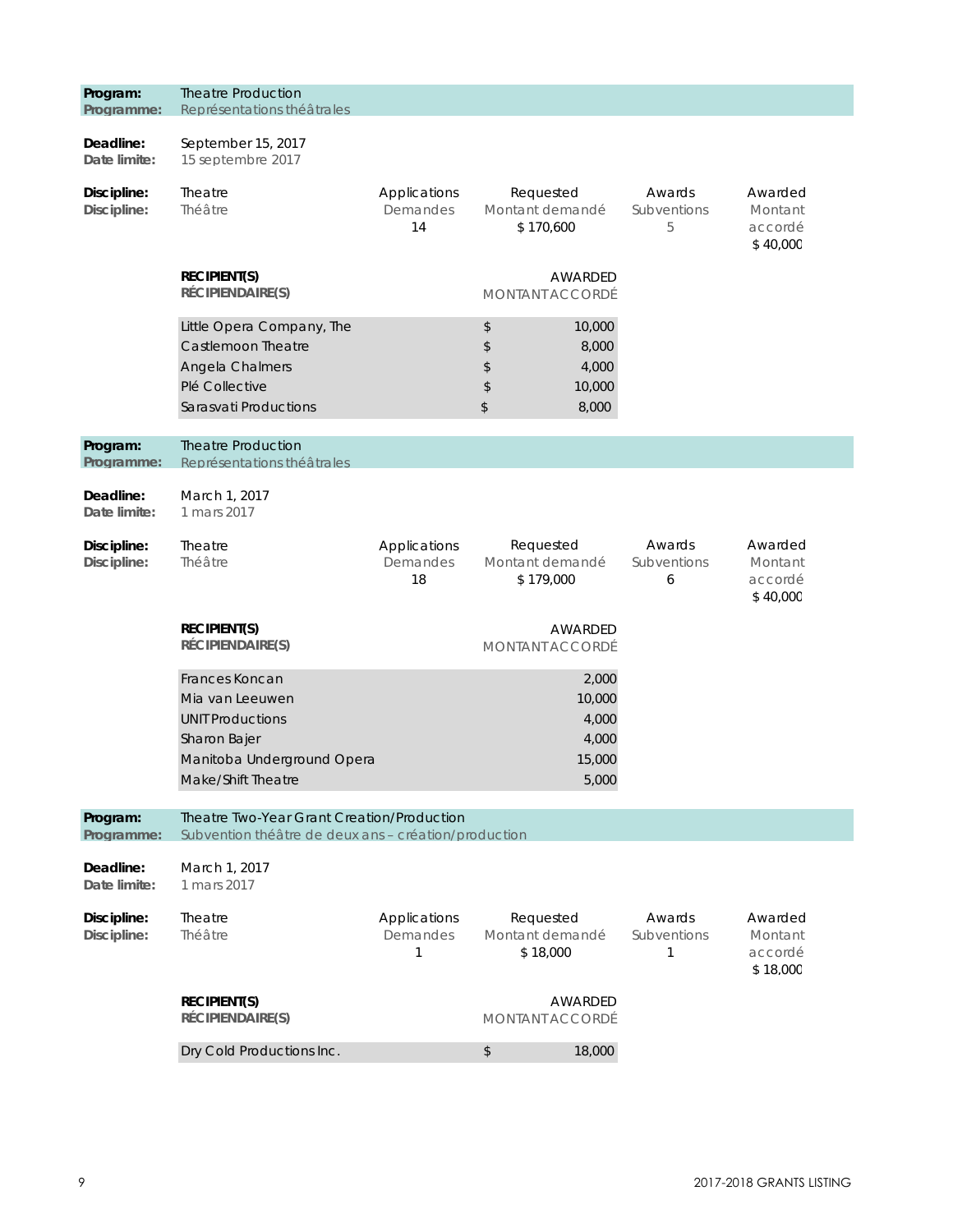| Program:<br>Programme:     | <b>Theatre Production</b><br>Représentations théâtrales                                                                          |                                |                                                      |                                             |                            |                                           |
|----------------------------|----------------------------------------------------------------------------------------------------------------------------------|--------------------------------|------------------------------------------------------|---------------------------------------------|----------------------------|-------------------------------------------|
| Deadline:<br>Date limite:  | September 15, 2017<br>15 septembre 2017                                                                                          |                                |                                                      |                                             |                            |                                           |
| Discipline:<br>Discipline: | Theatre<br>Théâtre                                                                                                               | Applications<br>Demandes<br>14 | Requested<br>Montant demandé<br>\$170,600            |                                             | Awards<br>Subventions<br>5 | Awarded<br>Montant<br>accordé<br>\$40,000 |
|                            | <b>RECIPIENT(S)</b><br>RÉCIPIENDAIRE(S)                                                                                          |                                | MONTANT ACCORDÉ                                      | AWARDED                                     |                            |                                           |
|                            | Little Opera Company, The<br>Castlemoon Theatre<br>Angela Chalmers<br>Plé Collective<br>Sarasvati Productions                    |                                | \$<br>\$<br>\$<br>\$<br>\$                           | 10,000<br>8,000<br>4,000<br>10,000<br>8,000 |                            |                                           |
| Program:<br>Programme:     | <b>Theatre Production</b><br>Représentations théâtrales                                                                          |                                |                                                      |                                             |                            |                                           |
| Deadline:<br>Date limite:  | March 1, 2017<br>1 mars 2017                                                                                                     |                                |                                                      |                                             |                            |                                           |
| Discipline:<br>Discipline: | Theatre<br>Applications<br>Théâtre<br>Demandes<br>18                                                                             |                                | Requested<br>Montant demandé<br>\$179,000            |                                             | Awards<br>Subventions<br>6 | Awarded<br>Montant<br>accordé<br>\$40,000 |
|                            | <b>RECIPIENT(S)</b><br>RÉCIPIENDAIRE(S)                                                                                          |                                | <b>MONTANT ACCORDÉ</b>                               | AWARDED                                     |                            |                                           |
|                            | Frances Koncan<br>Mia van Leeuwen<br><b>UNIT Productions</b><br>Sharon Bajer<br>Manitoba Underground Opera<br>Make/Shift Theatre |                                | 2,000<br>10,000<br>4,000<br>4,000<br>15,000<br>5,000 |                                             |                            |                                           |
| Program:<br>Programme:     | Theatre Two-Year Grant Creation/Production<br>Subvention théâtre de deux ans - création/production                               |                                |                                                      |                                             |                            |                                           |
| Deadline:<br>Date limite:  | March 1, 2017<br>1 mars 2017                                                                                                     |                                |                                                      |                                             |                            |                                           |
| Discipline:<br>Discipline: | Theatre<br>Théâtre                                                                                                               | Applications<br>Demandes<br>1  | Requested<br>Montant demandé<br>\$18,000             |                                             | Awards<br>Subventions<br>1 | Awarded<br>Montant<br>accordé<br>\$18,000 |
|                            | <b>RECIPIENT(S)</b><br>RÉCIPIENDAIRE(S)                                                                                          |                                | <b>MONTANT ACCORDÉ</b>                               | AWARDED                                     |                            |                                           |
|                            | Dry Cold Productions Inc.                                                                                                        |                                | \$                                                   | 18,000                                      |                            |                                           |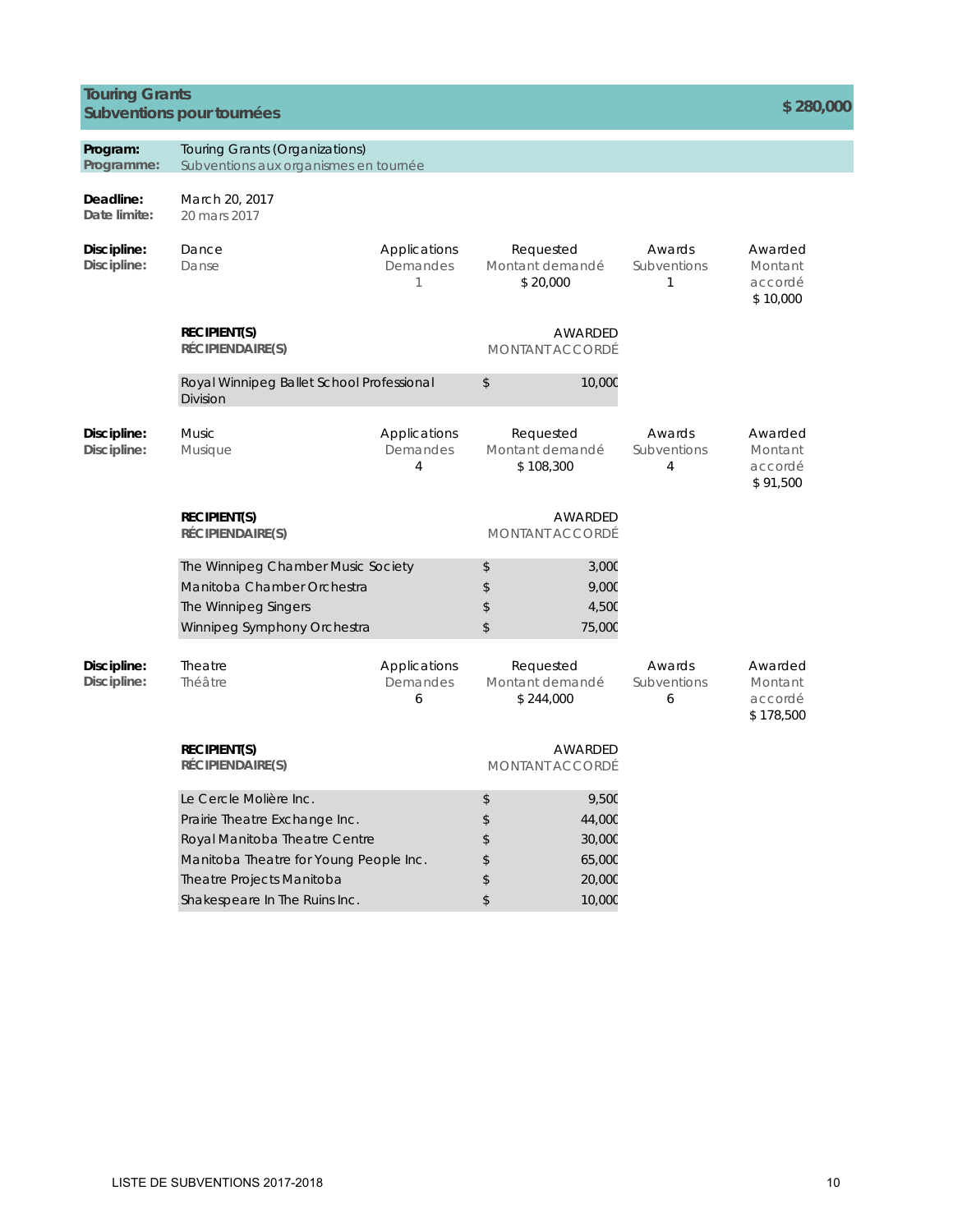### **Touring Grants Subventions pour tournées \$ 280,000**

| Program:<br>Programme:     | Touring Grants (Organizations)<br>Subventions aux organismes en tournée                                                 |                                                                                         |                                           |                                   |                            |                                            |
|----------------------------|-------------------------------------------------------------------------------------------------------------------------|-----------------------------------------------------------------------------------------|-------------------------------------------|-----------------------------------|----------------------------|--------------------------------------------|
| Deadline:<br>Date limite:  | March 20, 2017<br>20 mars 2017                                                                                          |                                                                                         |                                           |                                   |                            |                                            |
| Discipline:<br>Discipline: | Dance<br>Danse                                                                                                          | Applications<br>Demandes<br>1                                                           | Requested<br>Montant demandé<br>\$20,000  |                                   | Awards<br>Subventions<br>1 | Awarded<br>Montant<br>accordé<br>\$10,000  |
|                            | <b>RECIPIENT(S)</b><br>RÉCIPIENDAIRE(S)                                                                                 |                                                                                         | <b>MONTANT ACCORDÉ</b>                    | <b>AWARDED</b>                    |                            |                                            |
|                            | Royal Winnipeg Ballet School Professional<br><b>Division</b>                                                            |                                                                                         | \$                                        | 10,000                            |                            |                                            |
| Discipline:<br>Discipline: | <b>Music</b><br>Musique                                                                                                 | Applications<br>Requested<br>Montant demandé<br>Demandes<br>$\overline{4}$<br>\$108,300 |                                           |                                   | Awards<br>Subventions<br>4 | Awarded<br>Montant<br>accordé<br>\$91,500  |
|                            | <b>RECIPIENT(S)</b><br>RÉCIPIENDAIRE(S)                                                                                 |                                                                                         | <b>MONTANT ACCORDÉ</b>                    | AWARDED                           |                            |                                            |
|                            | The Winnipeg Chamber Music Society<br>Manitoba Chamber Orchestra<br>The Winnipeg Singers<br>Winnipeg Symphony Orchestra |                                                                                         | \$<br>\$<br>\$<br>\$                      | 3,00C<br>9,00C<br>4,50C<br>75,000 |                            |                                            |
| Discipline:<br>Discipline: | Theatre<br>Théâtre                                                                                                      | Applications<br>Demandes<br>6                                                           | Requested<br>Montant demandé<br>\$244,000 |                                   | Awards<br>Subventions<br>6 | Awarded<br>Montant<br>accordé<br>\$178,500 |
|                            | <b>RECIPIENT(S)</b><br>RÉCIPIENDAIRE(S)                                                                                 |                                                                                         | <b>MONTANT ACCORDÉ</b>                    | AWARDED                           |                            |                                            |
|                            | Le Cercle Molière Inc.                                                                                                  |                                                                                         | \$                                        | 9,50C                             |                            |                                            |
|                            | Prairie Theatre Exchange Inc.                                                                                           |                                                                                         | \$                                        | 44,000                            |                            |                                            |
|                            | Royal Manitoba Theatre Centre                                                                                           |                                                                                         | \$                                        | 30,000                            |                            |                                            |
|                            | Manitoba Theatre for Young People Inc.                                                                                  |                                                                                         | \$                                        | 65,000                            |                            |                                            |
|                            | Theatre Projects Manitoba                                                                                               |                                                                                         | \$                                        | 20,000                            |                            |                                            |
|                            | Shakespeare In The Ruins Inc.                                                                                           |                                                                                         | \$                                        | 10,000                            |                            |                                            |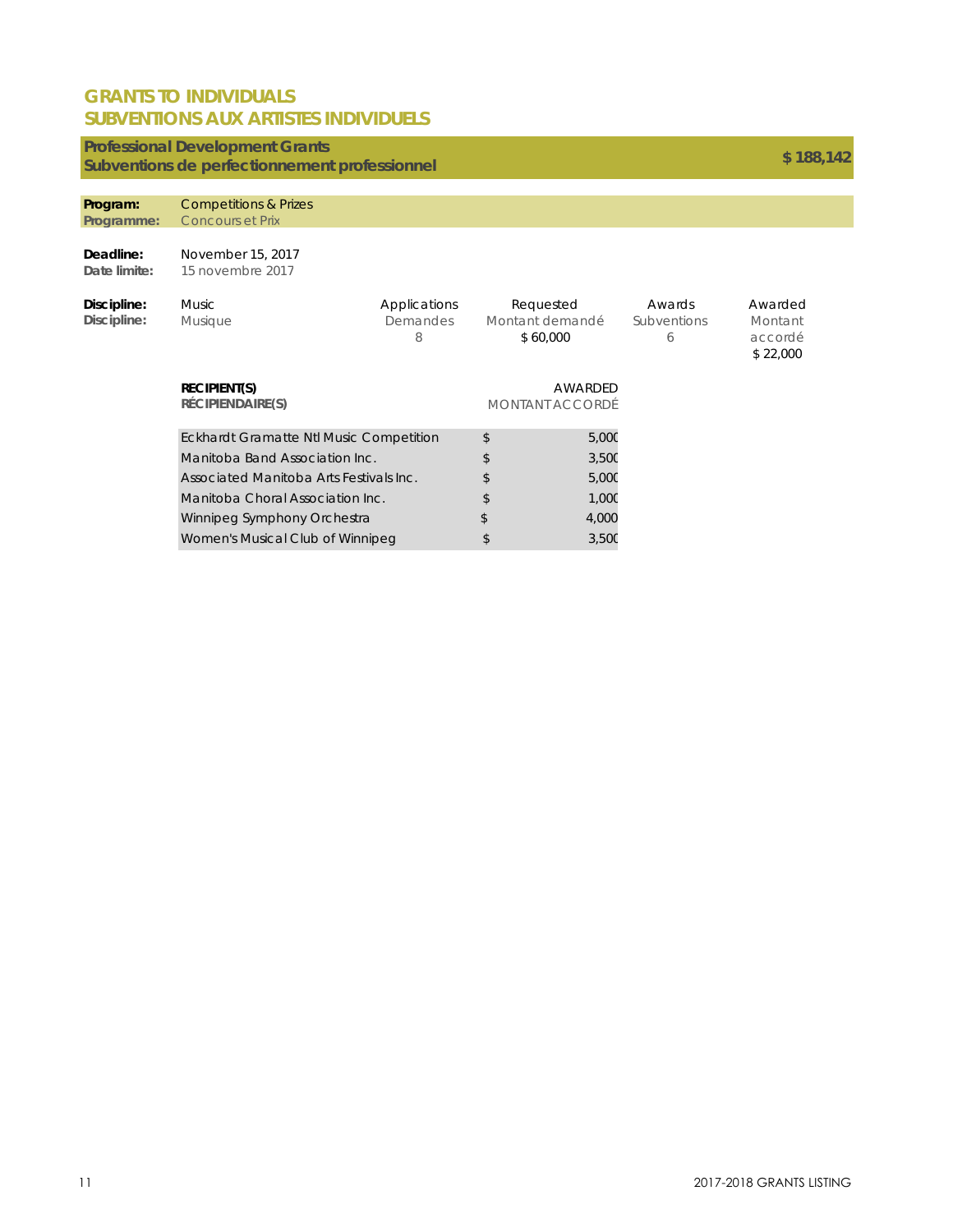### **GRANTS TO INDIVIDUALS SUBVENTIONS AUX ARTISTES INDIVIDUELS**

### **Professional Development Grants**

## **Subventions de perfectionnement professionnel \$ 188,142**

#### **Program:**  Competitions & Prizes

| Programme:                 | <b>Concours et Prix</b>                        |                               |                                          |                                   |                            |                                           |
|----------------------------|------------------------------------------------|-------------------------------|------------------------------------------|-----------------------------------|----------------------------|-------------------------------------------|
| Deadline:<br>Date limite:  | November 15, 2017<br>15 novembre 2017          |                               |                                          |                                   |                            |                                           |
| Discipline:<br>Discipline: | <b>Music</b><br><b>Musique</b>                 | Applications<br>Demandes<br>8 | Requested<br>Montant demandé<br>\$60,000 |                                   | Awards<br>Subventions<br>6 | Awarded<br>Montant<br>accordé<br>\$22,000 |
|                            | <b>RECIPIENT(S)</b><br>RÉCIPIENDAIRE(S)        |                               |                                          | AWARDED<br><b>MONTANT ACCORDÉ</b> |                            |                                           |
|                            | <b>Eckhardt Gramatte Ntl Music Competition</b> |                               | \$                                       | 5,00C                             |                            |                                           |
|                            | Manitoba Band Association Inc.                 |                               | \$                                       | 3,50C                             |                            |                                           |
|                            | Associated Manitoba Arts Festivals Inc.        |                               | \$                                       | 5,00C                             |                            |                                           |
|                            | Manitoba Choral Association Inc.               |                               | \$                                       | 1,00C                             |                            |                                           |
|                            | Winnipeg Symphony Orchestra                    |                               | \$                                       | 4,000                             |                            |                                           |
|                            | Women's Musical Club of Winnipeg               |                               | \$                                       | 3,50C                             |                            |                                           |
|                            |                                                |                               |                                          |                                   |                            |                                           |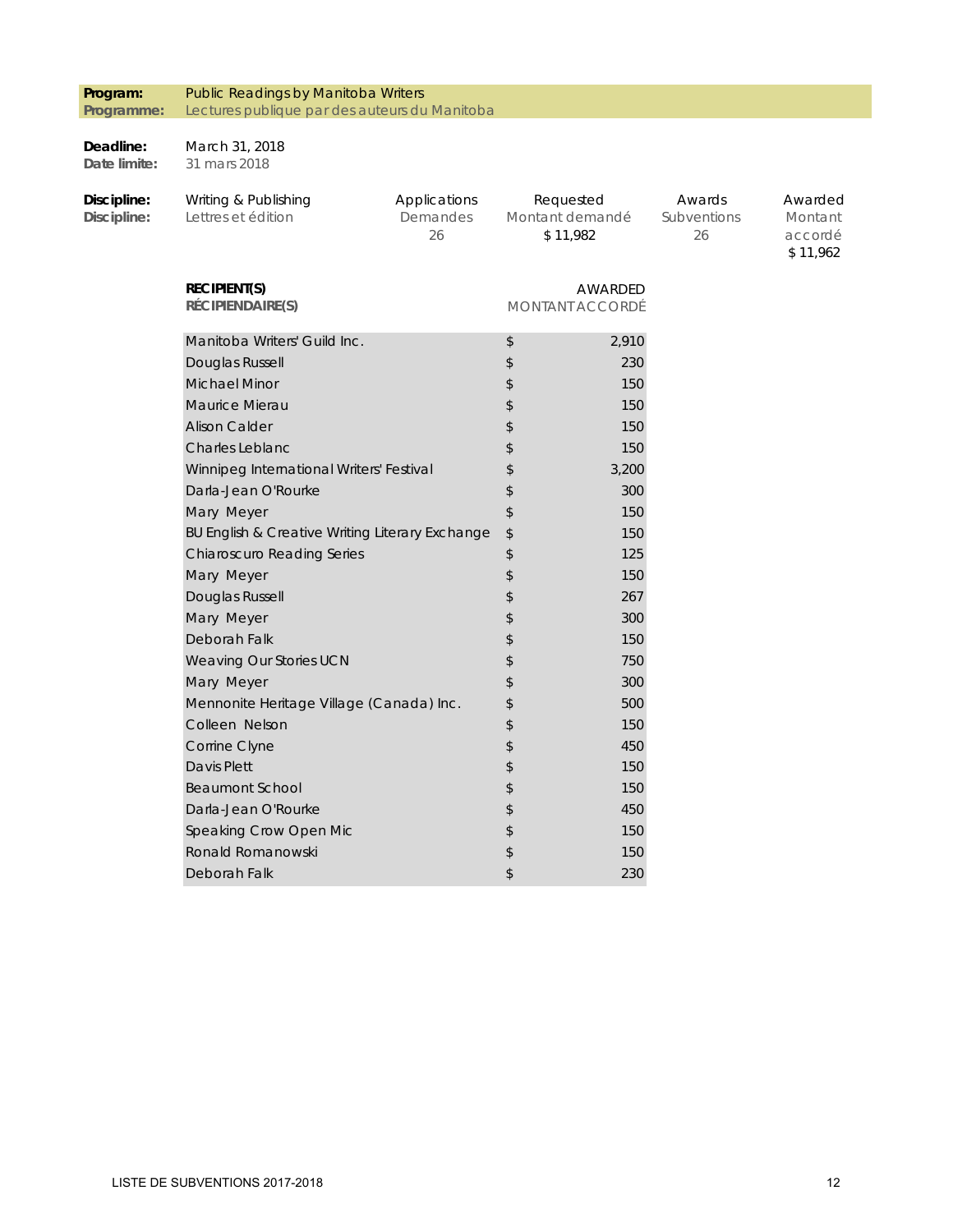#### **Program: Programme:**  Public Readings by Manitoba Writers Lectures publique par des auteurs du Manitoba

#### **Deadline:**  March 31, 2018

**Date limite:**  31 mars 2018

| Discipline:<br>Discipline: | Writing & Publishing<br>Lettres et édition      | Applications<br>Demandes<br>26 |                  | Requested<br>Montant demandé<br>\$11,982 | Awards<br>Subventions<br>26 | Awarded<br>Montant<br>accordé<br>\$11,962 |
|----------------------------|-------------------------------------------------|--------------------------------|------------------|------------------------------------------|-----------------------------|-------------------------------------------|
|                            | <b>RECIPIENT(S)</b><br>RÉCIPIENDAIRE(S)         |                                |                  | AWARDED<br>MONTANT ACCORDÉ               |                             |                                           |
|                            | Manitoba Writers' Guild Inc.                    |                                | \$               | 2,910                                    |                             |                                           |
|                            | Douglas Russell                                 |                                | $\mathsf{\$}$    | 230                                      |                             |                                           |
|                            | <b>Michael Minor</b>                            |                                | \$               | 150                                      |                             |                                           |
|                            | Maurice Mierau                                  |                                | \$               | 150                                      |                             |                                           |
|                            | <b>Alison Calder</b>                            |                                | \$               | 150                                      |                             |                                           |
|                            | <b>Charles Leblanc</b>                          |                                | \$               | 150                                      |                             |                                           |
|                            | Winnipeg International Writers' Festival        |                                | \$               | 3,200                                    |                             |                                           |
|                            | Darla-Jean O'Rourke                             |                                | $\mathsf{\$}$    | 300                                      |                             |                                           |
|                            | Mary Meyer                                      |                                | \$               | 150                                      |                             |                                           |
|                            | BU English & Creative Writing Literary Exchange |                                | $\frac{1}{2}$    | 150                                      |                             |                                           |
|                            | <b>Chiaroscuro Reading Series</b>               |                                | \$               | 125                                      |                             |                                           |
|                            | Mary Meyer                                      |                                | \$               | 150                                      |                             |                                           |
|                            | Douglas Russell                                 |                                | \$               | 267                                      |                             |                                           |
|                            | Mary Meyer                                      |                                | \$               | 300                                      |                             |                                           |
|                            | Deborah Falk                                    |                                | \$               | 150                                      |                             |                                           |
|                            | Weaving Our Stories UCN                         |                                | \$               | 750                                      |                             |                                           |
|                            | Mary Meyer                                      |                                | \$               | 300                                      |                             |                                           |
|                            | Mennonite Heritage Village (Canada) Inc.        |                                | $$\mathfrak{F}$$ | 500                                      |                             |                                           |
|                            | Colleen Nelson                                  |                                | \$               | 150                                      |                             |                                           |
|                            | Corrine Clyne                                   |                                | $\,$             | 450                                      |                             |                                           |
|                            | Davis Plett                                     |                                | \$               | 150                                      |                             |                                           |
|                            | <b>Beaumont School</b>                          |                                | \$               | 150                                      |                             |                                           |
|                            | Darla-Jean O'Rourke                             |                                | \$               | 450                                      |                             |                                           |
|                            | Speaking Crow Open Mic                          |                                | \$               | 150                                      |                             |                                           |
|                            | Ronald Romanowski                               |                                | \$               | 150                                      |                             |                                           |
|                            | Deborah Falk                                    |                                | \$               | 230                                      |                             |                                           |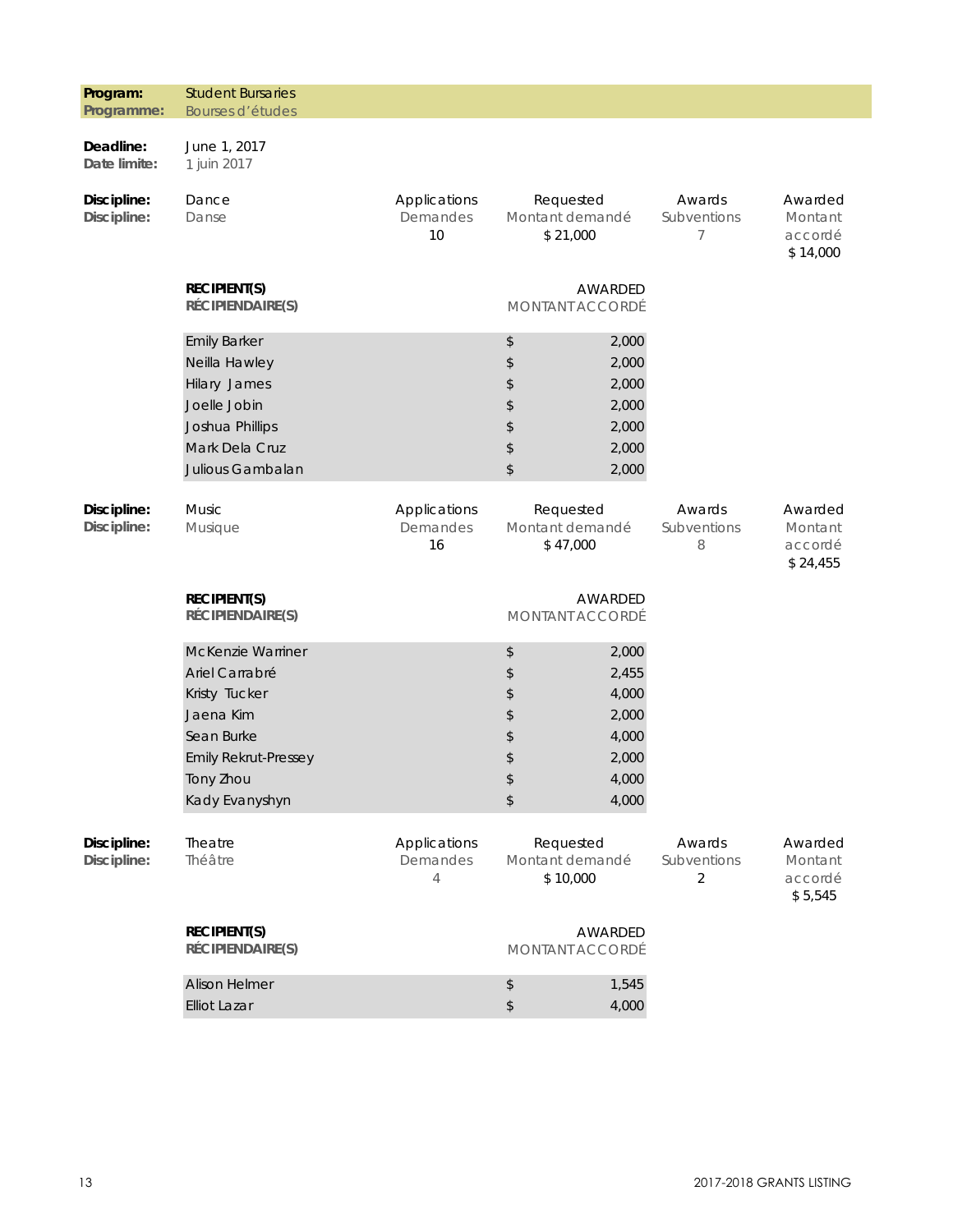| Program:<br>Programme:     | <b>Student Bursaries</b><br>Bourses d'études                                                                                                  |                                |                                                                                                                                 |                                         |                                           |
|----------------------------|-----------------------------------------------------------------------------------------------------------------------------------------------|--------------------------------|---------------------------------------------------------------------------------------------------------------------------------|-----------------------------------------|-------------------------------------------|
| Deadline:<br>Date limite:  | June 1, 2017<br>1 juin 2017                                                                                                                   |                                |                                                                                                                                 |                                         |                                           |
| Discipline:<br>Discipline: | Dance<br>Danse                                                                                                                                | Applications<br>Demandes<br>10 | Requested<br>Montant demandé<br>\$21,000                                                                                        | Awards<br>Subventions<br>7              | Awarded<br>Montant<br>accordé<br>\$14,000 |
|                            | <b>RECIPIENT(S)</b><br>RÉCIPIENDAIRE(S)                                                                                                       |                                | AWARDED<br>MONTANT ACCORDÉ                                                                                                      |                                         |                                           |
|                            | <b>Emily Barker</b><br>Neilla Hawley<br>Hilary James<br>Joelle Jobin<br>Joshua Phillips<br>Mark Dela Cruz<br>Julious Gambalan                 |                                | 2,000<br>\$<br>$\updownarrow$<br>2,000<br>\$<br>2,000<br>\$<br>2,000<br>\$<br>2,000<br>$\updownarrow$<br>2,000<br>$\,$<br>2,000 |                                         |                                           |
| Discipline:<br>Discipline: | <b>Music</b><br>Musique                                                                                                                       | Applications<br>Demandes<br>16 | Requested<br>Montant demandé<br>\$47,000                                                                                        | Awards<br>Subventions<br>8              | Awarded<br>Montant<br>accordé<br>\$24,455 |
|                            | <b>RECIPIENT(S)</b><br>RÉCIPIENDAIRE(S)                                                                                                       |                                | AWARDED<br>MONTANT ACCORDÉ                                                                                                      |                                         |                                           |
|                            | McKenzie Warriner<br>Ariel Carrabré<br>Kristy Tucker<br>Jaena Kim<br>Sean Burke<br><b>Emily Rekrut-Pressey</b><br>Tony Zhou<br>Kady Evanyshyn |                                | $\,$<br>2,000<br>\$<br>2,455<br>\$<br>4,000<br>\$<br>2,000<br>\$<br>4,000<br>\$<br>2,000<br>\$<br>4,000<br>\$<br>4,000          |                                         |                                           |
| Discipline:<br>Discipline: | Theatre<br>Théâtre                                                                                                                            | Applications<br>Demandes<br>4  | Requested<br>Montant demandé<br>\$10,000                                                                                        | Awards<br>Subventions<br>$\overline{2}$ | Awarded<br>Montant<br>accordé<br>\$5,545  |
|                            | <b>RECIPIENT(S)</b><br>RÉCIPIENDAIRE(S)                                                                                                       |                                | AWARDED<br>MONTANT ACCORDÉ                                                                                                      |                                         |                                           |
|                            | <b>Alison Helmer</b><br><b>Elliot Lazar</b>                                                                                                   |                                | 1,545<br>\$<br>$\,$<br>4,000                                                                                                    |                                         |                                           |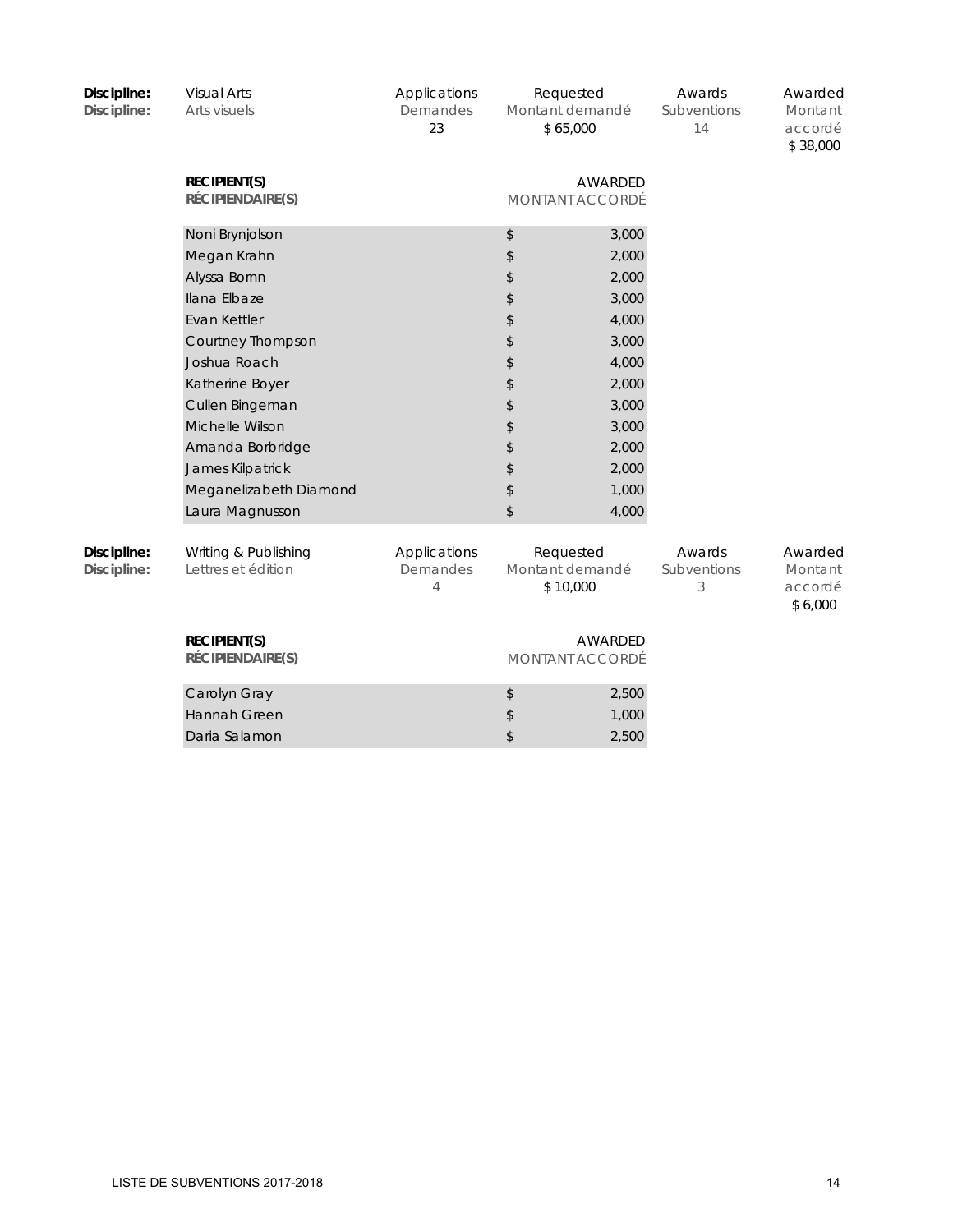| Discipline:<br>Discipline: | <b>Visual Arts</b><br>Arts visuels            | Applications<br>Demandes<br>23 | Requested<br>Montant demandé<br>\$65,000 |                            | Awards<br>Subventions<br>14 | Awarded<br>Montant<br>accordé<br>\$38,000 |
|----------------------------|-----------------------------------------------|--------------------------------|------------------------------------------|----------------------------|-----------------------------|-------------------------------------------|
|                            | <b>RECIPIENT(S)</b><br>RÉCIPIENDAIRE(S)       |                                |                                          | AWARDED<br>MONTANT ACCORDÉ |                             |                                           |
|                            | Noni Brynjolson                               |                                | \$                                       | 3,000                      |                             |                                           |
|                            | Megan Krahn                                   |                                | \$                                       | 2,000                      |                             |                                           |
|                            | Alyssa Bornn                                  |                                | \$                                       | 2,000                      |                             |                                           |
|                            | Ilana Elbaze                                  |                                | \$                                       | 3,000                      |                             |                                           |
|                            | Evan Kettler                                  |                                | \$                                       | 4,000                      |                             |                                           |
|                            | Courtney Thompson                             |                                | \$                                       | 3,000                      |                             |                                           |
|                            | Joshua Roach                                  |                                | \$                                       | 4,000                      |                             |                                           |
|                            | Katherine Boyer                               |                                | \$                                       | 2,000                      |                             |                                           |
|                            | Cullen Bingeman                               |                                | \$                                       | 3,000                      |                             |                                           |
|                            | Michelle Wilson                               |                                | \$                                       | 3,000                      |                             |                                           |
|                            | Amanda Borbridge                              |                                | \$                                       | 2,000                      |                             |                                           |
|                            | James Kilpatrick                              |                                | \$                                       | 2,000                      |                             |                                           |
|                            | Meganelizabeth Diamond                        |                                | \$                                       | 1,000                      |                             |                                           |
|                            | Laura Magnusson                               |                                | \$                                       | 4,000                      |                             |                                           |
| Discipline:<br>Discipline: | Writing & Publishing<br>Lettres et édition    | Applications<br>Demandes<br>4  | Requested<br>Montant demandé<br>\$10,000 |                            | Awards<br>Subventions<br>3  | Awarded<br>Montant<br>accordé<br>\$6,000  |
|                            | <b>RECIPIENT(S)</b><br>RÉCIPIENDAIRE(S)       |                                |                                          | AWARDED<br>MONTANT ACCORDÉ |                             |                                           |
|                            | Carolyn Gray<br>Hannah Green<br>Daria Salamon |                                | \$<br>\$<br>\$                           | 2,500<br>1,000<br>2,500    |                             |                                           |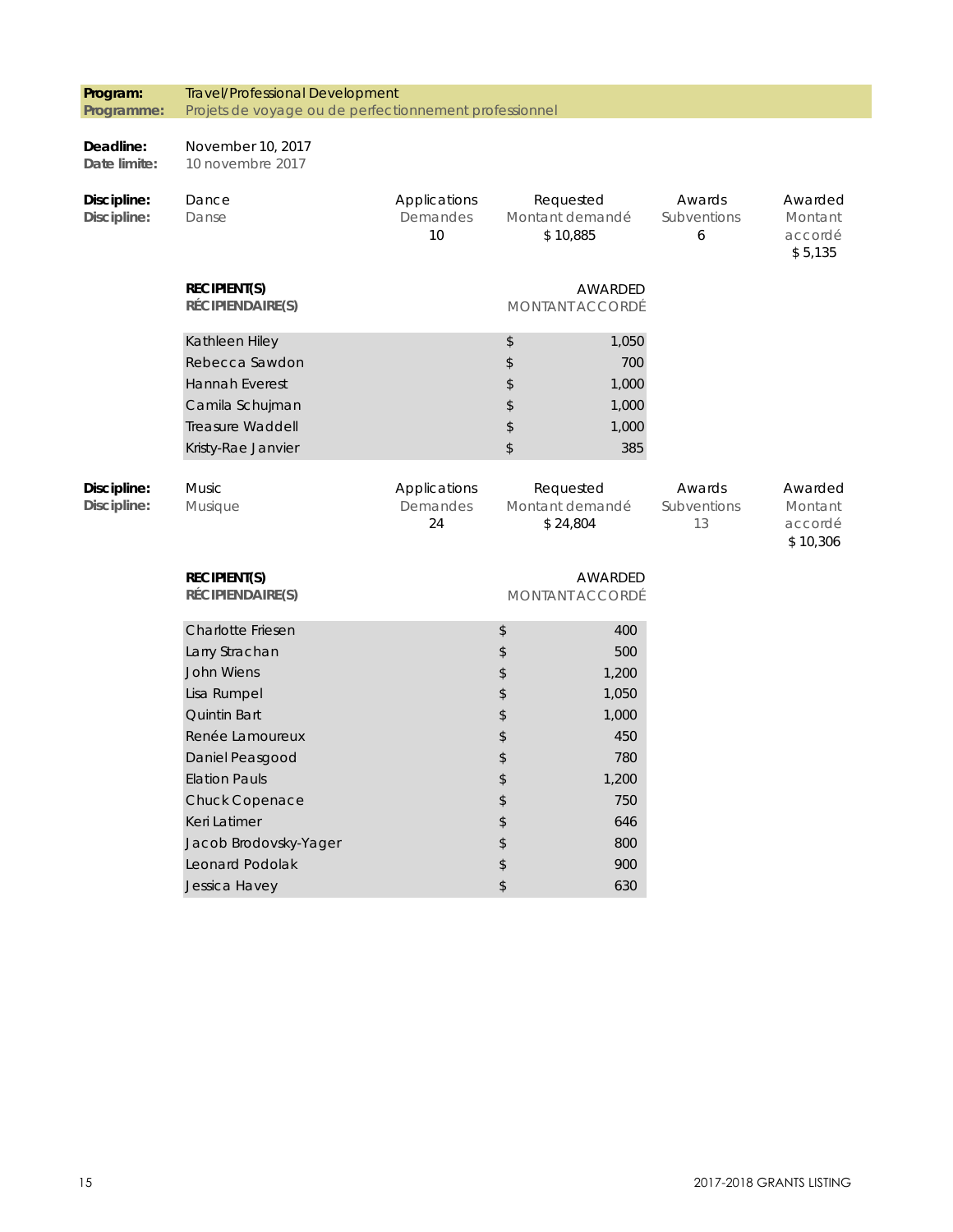| Program:                   | <b>Travel/Professional Development</b>                 |                                |                                          |                                          |                             |                                           |  |
|----------------------------|--------------------------------------------------------|--------------------------------|------------------------------------------|------------------------------------------|-----------------------------|-------------------------------------------|--|
| Programme:                 | Projets de voyage ou de perfectionnement professionnel |                                |                                          |                                          |                             |                                           |  |
| Deadline:<br>Date limite:  | November 10, 2017<br>10 novembre 2017                  |                                |                                          |                                          |                             |                                           |  |
| Discipline:<br>Discipline: | Dance<br>Danse                                         | Applications<br>Demandes<br>10 |                                          | Requested<br>Montant demandé<br>\$10,885 | Awards<br>Subventions<br>6  | Awarded<br>Montant<br>accordé<br>\$5,135  |  |
|                            | <b>RECIPIENT(S)</b><br>RÉCIPIENDAIRE(S)                |                                |                                          | AWARDED<br><b>MONTANT ACCORDÉ</b>        |                             |                                           |  |
|                            | Kathleen Hiley                                         |                                | \$                                       | 1,050                                    |                             |                                           |  |
|                            | Rebecca Sawdon                                         |                                | \$                                       | 700                                      |                             |                                           |  |
|                            | <b>Hannah Everest</b>                                  |                                | $\updownarrow$                           | 1,000                                    |                             |                                           |  |
|                            | Camila Schujman                                        |                                | \$                                       | 1,000                                    |                             |                                           |  |
|                            | <b>Treasure Waddell</b>                                |                                | \$                                       | 1,000                                    |                             |                                           |  |
|                            | Kristy-Rae Janvier                                     |                                | \$                                       | 385                                      |                             |                                           |  |
| Discipline:<br>Discipline: | <b>Music</b><br>Musique                                | Applications<br>Demandes<br>24 | Requested<br>Montant demandé<br>\$24,804 |                                          | Awards<br>Subventions<br>13 | Awarded<br>Montant<br>accordé<br>\$10,306 |  |
|                            | <b>RECIPIENT(S)</b><br>RÉCIPIENDAIRE(S)                |                                |                                          | AWARDED<br><b>MONTANT ACCORDÉ</b>        |                             |                                           |  |
|                            | Charlotte Friesen                                      |                                | \$                                       | 400                                      |                             |                                           |  |
|                            | Larry Strachan                                         |                                | \$                                       | 500                                      |                             |                                           |  |
|                            | <b>John Wiens</b>                                      |                                | \$                                       | 1,200                                    |                             |                                           |  |
|                            | Lisa Rumpel                                            |                                | $\updownarrow$                           | 1,050                                    |                             |                                           |  |
|                            | <b>Quintin Bart</b>                                    |                                | \$                                       | 1,000                                    |                             |                                           |  |
|                            | Renée Lamoureux                                        |                                | \$                                       | 450                                      |                             |                                           |  |
|                            | Daniel Peasgood                                        |                                | \$                                       | 780                                      |                             |                                           |  |
|                            | <b>Elation Pauls</b>                                   |                                | \$                                       | 1,200                                    |                             |                                           |  |
|                            | Chuck Copenace                                         |                                | \$                                       | 750                                      |                             |                                           |  |
|                            | Keri Latimer                                           |                                | \$                                       | 646                                      |                             |                                           |  |
|                            | Jacob Brodovsky-Yager                                  |                                | \$                                       | 800                                      |                             |                                           |  |
|                            | Leonard Podolak                                        |                                | \$                                       | 900                                      |                             |                                           |  |
|                            | Jessica Havey                                          |                                | \$                                       | 630                                      |                             |                                           |  |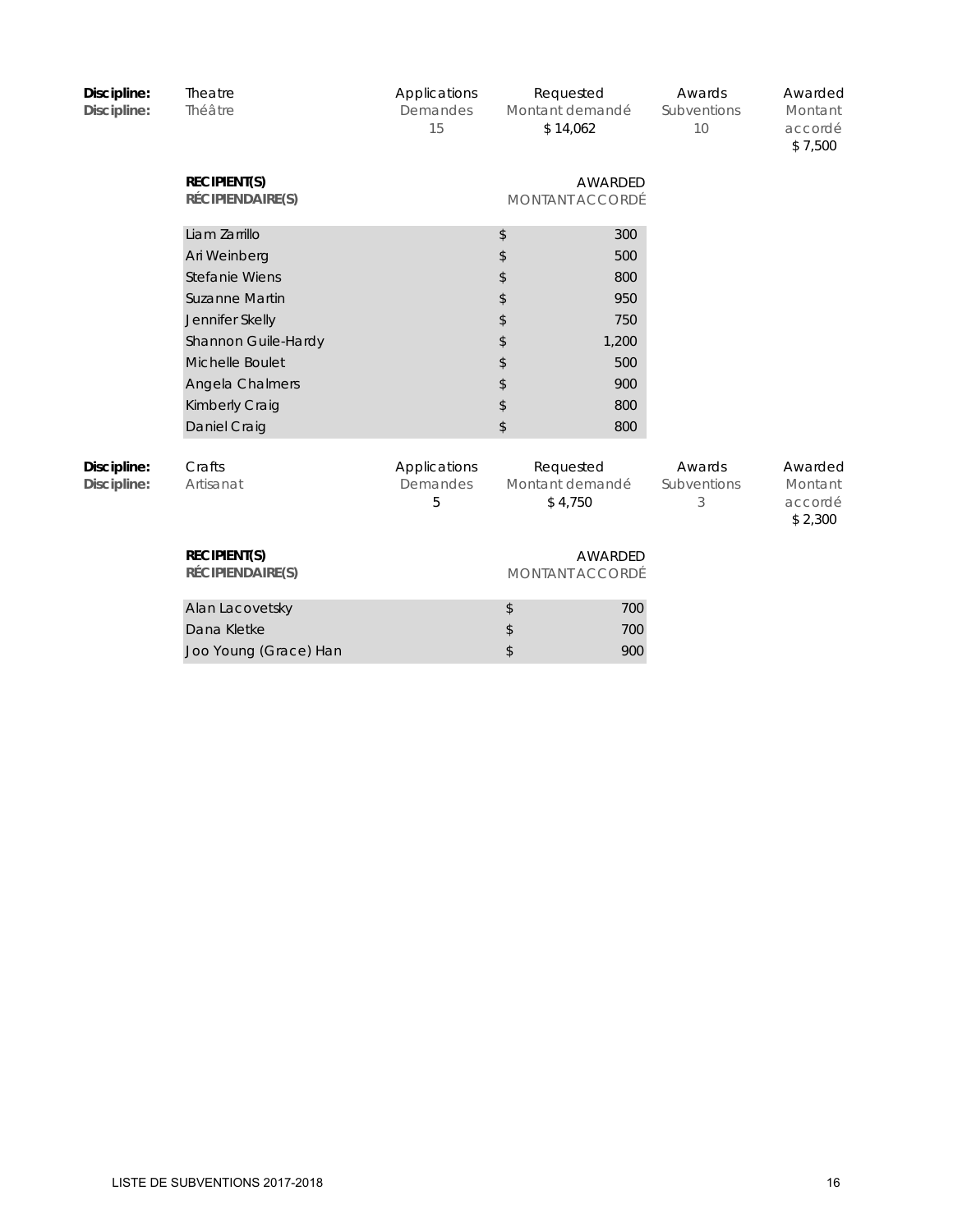| Discipline:<br>Discipline: | Theatre<br>Théâtre                      | Applications<br>Demandes<br>15 |                            | Requested<br>Montant demandé<br>\$14,062 | Awards<br>Subventions<br>10 | Awarded<br>Montant<br>accordé<br>\$7,500 |
|----------------------------|-----------------------------------------|--------------------------------|----------------------------|------------------------------------------|-----------------------------|------------------------------------------|
|                            | <b>RECIPIENT(S)</b><br>RÉCIPIENDAIRE(S) |                                |                            | AWARDED<br>MONTANT ACCORDÉ               |                             |                                          |
|                            | Liam Zarrillo                           |                                | \$                         | 300                                      |                             |                                          |
|                            | Ari Weinberg                            |                                | \$                         | 500                                      |                             |                                          |
|                            | Stefanie Wiens                          |                                | \$                         | 800                                      |                             |                                          |
|                            | <b>Suzanne Martin</b>                   |                                | \$                         | 950                                      |                             |                                          |
|                            | Jennifer Skelly                         |                                | \$                         | 750                                      |                             |                                          |
|                            | Shannon Guile-Hardy                     |                                | \$                         | 1,200                                    |                             |                                          |
|                            | Michelle Boulet                         |                                | \$                         | 500                                      |                             |                                          |
|                            | Angela Chalmers                         |                                | \$                         | 900                                      |                             |                                          |
|                            | Kimberly Craig                          |                                | \$                         | 800                                      |                             |                                          |
|                            | Daniel Craig                            |                                | \$                         | 800                                      |                             |                                          |
| Discipline:<br>Discipline: | Crafts<br>Artisanat                     | Applications<br>Demandes<br>5  |                            | Requested<br>Montant demandé<br>\$4,750  | Awards<br>Subventions<br>3  | Awarded<br>Montant<br>accordé<br>\$2,300 |
|                            | <b>RECIPIENT(S)</b><br>RÉCIPIENDAIRE(S) |                                | AWARDED<br>MONTANT ACCORDÉ |                                          |                             |                                          |
|                            | Alan Lacovetsky                         |                                | $\updownarrow$             | 700                                      |                             |                                          |
|                            | Dana Kletke                             |                                | \$                         | 700                                      |                             |                                          |
|                            | Joo Young (Grace) Han                   |                                | \$                         | 900                                      |                             |                                          |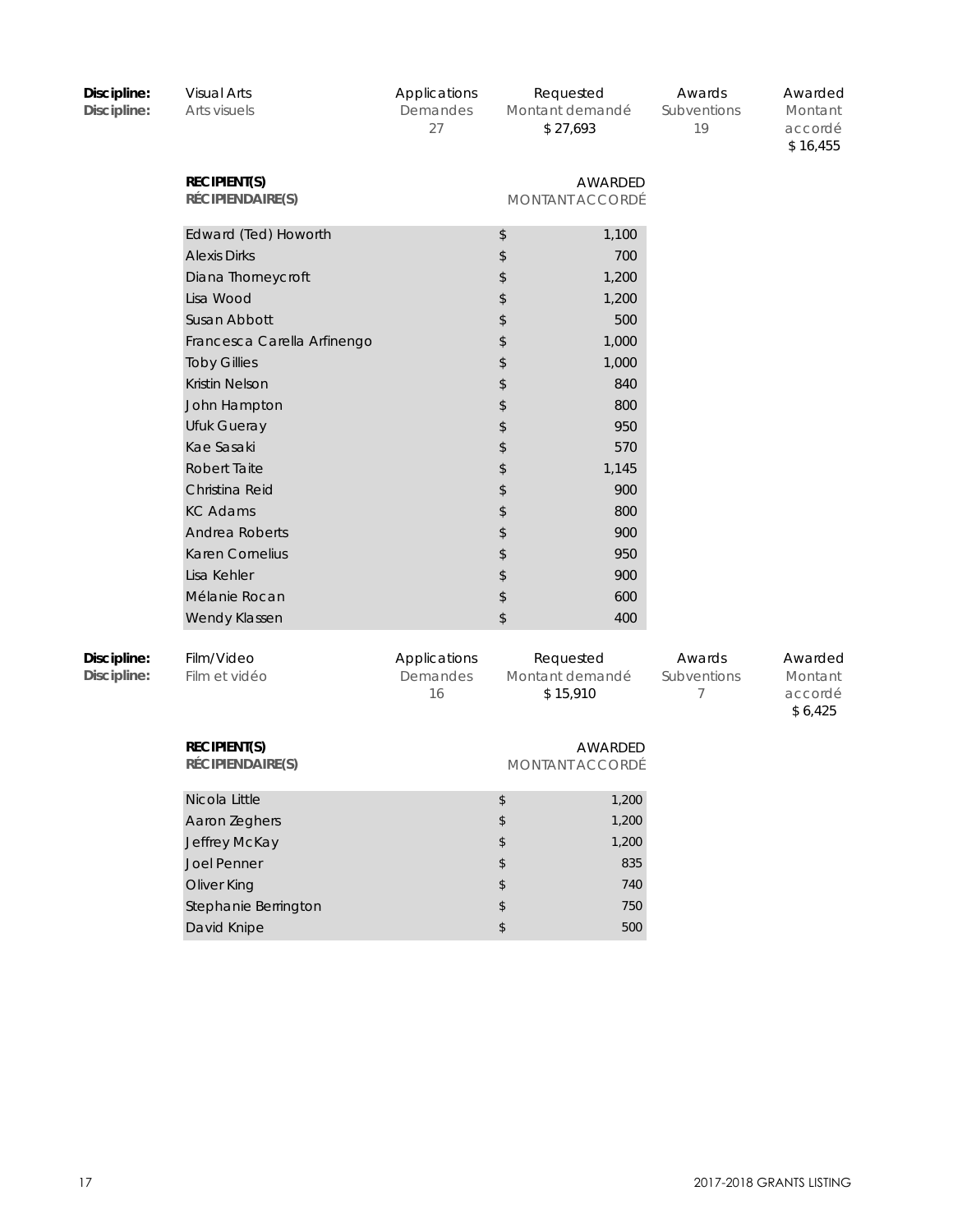| Discipline:<br>Discipline: | <b>Visual Arts</b><br>Arts visuels      | Applications<br>Demandes<br>27 |                | Requested<br>Montant demandé<br>\$27,693 | Awards<br>Subventions<br>19 | Awarded<br>Montant<br>accordé<br>\$16,455 |
|----------------------------|-----------------------------------------|--------------------------------|----------------|------------------------------------------|-----------------------------|-------------------------------------------|
|                            | <b>RECIPIENT(S)</b><br>RÉCIPIENDAIRE(S) |                                |                | AWARDED<br>MONTANT ACCORDÉ               |                             |                                           |
|                            | Edward (Ted) Howorth                    |                                | \$             | 1,100                                    |                             |                                           |
|                            | <b>Alexis Dirks</b>                     |                                | \$             | 700                                      |                             |                                           |
|                            | Diana Thorneycroft                      |                                | \$             | 1,200                                    |                             |                                           |
|                            | Lisa Wood                               |                                | \$             | 1,200                                    |                             |                                           |
|                            | Susan Abbott                            |                                | \$             | 500                                      |                             |                                           |
|                            | Francesca Carella Arfinengo             |                                | \$             | 1,000                                    |                             |                                           |
|                            | <b>Toby Gillies</b>                     |                                | \$             | 1,000                                    |                             |                                           |
|                            | Kristin Nelson                          |                                | \$             | 840                                      |                             |                                           |
|                            | John Hampton                            |                                | \$             | 800                                      |                             |                                           |
|                            | Ufuk Gueray                             |                                | \$             | 950                                      |                             |                                           |
|                            | Kae Sasaki                              |                                | \$             | 570                                      |                             |                                           |
|                            | <b>Robert Taite</b>                     |                                | \$             | 1,145                                    |                             |                                           |
|                            | Christina Reid                          |                                | \$             | 900                                      |                             |                                           |
|                            | <b>KC Adams</b>                         |                                | \$             | 800                                      |                             |                                           |
|                            | Andrea Roberts                          |                                | \$             | 900                                      |                             |                                           |
|                            | Karen Cornelius                         |                                | \$             | 950                                      |                             |                                           |
|                            | Lisa Kehler                             |                                | \$             | 900                                      |                             |                                           |
|                            | Mélanie Rocan                           |                                | $\updownarrow$ | 600                                      |                             |                                           |
|                            | Wendy Klassen                           |                                | $\,$           | 400                                      |                             |                                           |
| Discipline:<br>Discipline: | Film/Video<br>Film et vidéo             | Applications<br>Demandes<br>16 |                | Requested<br>Montant demandé<br>\$15,910 | Awards<br>Subventions<br>7  | Awarded<br>Montant<br>accordé<br>\$6,425  |
|                            | <b>RECIPIENT(S)</b><br>RÉCIPIENDAIRE(S) |                                |                | AWARDED<br><b>MONTANT ACCORDÉ</b>        |                             |                                           |
|                            | Nicola Little                           |                                | \$             | 1,200                                    |                             |                                           |
|                            | Aaron Zeghers                           |                                | \$             | 1,200                                    |                             |                                           |
|                            | Jeffrey McKay                           |                                | \$             | 1,200                                    |                             |                                           |
|                            | Joel Penner                             |                                | \$             | 835                                      |                             |                                           |
|                            | Oliver King                             |                                | \$             | 740                                      |                             |                                           |
|                            | Stephanie Berrington                    |                                | \$             | 750                                      |                             |                                           |
|                            | David Knipe                             |                                | \$             | 500                                      |                             |                                           |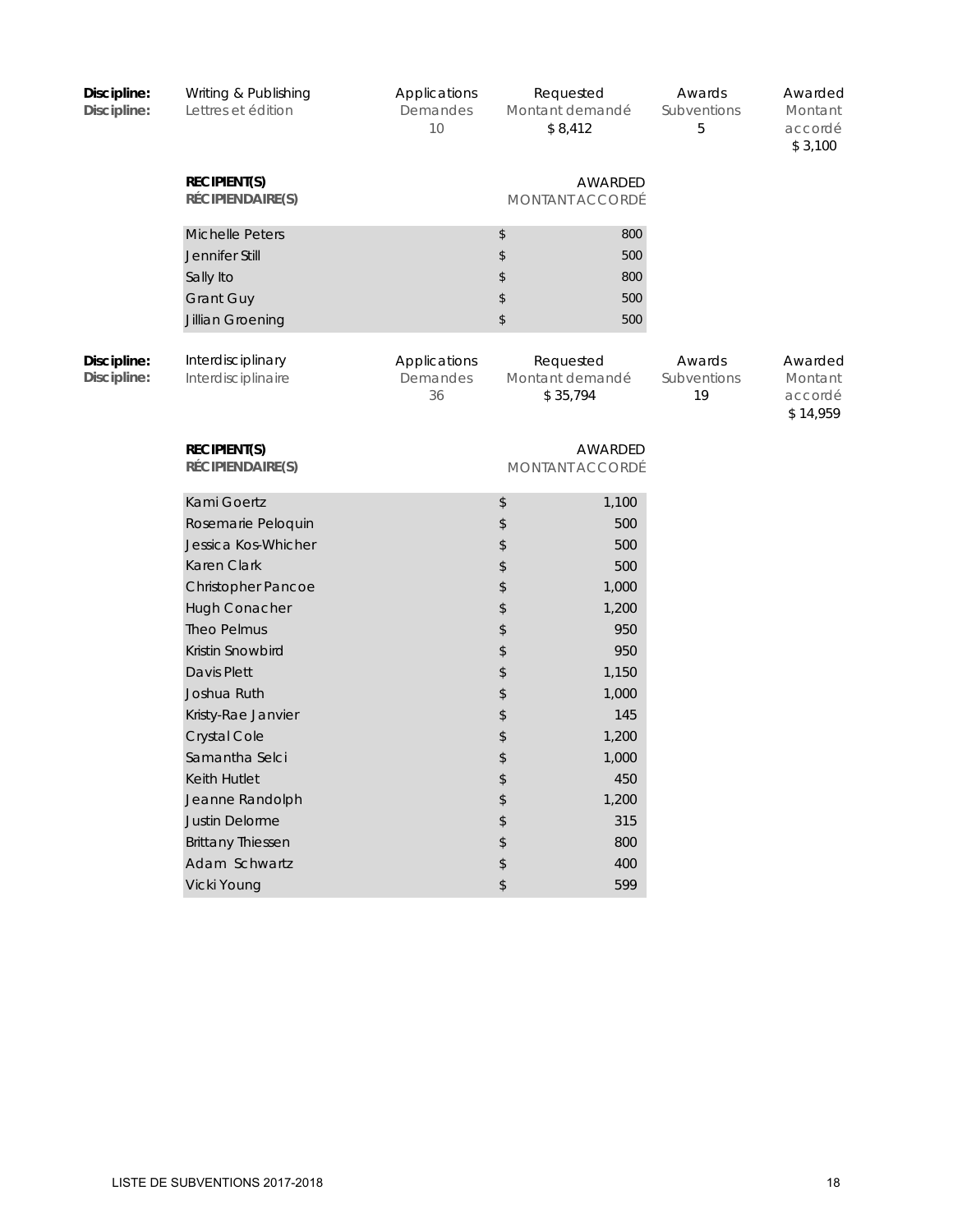| Discipline:<br>Discipline: | Writing & Publishing<br>Lettres et édition                                                           | Applications<br>Demandes<br>10 | Requested<br>Montant demandé<br>\$8,412  |                                 | Awards<br>Subventions<br>5  | Awarded<br>Montant<br>accordé<br>\$3,100  |
|----------------------------|------------------------------------------------------------------------------------------------------|--------------------------------|------------------------------------------|---------------------------------|-----------------------------|-------------------------------------------|
|                            | <b>RECIPIENT(S)</b><br>RÉCIPIENDAIRE(S)                                                              |                                |                                          | AWARDED<br>MONTANT ACCORDÉ      |                             |                                           |
|                            | <b>Michelle Peters</b><br>Jennifer Still<br>Sally Ito<br><b>Grant Guy</b><br><b>Jillian Groening</b> |                                | \$<br>\$<br>\$<br>\$<br>\$               | 800<br>500<br>800<br>500<br>500 |                             |                                           |
| Discipline:<br>Discipline: | Interdisciplinary<br>Interdisciplinaire                                                              | Applications<br>Demandes<br>36 | Requested<br>Montant demandé<br>\$35,794 |                                 | Awards<br>Subventions<br>19 | Awarded<br>Montant<br>accordé<br>\$14,959 |
|                            | <b>RECIPIENT(S)</b><br>RÉCIPIENDAIRE(S)                                                              |                                |                                          | AWARDED<br>MONTANT ACCORDÉ      |                             |                                           |
|                            | Kami Goertz                                                                                          |                                | \$                                       | 1,100                           |                             |                                           |
|                            | Rosemarie Peloquin                                                                                   |                                | \$                                       | 500                             |                             |                                           |
|                            | Jessica Kos-Whicher                                                                                  |                                | \$                                       | 500                             |                             |                                           |
|                            | Karen Clark                                                                                          |                                | \$                                       | 500                             |                             |                                           |
|                            | <b>Christopher Pancoe</b>                                                                            |                                | \$                                       | 1,000                           |                             |                                           |
|                            | Hugh Conacher                                                                                        |                                | \$                                       | 1,200                           |                             |                                           |
|                            | <b>Theo Pelmus</b>                                                                                   |                                | \$                                       | 950                             |                             |                                           |
|                            | Kristin Snowbird                                                                                     |                                | \$                                       | 950                             |                             |                                           |
|                            | Davis Plett                                                                                          |                                | \$                                       | 1,150                           |                             |                                           |
|                            | Joshua Ruth                                                                                          |                                | \$                                       | 1,000                           |                             |                                           |
|                            | Kristy-Rae Janvier                                                                                   |                                | \$                                       | 145                             |                             |                                           |
|                            | <b>Crystal Cole</b>                                                                                  |                                | \$                                       | 1,200                           |                             |                                           |
|                            | Samantha Selci                                                                                       |                                | \$                                       | 1,000                           |                             |                                           |
|                            | Keith Hutlet                                                                                         |                                | \$                                       | 450                             |                             |                                           |
|                            | Jeanne Randolph                                                                                      |                                | \$                                       | 1,200                           |                             |                                           |
|                            | Justin Delorme                                                                                       |                                | \$                                       | 315                             |                             |                                           |
|                            | <b>Brittany Thiessen</b>                                                                             |                                | \$                                       | 800                             |                             |                                           |
|                            | Adam Schwartz                                                                                        |                                | \$                                       | 400                             |                             |                                           |
|                            | Vicki Young                                                                                          |                                | \$                                       | 599                             |                             |                                           |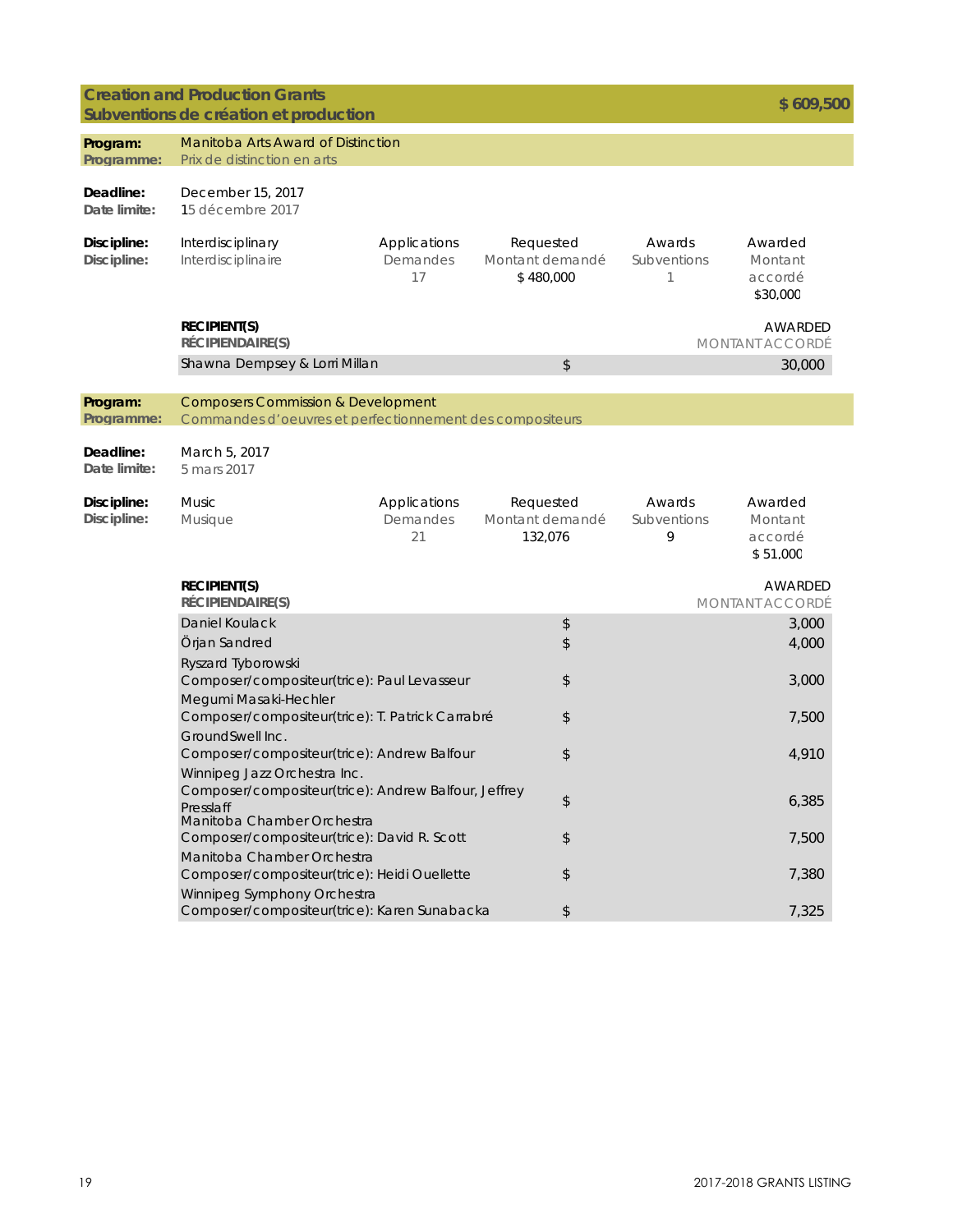## **Creation and Production Grants**

|                            | Creation and Hougehon Oranis<br>Subventions de création et production                                     |                                |                                           |                            | \$609,500                                 |
|----------------------------|-----------------------------------------------------------------------------------------------------------|--------------------------------|-------------------------------------------|----------------------------|-------------------------------------------|
| Program:<br>Programme:     | Manitoba Arts Award of Distinction<br>Prix de distinction en arts                                         |                                |                                           |                            |                                           |
| Deadline:<br>Date limite:  | December 15, 2017<br>15 décembre 2017                                                                     |                                |                                           |                            |                                           |
| Discipline:<br>Discipline: | Interdisciplinary<br>Interdisciplinaire                                                                   | Applications<br>Demandes<br>17 | Requested<br>Montant demandé<br>\$480,000 | Awards<br>Subventions<br>1 | Awarded<br>Montant<br>accordé<br>\$30,000 |
|                            | <b>RECIPIENT(S)</b><br>RÉCIPIENDAIRE(S)                                                                   |                                |                                           |                            | AWARDED<br><b>MONTANT ACCORDÉ</b>         |
|                            | Shawna Dempsey & Lorri Millan                                                                             |                                | \$                                        |                            | 30,000                                    |
| Program:<br>Programme:     | <b>Composers Commission &amp; Development</b><br>Commandes d'oeuvres et perfectionnement des compositeurs |                                |                                           |                            |                                           |
| Deadline:<br>Date limite:  | March 5, 2017<br>5 mars 2017                                                                              |                                |                                           |                            |                                           |
| Discipline:<br>Discipline: | Music<br>Musique                                                                                          | Applications<br>Demandes<br>21 | Requested<br>Montant demandé<br>132,076   | Awards<br>Subventions<br>9 | Awarded<br>Montant<br>accordé<br>\$51,000 |
|                            | <b>RECIPIENT(S)</b><br>RÉCIPIENDAIRE(S)                                                                   |                                |                                           |                            | AWARDED<br><b>MONTANT ACCORDÉ</b>         |
|                            | Daniel Koulack                                                                                            |                                | \$                                        |                            | 3,000                                     |
|                            | Örjan Sandred                                                                                             |                                | \$                                        |                            | 4,000                                     |
|                            | Ryszard Tyborowski                                                                                        |                                |                                           |                            |                                           |
|                            | Composer/compositeur(trice): Paul Levasseur                                                               |                                | \$                                        |                            | 3,000                                     |
|                            | Megumi Masaki-Hechler<br>Composer/compositeur(trice): T. Patrick Carrabré                                 |                                | \$                                        |                            | 7,500                                     |
|                            | GroundSwell Inc.                                                                                          |                                |                                           |                            |                                           |
|                            | Composer/compositeur(trice): Andrew Balfour                                                               |                                | \$                                        |                            | 4,910                                     |
|                            | Winnipeg Jazz Orchestra Inc.<br>Composer/compositeur(trice): Andrew Balfour, Jeffrey<br>Presslaff         |                                | \$                                        |                            | 6,385                                     |
|                            | Manitoba Chamber Orchestra                                                                                |                                |                                           |                            |                                           |
|                            | Composer/compositeur(trice): David R. Scott<br>Manitoba Chamber Orchestra                                 |                                | \$                                        |                            | 7,500                                     |
|                            | Composer/compositeur(trice): Heidi Ouellette                                                              |                                | \$                                        |                            | 7,380                                     |
|                            | Winnipeg Symphony Orchestra                                                                               |                                |                                           |                            |                                           |
|                            | Composer/compositeur(trice): Karen Sunabacka                                                              |                                | \$                                        |                            | 7,325                                     |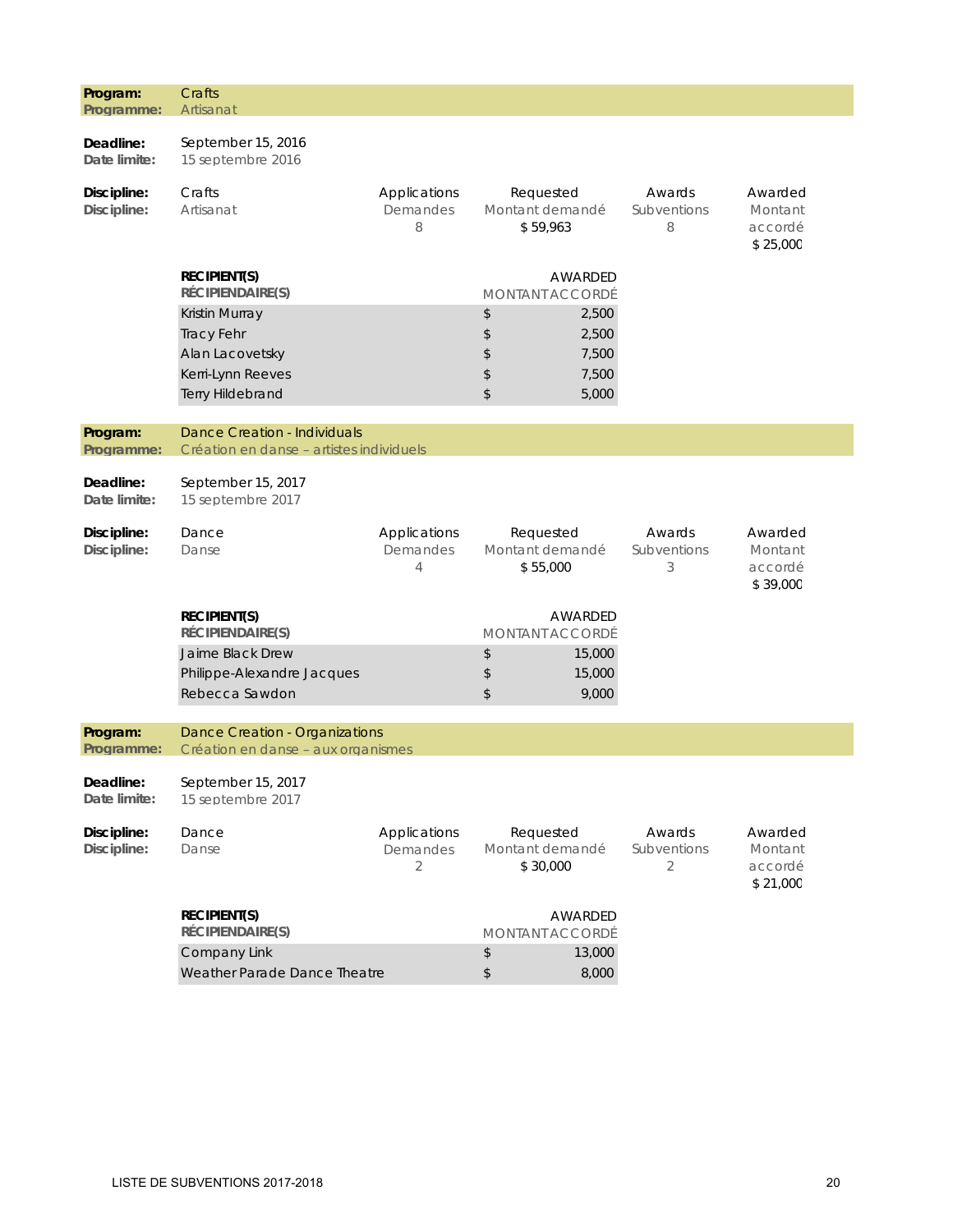| Program:                   | Crafts<br>Artisanat                                                                             |                               |                                          |                                           |                            |                                           |
|----------------------------|-------------------------------------------------------------------------------------------------|-------------------------------|------------------------------------------|-------------------------------------------|----------------------------|-------------------------------------------|
| Programme:                 |                                                                                                 |                               |                                          |                                           |                            |                                           |
| Deadline:<br>Date limite:  | September 15, 2016<br>15 septembre 2016                                                         |                               |                                          |                                           |                            |                                           |
| Discipline:<br>Discipline: | Crafts<br>Artisanat                                                                             | Applications<br>Demandes<br>8 | Requested<br>Montant demandé<br>\$59,963 |                                           | Awards<br>Subventions<br>8 | Awarded<br>Montant<br>accordé<br>\$25,000 |
|                            | <b>RECIPIENT(S)</b><br>RÉCIPIENDAIRE(S)                                                         |                               |                                          | AWARDED<br><b>MONTANT ACCORDÉ</b>         |                            |                                           |
|                            | Kristin Murray<br><b>Tracy Fehr</b><br>Alan Lacovetsky<br>Kerri-Lynn Reeves<br>Terry Hildebrand |                               | \$<br>\$<br>\$<br>\$<br>\$               | 2,500<br>2,500<br>7,500<br>7,500<br>5,000 |                            |                                           |
| Program:                   | <b>Dance Creation - Individuals</b>                                                             |                               |                                          |                                           |                            |                                           |
| Programme:                 | Création en danse - artistes individuels                                                        |                               |                                          |                                           |                            |                                           |
| Deadline:<br>Date limite:  | September 15, 2017<br>15 septembre 2017                                                         |                               |                                          |                                           |                            |                                           |
| Discipline:<br>Discipline: | Dance<br>Danse                                                                                  | Applications<br>Demandes<br>4 | Requested<br>Montant demandé<br>\$55,000 |                                           | Awards<br>Subventions<br>3 | Awarded<br>Montant<br>accordé<br>\$39,000 |
|                            | <b>RECIPIENT(S)</b><br><b>RÉCIPIENDAIRE(S)</b>                                                  |                               |                                          | AWARDED<br>MONTANT ACCORDÉ                |                            |                                           |
|                            | Jaime Black Drew<br>Philippe-Alexandre Jacques<br>Rebecca Sawdon                                |                               | $\updownarrow$<br>\$<br>\$               | 15,000<br>15,000<br>9,000                 |                            |                                           |
| Program:                   | Dance Creation - Organizations                                                                  |                               |                                          |                                           |                            |                                           |
| Programme:                 | Création en danse - aux organismes                                                              |                               |                                          |                                           |                            |                                           |
| Deadline:<br>Date limite:  | September 15, 2017<br>15 septembre 2017                                                         |                               |                                          |                                           |                            |                                           |
| Discipline:<br>Discipline: | Dance<br>Danse                                                                                  | Applications<br>Demandes<br>2 | Requested<br>Montant demandé<br>\$30,000 |                                           | Awards<br>Subventions<br>2 | Awarded<br>Montant<br>accordé<br>\$21,000 |
|                            | <b>RECIPIENT(S)</b><br>RÉCIPIENDAIRE(S)                                                         |                               |                                          | AWARDED<br>MONTANT ACCORDÉ                |                            |                                           |
|                            | Company Link<br>Weather Parade Dance Theatre                                                    |                               | \$<br>$\,$                               | 13,000<br>8,000                           |                            |                                           |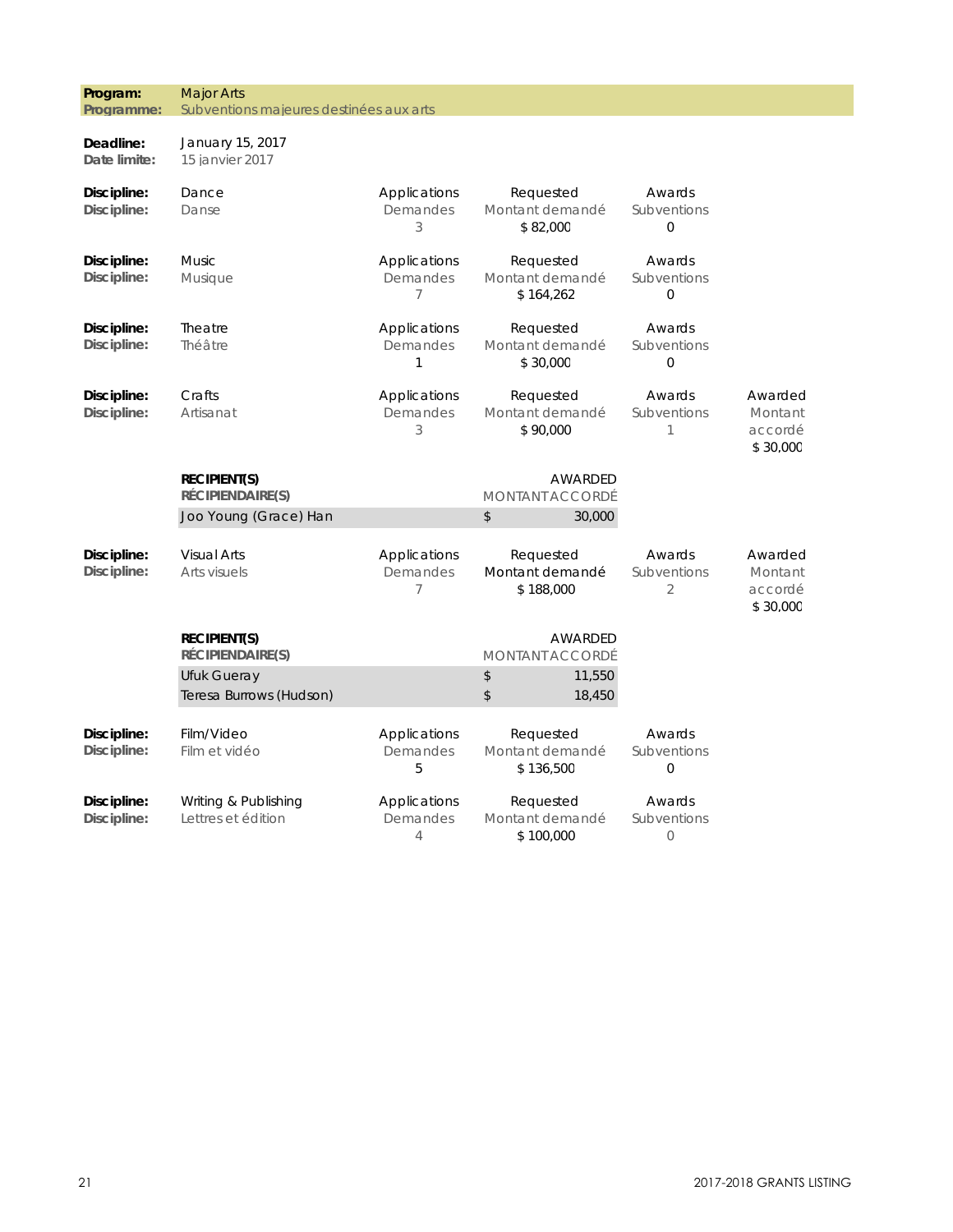| Program:<br>Programme:     | <b>Major Arts</b><br>Subventions majeures destinées aux arts |                                            |                                           |                                         |                                           |
|----------------------------|--------------------------------------------------------------|--------------------------------------------|-------------------------------------------|-----------------------------------------|-------------------------------------------|
| Deadline:<br>Date limite:  | January 15, 2017<br>15 janvier 2017                          |                                            |                                           |                                         |                                           |
| Discipline:<br>Discipline: | Dance<br>Danse                                               | Applications<br>Demandes<br>3              | Requested<br>Montant demandé<br>\$82,000  | Awards<br>Subventions<br>$\mathbf{O}$   |                                           |
| Discipline:<br>Discipline: | <b>Music</b><br><b>Musique</b>                               | Applications<br>Demandes<br>$\overline{7}$ | Requested<br>Montant demandé<br>\$164,262 | Awards<br>Subventions<br>$\Omega$       |                                           |
| Discipline:<br>Discipline: | Theatre<br>Théâtre                                           | Applications<br>Demandes<br>1              | Requested<br>Montant demandé<br>\$30,000  | Awards<br>Subventions<br>$\overline{0}$ |                                           |
| Discipline:<br>Discipline: | Crafts<br>Artisanat                                          | Applications<br>Demandes<br>3              | Requested<br>Montant demandé<br>\$90,000  | Awards<br>Subventions<br>1              | Awarded<br>Montant<br>accordé<br>\$30,000 |
|                            | <b>RECIPIENT(S)</b><br>RÉCIPIENDAIRE(S)                      |                                            | AWARDED<br><b>MONTANT ACCORDÉ</b>         |                                         |                                           |
|                            | Joo Young (Grace) Han                                        |                                            | $\mathsf{\$}$<br>30,000                   |                                         |                                           |
| Discipline:<br>Discipline: | <b>Visual Arts</b><br>Arts visuels                           | Applications<br>Demandes<br>7              | Requested<br>Montant demandé<br>\$188,000 | Awards<br>Subventions<br>2              | Awarded<br>Montant<br>accordé<br>\$30,000 |
|                            | <b>RECIPIENT(S)</b><br>RÉCIPIENDAIRE(S)                      |                                            | <b>AWARDED</b><br><b>MONTANT ACCORDÉ</b>  |                                         |                                           |
|                            | Ufuk Gueray<br>Teresa Burrows (Hudson)                       |                                            | \$<br>11,550<br>\$<br>18,450              |                                         |                                           |
| Discipline:<br>Discipline: | Film/Video<br>Film et vidéo                                  | Applications<br>Demandes<br>5              | Requested<br>Montant demandé<br>\$136,500 | Awards<br>Subventions<br>0              |                                           |
| Discipline:<br>Discipline: | Writing & Publishing<br>Lettres et édition                   | Applications<br>Demandes<br>$\overline{4}$ | Requested<br>Montant demandé<br>\$100,000 | Awards<br>Subventions<br>$\circ$        |                                           |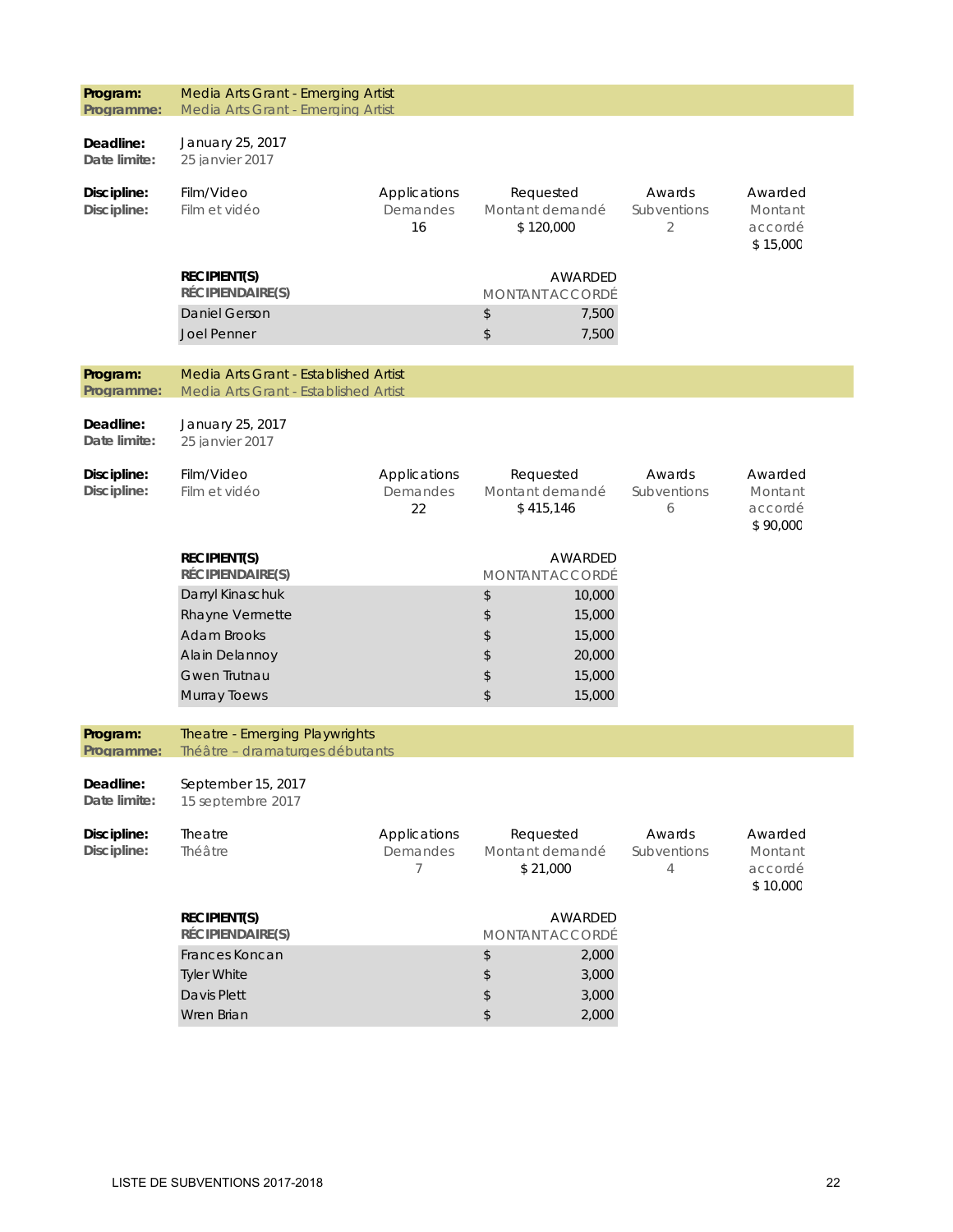| Program:<br>Programme:     | Media Arts Grant - Emerging Artist<br>Media Arts Grant - Emerging Artist                           |                                |                                                                              |                            |                                           |
|----------------------------|----------------------------------------------------------------------------------------------------|--------------------------------|------------------------------------------------------------------------------|----------------------------|-------------------------------------------|
| Deadline:<br>Date limite:  | January 25, 2017<br>25 janvier 2017                                                                |                                |                                                                              |                            |                                           |
| Discipline:<br>Discipline: | Film/Video<br>Film et vidéo                                                                        | Applications<br>Demandes<br>16 | Requested<br>Montant demandé<br>\$120,000                                    | Awards<br>Subventions<br>2 | Awarded<br>Montant<br>accordé<br>\$15,000 |
|                            | <b>RECIPIENT(S)</b><br>RÉCIPIENDAIRE(S)<br><b>Daniel Gerson</b>                                    |                                | AWARDED<br><b>MONTANT ACCORDÉ</b><br>\$<br>7,500                             |                            |                                           |
|                            | <b>Joel Penner</b>                                                                                 |                                | \$<br>7,500                                                                  |                            |                                           |
| Program:<br>Programme:     | Media Arts Grant - Established Artist<br>Media Arts Grant - Established Artist                     |                                |                                                                              |                            |                                           |
| Deadline:<br>Date limite:  | January 25, 2017<br>25 janvier 2017                                                                |                                |                                                                              |                            |                                           |
| Discipline:<br>Discipline: | Film/Video<br>Film et vidéo                                                                        | Applications<br>Demandes<br>22 | Requested<br>Montant demandé<br>\$415,146                                    | Awards<br>Subventions<br>6 | Awarded<br>Montant<br>accordé<br>\$90,000 |
|                            | <b>RECIPIENT(S)</b><br>RÉCIPIENDAIRE(S)                                                            |                                | AWARDED<br>MONTANT ACCORDÉ                                                   |                            |                                           |
|                            | Darryl Kinaschuk<br>Rhayne Vermette<br><b>Adam Brooks</b><br>Alain Delannoy<br><b>Gwen Trutnau</b> |                                | \$<br>10,000<br>\$<br>15,000<br>\$<br>15,000<br>20,000<br>\$<br>\$<br>15,000 |                            |                                           |
|                            | Murray Toews                                                                                       |                                | \$<br>15,000                                                                 |                            |                                           |
| Program:<br>Programme:     | Theatre - Emerging Playwrights<br>Théâtre - dramaturges débutants                                  |                                |                                                                              |                            |                                           |
| Deadline:<br>Date limite:  | September 15, 2017<br>15 septembre 2017                                                            |                                |                                                                              |                            |                                           |
| Discipline:<br>Discipline: | Theatre<br>Théâtre                                                                                 | Applications<br>Demandes<br>7  | Requested<br>Montant demandé<br>\$21,000                                     | Awards<br>Subventions<br>4 | Awarded<br>Montant<br>accordé<br>\$10,000 |
|                            | <b>RECIPIENT(S)</b><br>RÉCIPIENDAIRE(S)<br>Frances Koncan                                          |                                | AWARDED<br><b>MONTANT ACCORDÉ</b><br>\$<br>2,000                             |                            |                                           |
|                            | <b>Tyler White</b><br>Davis Plett                                                                  |                                | 3,000<br>\$<br>\$<br>3,000                                                   |                            |                                           |
|                            | Wren Brian                                                                                         |                                | $\updownarrow$<br>2,000                                                      |                            |                                           |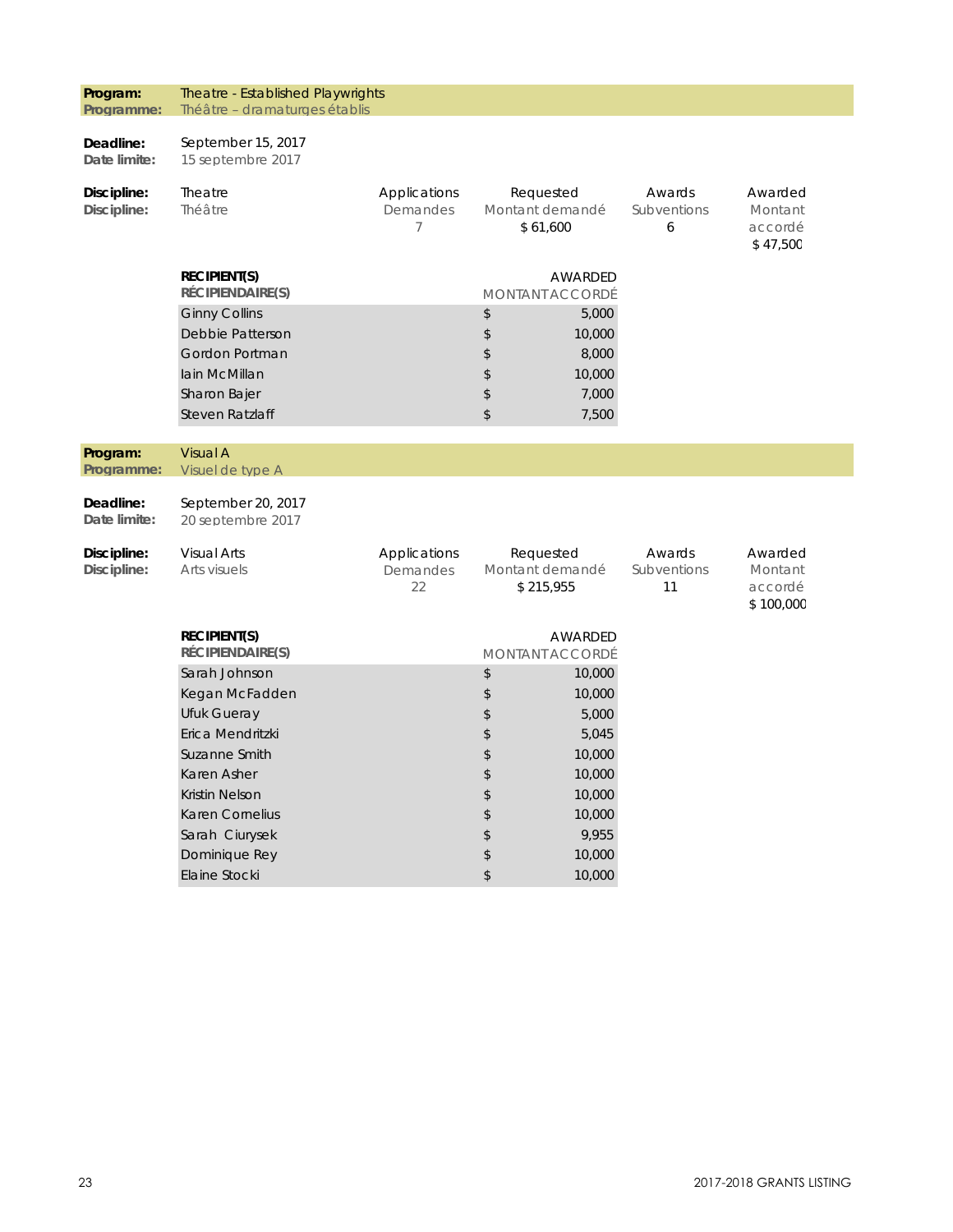| Program:<br>Programme:     | Theatre - Established Playwrights<br>Théâtre - dramaturges établis                                                                                                                |                                            |                                                                                                          |                                                                                               |                             |                                            |
|----------------------------|-----------------------------------------------------------------------------------------------------------------------------------------------------------------------------------|--------------------------------------------|----------------------------------------------------------------------------------------------------------|-----------------------------------------------------------------------------------------------|-----------------------------|--------------------------------------------|
| Deadline:<br>Date limite:  | September 15, 2017<br>15 septembre 2017                                                                                                                                           |                                            |                                                                                                          |                                                                                               |                             |                                            |
| Discipline:<br>Discipline: | Theatre<br>Théâtre                                                                                                                                                                | Applications<br>Demandes<br>$\overline{7}$ | Requested<br>Montant demandé<br>\$61,600                                                                 |                                                                                               | Awards<br>Subventions<br>6  | Awarded<br>Montant<br>accordé<br>\$47,500  |
|                            | <b>RECIPIENT(S)</b><br>RÉCIPIENDAIRE(S)                                                                                                                                           |                                            | <b>MONTANT ACCORDÉ</b>                                                                                   | AWARDED                                                                                       |                             |                                            |
|                            | <b>Ginny Collins</b><br>Debbie Patterson<br>Gordon Portman<br>lain McMillan<br>Sharon Bajer<br>Steven Ratzlaff                                                                    |                                            | \$<br>\$<br>\$<br>$\boldsymbol{\hat{\zeta}}$<br>$\updownarrow$<br>\$                                     | 5,000<br>10,000<br>8,000<br>10,000<br>7,000<br>7,500                                          |                             |                                            |
| Program:<br>Programme:     | <b>Visual A</b><br>Visuel de type A                                                                                                                                               |                                            |                                                                                                          |                                                                                               |                             |                                            |
| Deadline:<br>Date limite:  | September 20, 2017<br>20 septembre 2017                                                                                                                                           |                                            |                                                                                                          |                                                                                               |                             |                                            |
| Discipline:<br>Discipline: | <b>Visual Arts</b><br>Arts visuels                                                                                                                                                | Applications<br>Demandes<br>22             | Requested<br>Montant demandé<br>\$215,955                                                                |                                                                                               | Awards<br>Subventions<br>11 | Awarded<br>Montant<br>accordé<br>\$100,000 |
|                            | <b>RECIPIENT(S)</b><br>RÉCIPIENDAIRE(S)                                                                                                                                           |                                            | <b>MONTANT ACCORDÉ</b>                                                                                   | AWARDED                                                                                       |                             |                                            |
|                            | Sarah Johnson<br>Kegan McFadden<br>Ufuk Gueray<br>Erica Mendritzki<br>Suzanne Smith<br>Karen Asher<br><b>Kristin Nelson</b><br>Karen Cornelius<br>Sarah Ciurysek<br>Dominique Rey |                                            | $\updownarrow$<br>\$<br>$\updownarrow$<br>$\updownarrow$<br>$\updownarrow$<br>\$<br>\$<br>\$<br>\$<br>\$ | 10,000<br>10,000<br>5,000<br>5,045<br>10,000<br>10,000<br>10,000<br>10,000<br>9,955<br>10,000 |                             |                                            |
|                            | Elaine Stocki                                                                                                                                                                     |                                            | $$\mathfrak{P}$$                                                                                         | 10,000                                                                                        |                             |                                            |
|                            |                                                                                                                                                                                   |                                            |                                                                                                          |                                                                                               |                             |                                            |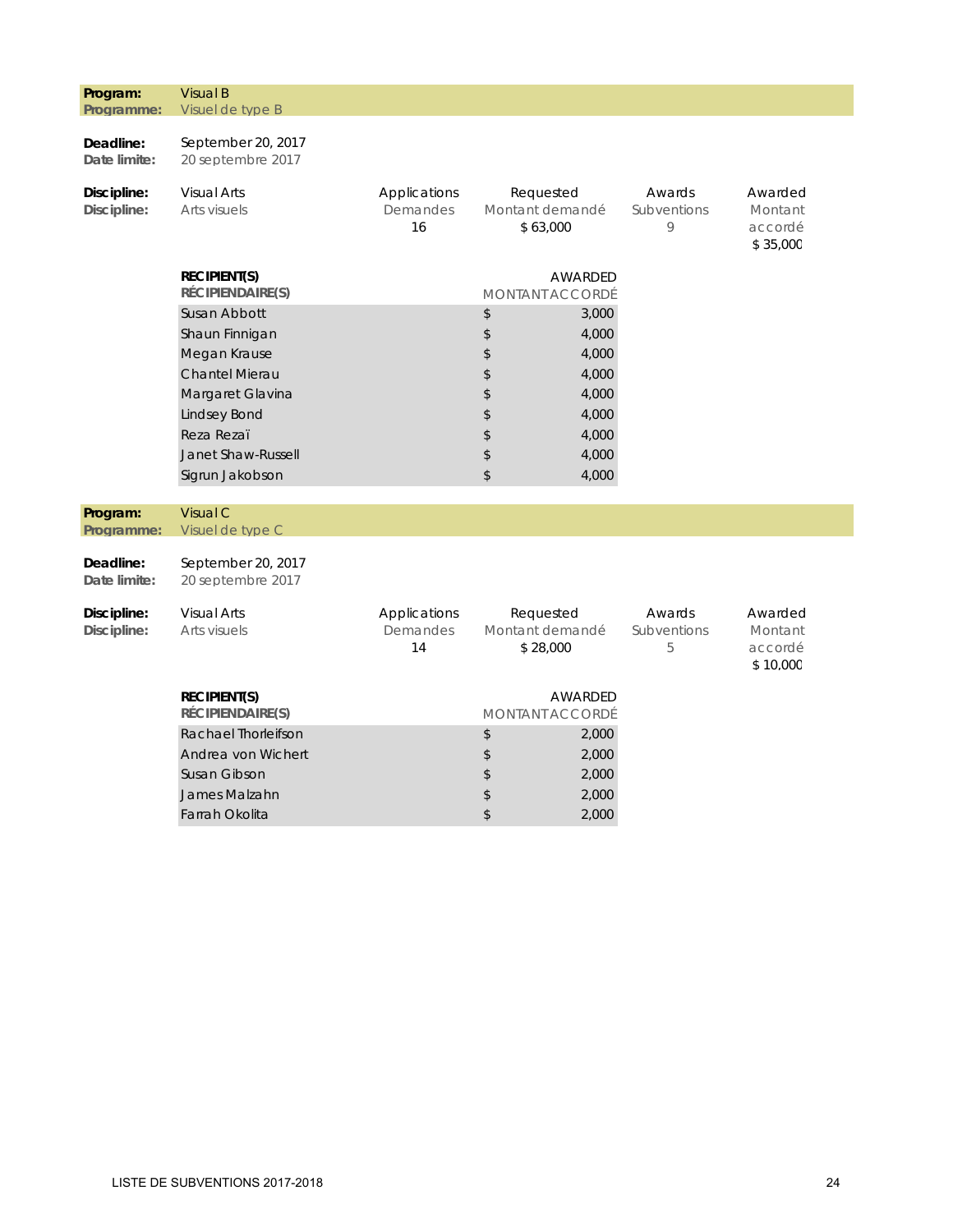| Program:<br>Programme:                   | <b>Visual B</b><br>Visuel de type B                                                                                                                                                                                  |                                |                                                                                         |                                                                               |                                           |
|------------------------------------------|----------------------------------------------------------------------------------------------------------------------------------------------------------------------------------------------------------------------|--------------------------------|-----------------------------------------------------------------------------------------|-------------------------------------------------------------------------------|-------------------------------------------|
| Deadline:<br>Date limite:                | September 20, 2017<br>20 septembre 2017                                                                                                                                                                              |                                |                                                                                         |                                                                               |                                           |
| Discipline:<br>Discipline:               | <b>Visual Arts</b><br>Arts visuels                                                                                                                                                                                   | Applications<br>Demandes<br>16 | Requested<br>Montant demandé<br>\$63,000                                                | Awards<br>Subventions<br>9                                                    | Awarded<br>Montant<br>accordé<br>\$35,000 |
|                                          | <b>RECIPIENT(S)</b><br>RÉCIPIENDAIRE(S)<br>Susan Abbott<br>Shaun Finnigan<br>Megan Krause<br><b>Chantel Mierau</b><br>Margaret Glavina<br><b>Lindsey Bond</b><br>Reza Rezaï<br>Janet Shaw-Russell<br>Sigrun Jakobson |                                | AWARDED<br><b>MONTANT ACCORDÉ</b><br>\$<br>\$<br>\$<br>\$<br>\$<br>\$<br>\$<br>\$<br>\$ | 3,000<br>4,000<br>4,000<br>4,000<br>4,000<br>4,000<br>4,000<br>4,000<br>4,000 |                                           |
| Program:<br>Programme:                   | Visual C<br>Visuel de type C                                                                                                                                                                                         |                                |                                                                                         |                                                                               |                                           |
| Deadline:<br>Date limite:<br>Discipline: | September 20, 2017<br>20 septembre 2017<br><b>Visual Arts</b>                                                                                                                                                        | Applications                   | Requested                                                                               | Awards                                                                        | Awarded                                   |
| Discipline:                              | Arts visuels<br><b>RECIPIENT(S)</b><br>RÉCIPIENDAIRE(S)                                                                                                                                                              | Demandes<br>14                 | Montant demandé<br>\$28,000<br>AWARDED<br><b>MONTANT ACCORDÉ</b>                        | Subventions<br>5                                                              | Montant<br>accordé<br>\$10,000            |
|                                          | Rachael Thorleifson<br>Andrea von Wichert<br>Susan Gibson<br>James Malzahn<br>Farrah Okolita                                                                                                                         |                                | \$<br>\$<br>\$<br>\$<br>\$                                                              | 2,000<br>2,000<br>2,000<br>2,000<br>2,000                                     |                                           |

I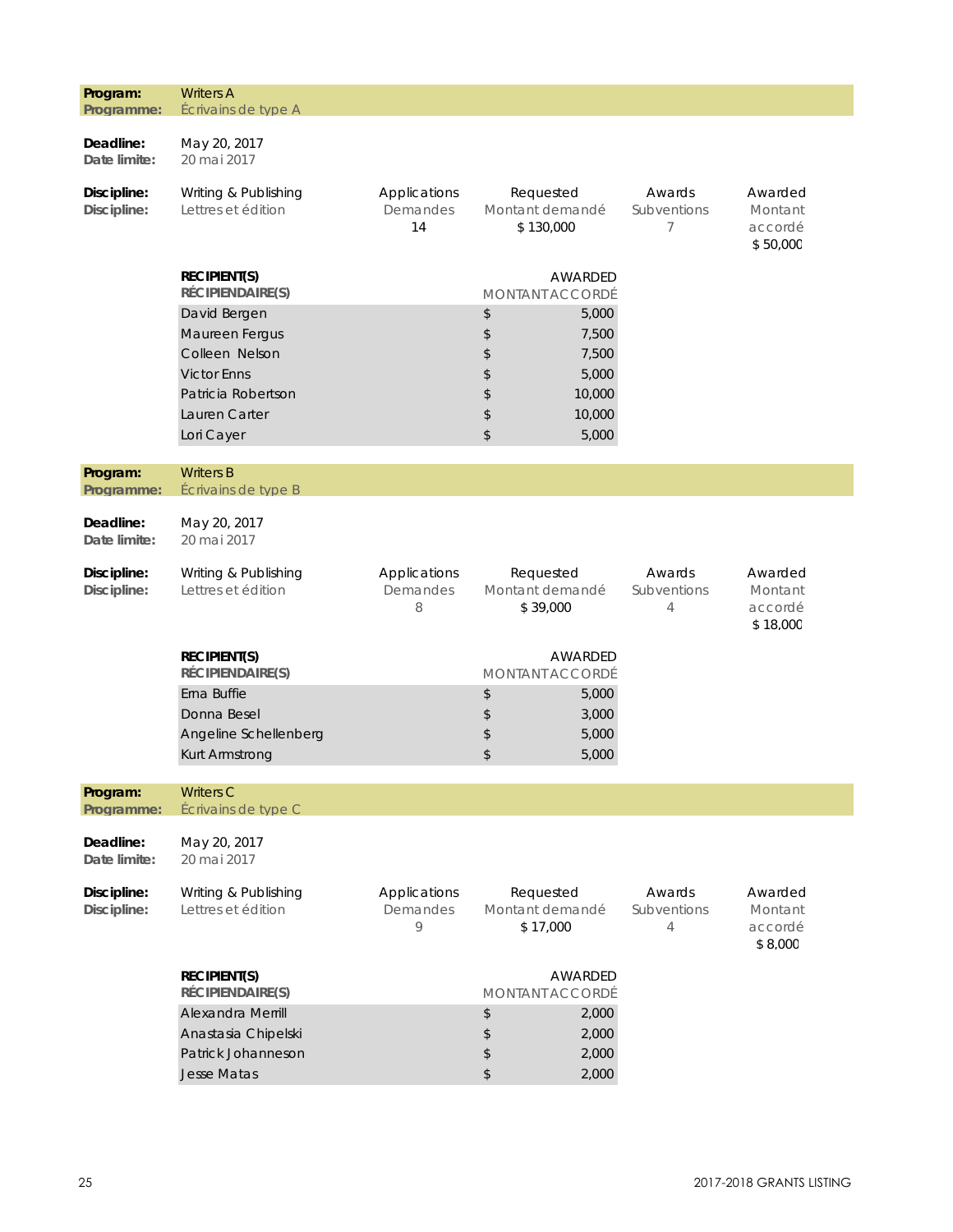| Program:<br>Programme:     | <b>Writers A</b><br>Écrivains de type A                                                                   |                                     |                                                                         |                            |                                           |
|----------------------------|-----------------------------------------------------------------------------------------------------------|-------------------------------------|-------------------------------------------------------------------------|----------------------------|-------------------------------------------|
| Deadline:<br>Date limite:  | May 20, 2017<br>20 mai 2017                                                                               |                                     |                                                                         |                            |                                           |
| Discipline:<br>Discipline: | Writing & Publishing<br>Lettres et édition                                                                | Applications<br>Demandes<br>14      | Requested<br>Montant demandé<br>\$130,000                               | Awards<br>Subventions<br>7 | Awarded<br>Montant<br>accordé<br>\$50,000 |
|                            | <b>RECIPIENT(S)</b><br>RÉCIPIENDAIRE(S)<br>David Bergen<br>Maureen Fergus<br>Colleen Nelson               |                                     | AWARDED<br>MONTANT ACCORDÉ<br>\$<br>5,000<br>\$<br>7,500<br>\$<br>7,500 |                            |                                           |
|                            | <b>Victor Enns</b><br>Patricia Robertson<br>Lauren Carter<br>Lori Cayer                                   |                                     | 5,000<br>\$<br>\$<br>10,000<br>\$<br>10,000<br>\$<br>5,000              |                            |                                           |
| Program:<br>Programme:     | <b>Writers B</b><br>Écrivains de type B                                                                   |                                     |                                                                         |                            |                                           |
| Deadline:<br>Date limite:  | May 20, 2017<br>20 mai 2017                                                                               |                                     |                                                                         |                            |                                           |
| Discipline:<br>Discipline: | Writing & Publishing<br>Lettres et édition                                                                | Applications<br>Demandes<br>8       | Requested<br>Montant demandé<br>\$39,000                                | Awards<br>Subventions<br>4 | Awarded<br>Montant<br>accordé<br>\$18,000 |
|                            | <b>RECIPIENT(S)</b><br>RÉCIPIENDAIRE(S)                                                                   |                                     | AWARDED<br><b>MONTANT ACCORDÉ</b>                                       |                            |                                           |
|                            | Erna Buffie<br>Donna Besel<br>Angeline Schellenberg<br>Kurt Armstrong                                     |                                     | \$<br>5,000<br>\$<br>3,000<br>\$<br>5,000<br>\$<br>5,000                |                            |                                           |
| Program:                   | <b>Writers C</b>                                                                                          |                                     |                                                                         |                            |                                           |
| Programme:                 | Écrivains de type C                                                                                       |                                     |                                                                         |                            |                                           |
| Deadline:<br>Date limite:  | May 20, 2017<br>20 mai 2017                                                                               |                                     |                                                                         |                            |                                           |
| Discipline:<br>Discipline: | Writing & Publishing<br>Lettres et édition                                                                | Applications<br>Demandes<br>$\circ$ | Requested<br>Montant demandé<br>\$17,000                                | Awards<br>Subventions<br>4 | Awarded<br>Montant<br>accordé<br>\$8,000  |
|                            | <b>RECIPIENT(S)</b><br>RÉCIPIENDAIRE(S)<br>Alexandra Merrill<br>Anastasia Chipelski<br>Patrick Johanneson |                                     | AWARDED<br>MONTANT ACCORDÉ<br>\$<br>2,000<br>\$<br>2,000<br>\$<br>2,000 |                            |                                           |
|                            | Jesse Matas                                                                                               |                                     | \$<br>2,000                                                             |                            |                                           |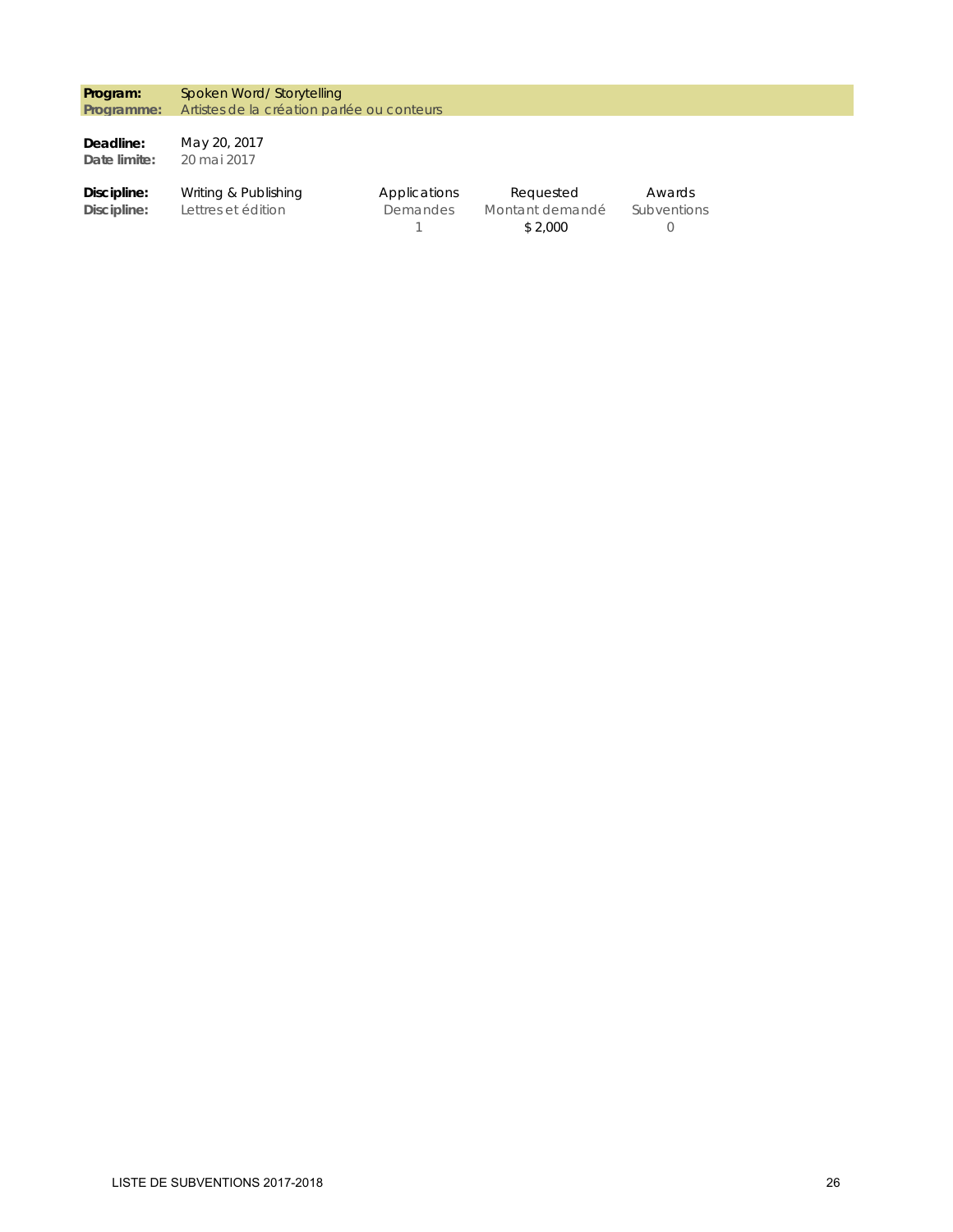**Program: Programme:**  Spoken Word/ Storytelling Artistes de la création parlée ou conteurs

**Deadline: Date limite:**  May 20, 2017 20 mai 2017

**Discipline: Discipline:**  Applications Demandes 1 Awards Subventions 0 Writing & Publishing Lettres et édition Requested Montant demandé \$ 2,000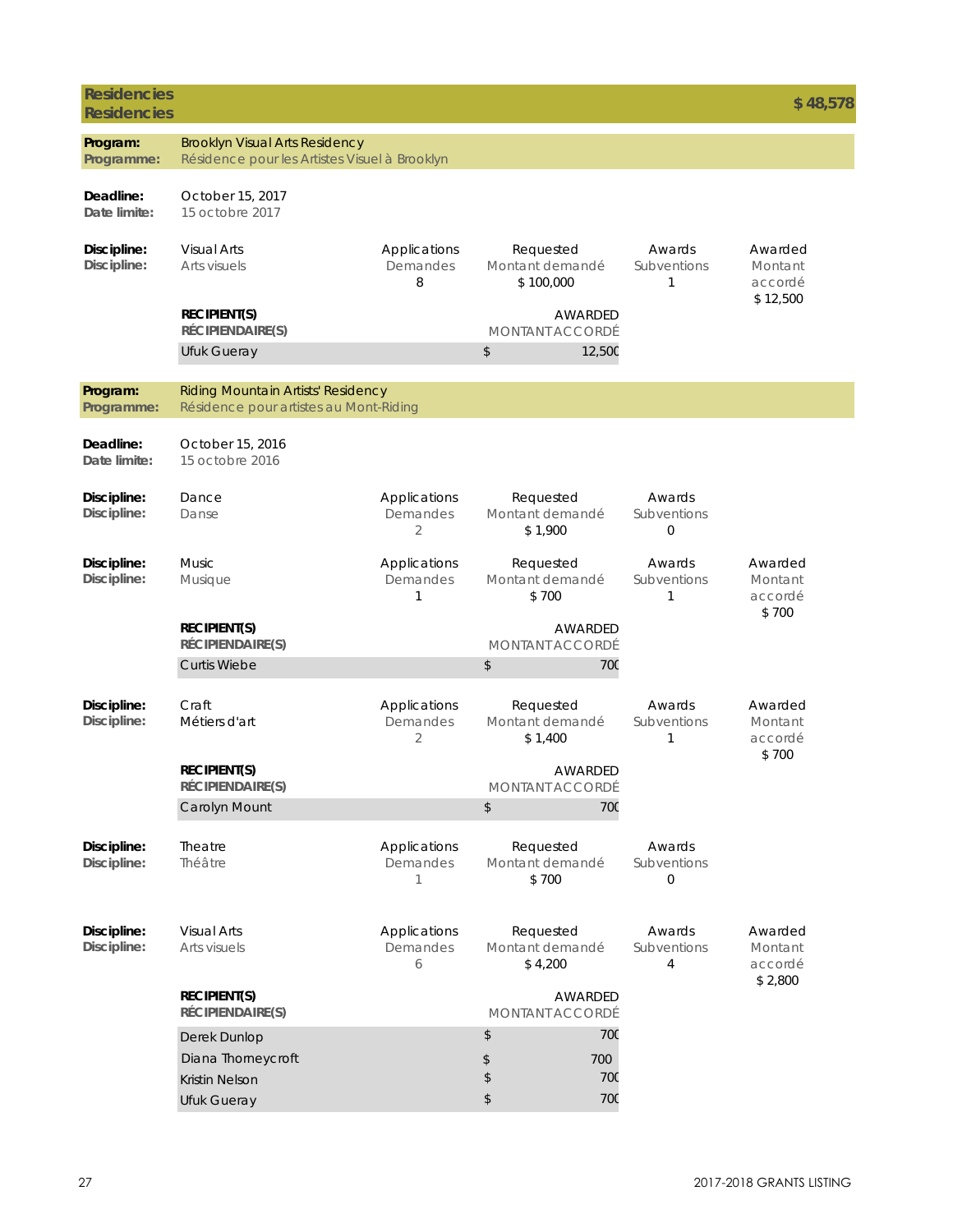| <b>Residencies</b><br><b>Residencies</b> |                                                                                        |                               |                                           |                                   | \$48,578                                 |
|------------------------------------------|----------------------------------------------------------------------------------------|-------------------------------|-------------------------------------------|-----------------------------------|------------------------------------------|
| Program:<br>Programme:                   | <b>Brooklyn Visual Arts Residency</b><br>Résidence pour les Artistes Visuel à Brooklyn |                               |                                           |                                   |                                          |
| Deadline:<br>Date limite:                | October 15, 2017<br>15 octobre 2017                                                    |                               |                                           |                                   |                                          |
| Discipline:<br>Discipline:               | <b>Visual Arts</b><br>Arts visuels                                                     | Applications<br>Demandes<br>8 | Requested<br>Montant demandé<br>\$100,000 | Awards<br>Subventions<br>1        | Awarded<br>Montant<br>accordé            |
|                                          | <b>RECIPIENT(S)</b><br>RÉCIPIENDAIRE(S)                                                |                               | AWARDED<br><b>MONTANT ACCORDÉ</b>         |                                   | \$12,500                                 |
|                                          | Ufuk Gueray                                                                            |                               | \$<br>12,500                              |                                   |                                          |
| Program:<br>Programme:                   | Riding Mountain Artists' Residency<br>Résidence pour artistes au Mont-Riding           |                               |                                           |                                   |                                          |
| Deadline:<br>Date limite:                | October 15, 2016<br>15 octobre 2016                                                    |                               |                                           |                                   |                                          |
| Discipline:<br>Discipline:               | Dance<br>Danse                                                                         | Applications<br>Demandes<br>2 | Requested<br>Montant demandé<br>\$1,900   | Awards<br>Subventions<br>0        |                                          |
| Discipline:<br>Discipline:               | <b>Music</b><br>Musique                                                                | Applications<br>Demandes<br>1 | Requested<br>Montant demandé<br>\$700     | Awards<br>Subventions<br>1        | Awarded<br>Montant<br>accordé            |
|                                          | <b>RECIPIENT(S)</b><br>RÉCIPIENDAIRE(S)                                                |                               | AWARDED<br><b>MONTANT ACCORDÉ</b>         |                                   | \$700                                    |
|                                          | <b>Curtis Wiebe</b>                                                                    |                               | \$<br>70 <sub>C</sub>                     |                                   |                                          |
| Discipline:<br>Discipline:               | Craft<br>Métiers d'art                                                                 | Applications<br>Demandes<br>2 | Requested<br>Montant demandé<br>\$1,400   | Awards<br>Subventions<br>1        | Awarded<br>Montant<br>accordé            |
|                                          | <b>RECIPIENT(S)</b><br>RÉCIPIENDAIRE(S)                                                |                               | AWARDED<br>MONTANT ACCORDÉ                |                                   | \$700                                    |
|                                          | Carolyn Mount                                                                          |                               | \$<br><b>700</b>                          |                                   |                                          |
| Discipline:<br>Discipline:               | Theatre<br>Théâtre                                                                     | Applications<br>Demandes<br>1 | Requested<br>Montant demandé<br>\$700     | Awards<br>Subventions<br>$\Omega$ |                                          |
| Discipline:<br>Discipline:               | <b>Visual Arts</b><br>Arts visuels                                                     | Applications<br>Demandes<br>6 | Requested<br>Montant demandé<br>\$4,200   | Awards<br>Subventions<br>4        | Awarded<br>Montant<br>accordé<br>\$2,800 |
|                                          | <b>RECIPIENT(S)</b><br>RÉCIPIENDAIRE(S)                                                |                               | AWARDED<br><b>MONTANT ACCORDÉ</b>         |                                   |                                          |
|                                          | Derek Dunlop                                                                           |                               | <b>700</b><br>\$                          |                                   |                                          |
|                                          | Diana Thorneycroft<br><b>Kristin Nelson</b>                                            |                               | \$<br>700<br>\$<br><b>700</b>             |                                   |                                          |
|                                          | Ufuk Gueray                                                                            |                               | \$<br><b>700</b>                          |                                   |                                          |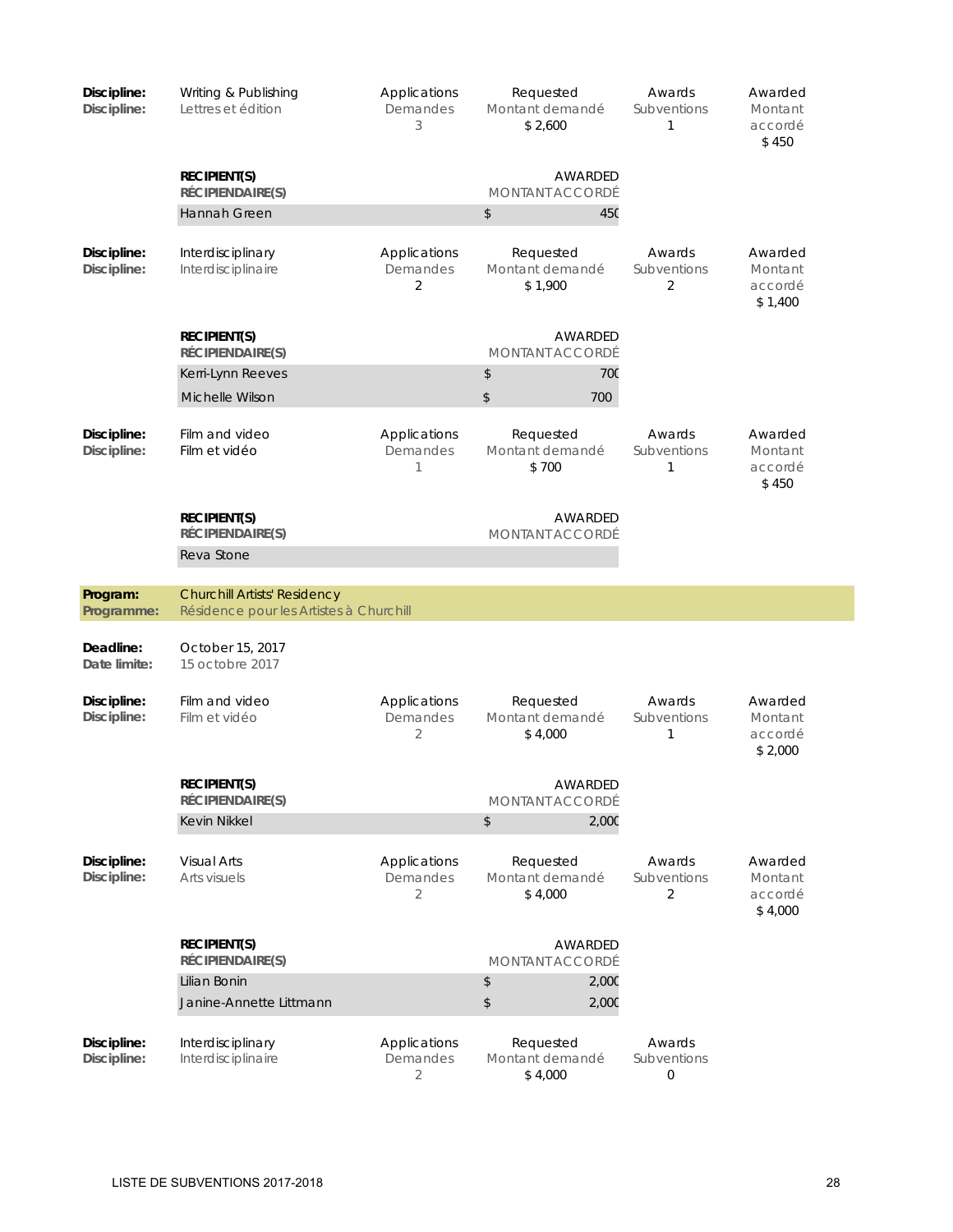| Discipline:<br>Discipline: | Writing & Publishing<br>Lettres et édition                                     | Applications<br>Demandes<br>3              | Requested<br>Montant demandé<br>\$2.600 | Awards<br>Subventions<br>$\mathbf{1}$ | Awarded<br>Montant<br>accordé<br>\$450   |
|----------------------------|--------------------------------------------------------------------------------|--------------------------------------------|-----------------------------------------|---------------------------------------|------------------------------------------|
|                            | <b>RECIPIENT(S)</b><br>RÉCIPIENDAIRE(S)                                        |                                            | AWARDED<br><b>MONTANT ACCORDÉ</b>       |                                       |                                          |
|                            | Hannah Green                                                                   |                                            | \$<br>45C                               |                                       |                                          |
| Discipline:<br>Discipline: | Interdisciplinary<br>Interdisciplinaire                                        | Applications<br>Demandes<br>2              | Requested<br>Montant demandé<br>\$1,900 | Awards<br>Subventions<br>2            | Awarded<br>Montant<br>accordé<br>\$1,400 |
|                            | <b>RECIPIENT(S)</b><br>RÉCIPIENDAIRE(S)                                        |                                            | AWARDED<br><b>MONTANT ACCORDÉ</b>       |                                       |                                          |
|                            | Kerri-Lynn Reeves                                                              |                                            | \$<br><b>700</b>                        |                                       |                                          |
|                            | Michelle Wilson                                                                |                                            | $\,$<br>700                             |                                       |                                          |
| Discipline:<br>Discipline: | Film and video<br>Film et vidéo                                                | Applications<br>Demandes<br>1              | Requested<br>Montant demandé<br>\$700   | Awards<br>Subventions<br>1            | Awarded<br>Montant<br>accordé<br>\$450   |
|                            | <b>RECIPIENT(S)</b><br>RÉCIPIENDAIRE(S)                                        |                                            | AWARDED<br><b>MONTANT ACCORDÉ</b>       |                                       |                                          |
|                            | Reva Stone                                                                     |                                            |                                         |                                       |                                          |
| Program:<br>Programme:     | <b>Churchill Artists' Residency</b><br>Résidence pour les Artistes à Churchill |                                            |                                         |                                       |                                          |
| Deadline:<br>Date limite:  | October 15, 2017<br>15 octobre 2017                                            |                                            |                                         |                                       |                                          |
| Discipline:<br>Discipline: | Film and video<br>Film et vidéo                                                | Applications<br>Demandes<br>$\overline{2}$ | Requested<br>Montant demandé<br>\$4,000 | Awards<br>Subventions<br>$\mathbf{1}$ | Awarded<br>Montant<br>accordé<br>\$2,000 |
|                            | <b>RECIPIENT(S)</b><br>RÉCIPIENDAIRE(S)                                        |                                            | AWARDED<br><b>MONTANT ACCORDÉ</b>       |                                       |                                          |
|                            | <b>Kevin Nikkel</b>                                                            |                                            | \$<br>2,000                             |                                       |                                          |
| Discipline:<br>Discipline: | <b>Visual Arts</b><br>Arts visuels                                             | Applications<br>Demandes<br>2              | Requested<br>Montant demandé<br>\$4,000 | Awards<br>Subventions<br>2            | Awarded<br>Montant<br>accordé<br>\$4,000 |
|                            | <b>RECIPIENT(S)</b><br>RÉCIPIENDAIRE(S)                                        |                                            | <b>AWARDED</b><br>MONTANT ACCORDÉ       |                                       |                                          |
|                            | Lilian Bonin                                                                   |                                            | 2,000<br>\$                             |                                       |                                          |
|                            | Janine-Annette Littmann                                                        |                                            | $\,$<br>2,000                           |                                       |                                          |
| Discipline:<br>Discipline: | Interdisciplinary<br>Interdisciplinaire                                        | Applications<br>Demandes<br>$\overline{2}$ | Requested<br>Montant demandé<br>\$4,000 | Awards<br>Subventions<br>0            |                                          |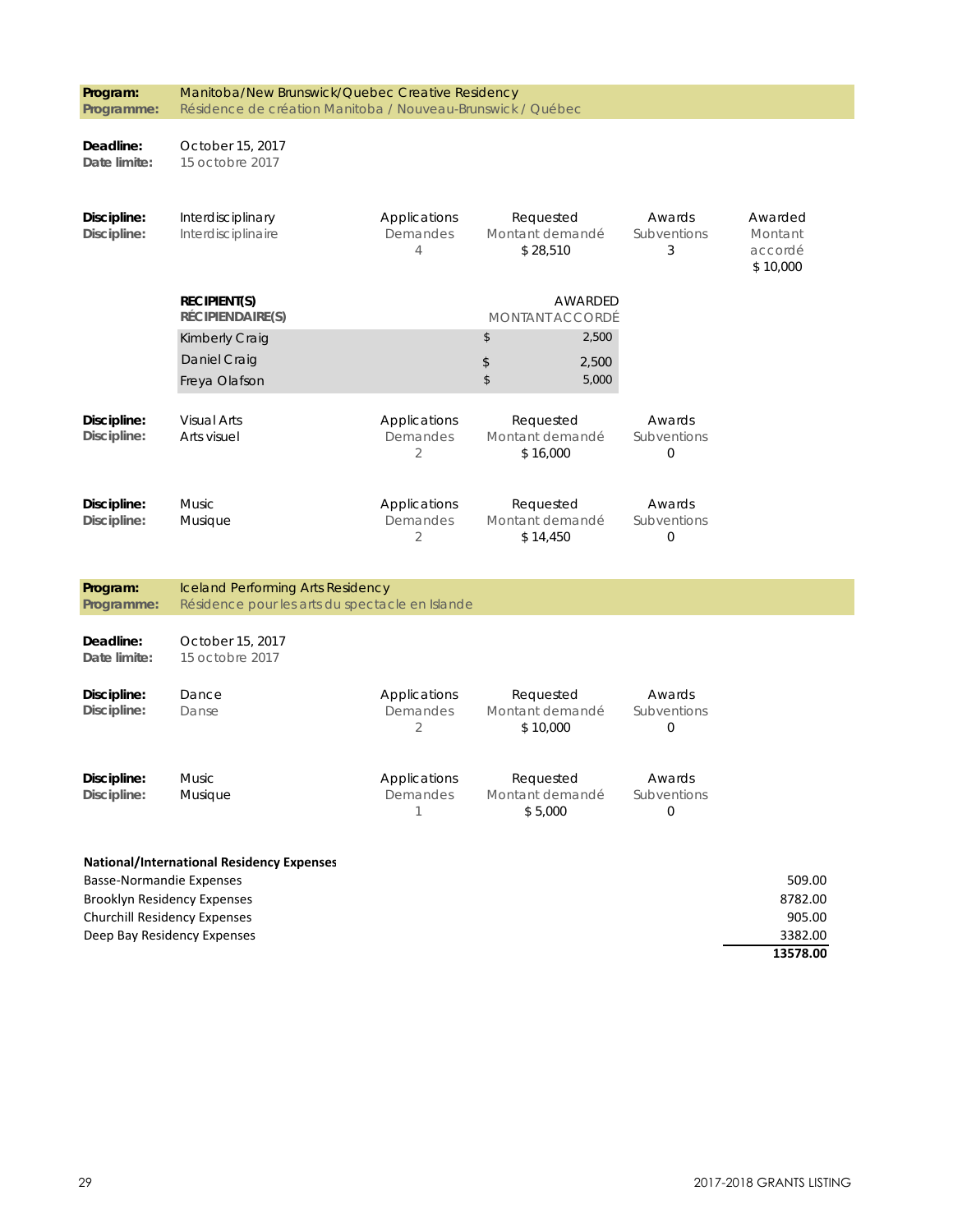| Program:                        | Manitoba/New Brunswick/Quebec Creative Residency                   |                            |                              |                         |                                |
|---------------------------------|--------------------------------------------------------------------|----------------------------|------------------------------|-------------------------|--------------------------------|
| Programme:                      | Résidence de création Manitoba / Nouveau-Brunswick / Québec        |                            |                              |                         |                                |
| Deadline:                       | October 15, 2017                                                   |                            |                              |                         |                                |
| Date limite:                    | 15 octobre 2017                                                    |                            |                              |                         |                                |
| Discipline:                     | Interdisciplinary                                                  | Applications               | Requested                    | Awards                  | Awarded                        |
| Discipline:                     | Interdisciplinaire                                                 | Demandes<br>$\overline{4}$ | Montant demandé<br>\$28,510  | Subventions<br>3        | Montant<br>accordé<br>\$10,000 |
|                                 | <b>RECIPIENT(S)</b><br>RÉCIPIENDAIRE(S)                            |                            | <b>MONTANT ACCORDÉ</b>       | AWARDED                 |                                |
|                                 | Kimberly Craig                                                     |                            | \$                           | 2,500                   |                                |
|                                 | Daniel Craig                                                       |                            | \$                           | 2,500                   |                                |
|                                 | Freya Olafson                                                      |                            | \$                           | 5,000                   |                                |
| Discipline:                     | <b>Visual Arts</b>                                                 | Applications<br>Demandes   | Requested<br>Montant demandé | Awards<br>Subventions   |                                |
| Discipline:                     | Arts visuel                                                        | $\overline{2}$             | \$16,000                     | $\overline{0}$          |                                |
| Discipline:                     | <b>Music</b>                                                       | Applications               | Requested                    | Awards                  |                                |
| Discipline:                     | Musique                                                            | Demandes<br>2              | Montant demandé<br>\$14,450  | Subventions<br>$\Omega$ |                                |
| Program:                        | <b>Iceland Performing Arts Residency</b>                           |                            |                              |                         |                                |
| Programme:                      | Résidence pour les arts du spectacle en Islande                    |                            |                              |                         |                                |
| Deadline:<br>Date limite:       | October 15, 2017<br>15 octobre 2017                                |                            |                              |                         |                                |
| Discipline:                     | Dance                                                              | Applications<br>Demandes   | Requested                    | Awards                  |                                |
| Discipline:                     | Danse                                                              | 2                          | Montant demandé<br>\$10,000  | Subventions<br>0        |                                |
| Discipline:                     | Music                                                              | Applications               | Requested                    | Awards                  |                                |
| Discipline:                     | Musique                                                            | Demandes<br>1              | Montant demandé<br>\$5,000   | Subventions<br>$\Omega$ |                                |
|                                 | <b>National/International Residency Expenses</b>                   |                            |                              |                         |                                |
| <b>Basse-Normandie Expenses</b> |                                                                    |                            |                              |                         | 509.00                         |
|                                 | <b>Brooklyn Residency Expenses</b><br>Churchill Residency Expenses |                            |                              |                         | 8782.00<br>905.00              |
|                                 | Deep Bay Residency Expenses                                        |                            |                              |                         | 3382.00                        |
|                                 |                                                                    |                            |                              | 13578.00                |                                |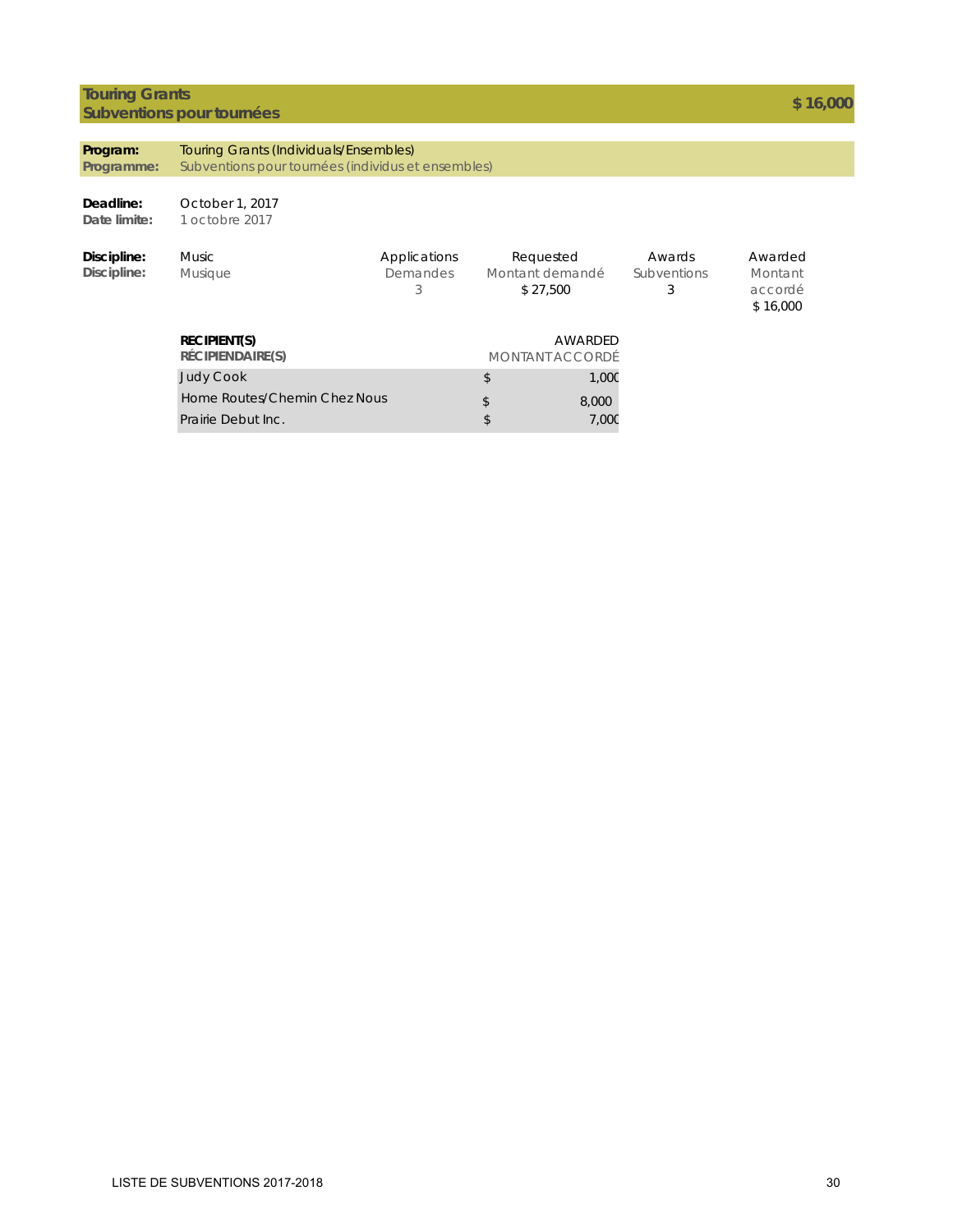### **Touring Grants Subventions pour tournées and the contract of the contract of the contract of the contract of the state of the state of the state of the state of the state of the state of the state of the state of the state of the state**

| Program:<br>Programme:     | <b>Touring Grants (Individuals/Ensembles)</b><br>Subventions pour tournées (individus et ensembles) |                                      |                                          |         |                                   |                                           |  |
|----------------------------|-----------------------------------------------------------------------------------------------------|--------------------------------------|------------------------------------------|---------|-----------------------------------|-------------------------------------------|--|
| Deadline:<br>Date limite:  | October 1, 2017<br>1 octobre 2017                                                                   |                                      |                                          |         |                                   |                                           |  |
| Discipline:<br>Discipline: | <b>Music</b><br><b>Musique</b>                                                                      | Applications<br><b>Demandes</b><br>3 | Requested<br>Montant demandé<br>\$27,500 |         | Awards<br><b>Subventions</b><br>3 | Awarded<br>Montant<br>accordé<br>\$16,000 |  |
|                            | <b>RECIPIENT(S)</b><br>RÉCIPIENDAIRE(S)                                                             |                                      | MONTANT ACCORDÉ                          | AWARDED |                                   |                                           |  |
|                            | <b>Judy Cook</b>                                                                                    |                                      | \$                                       | 1,00C   |                                   |                                           |  |
|                            | Home Routes/Chemin Chez Nous                                                                        |                                      | \$                                       | 8,000   |                                   |                                           |  |
|                            | Prairie Debut Inc.                                                                                  |                                      | \$                                       | 7,00C   |                                   |                                           |  |
|                            |                                                                                                     |                                      |                                          |         |                                   |                                           |  |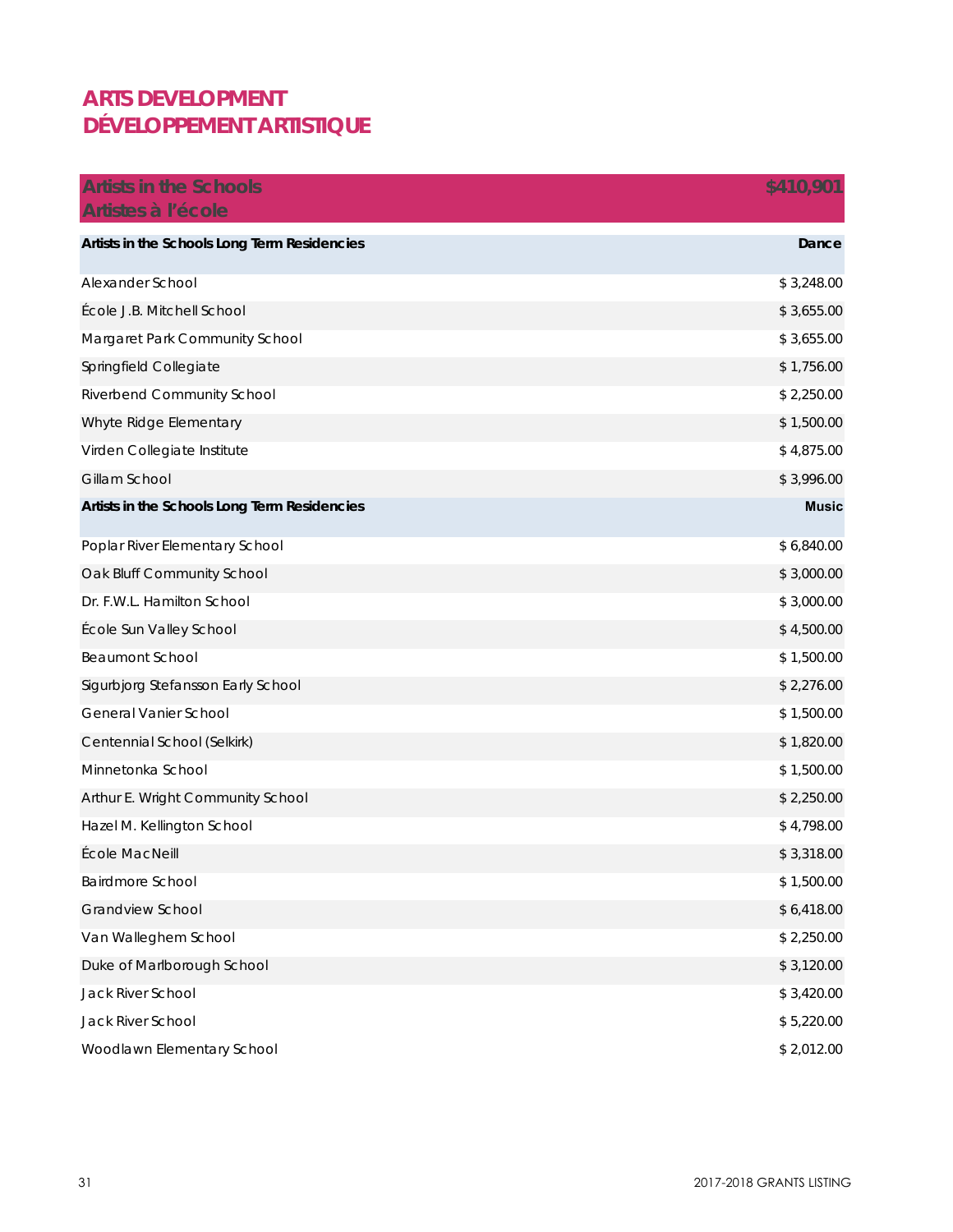### **ARTS DEVELOPMENT DÉVELOPPEMENT ARTISTIQUE**

| <b>Artists in the Schools</b>                | \$410,901    |
|----------------------------------------------|--------------|
| Artistes à l'école                           |              |
| Artists in the Schools Long Term Residencies | Dance        |
| Alexander School                             | \$3,248.00   |
| École J.B. Mitchell School                   | \$3,655.00   |
| Margaret Park Community School               | \$3,655.00   |
| Springfield Collegiate                       | \$1,756.00   |
| Riverbend Community School                   | \$2,250.00   |
| Whyte Ridge Elementary                       | \$1,500.00   |
| Virden Collegiate Institute                  | \$4,875.00   |
| Gillam School                                | \$3,996.00   |
| Artists in the Schools Long Term Residencies | <b>Music</b> |
| Poplar River Elementary School               | \$6,840.00   |
| Oak Bluff Community School                   | \$3,000.00   |
| Dr. F.W.L. Hamilton School                   | \$3,000.00   |
| École Sun Valley School                      | \$4,500.00   |
| <b>Beaumont School</b>                       | \$1,500.00   |
| Sigurbjorg Stefansson Early School           | \$2,276.00   |
| General Vanier School                        | \$1,500.00   |
| Centennial School (Selkirk)                  | \$1,820.00   |
| Minnetonka School                            | \$1,500.00   |
| Arthur E. Wright Community School            | \$2,250.00   |
| Hazel M. Kellington School                   | \$4,798.00   |
| École MacNeill                               | \$3,318.00   |
| Bairdmore School                             | \$1,500.00   |
| Grandview School                             | \$6,418.00   |
| Van Walleghem School                         | \$2,250.00   |
| Duke of Marlborough School                   | \$3,120.00   |
| Jack River School                            | \$3,420.00   |
| Jack River School                            | \$5,220.00   |
| Woodlawn Elementary School                   | \$2,012.00   |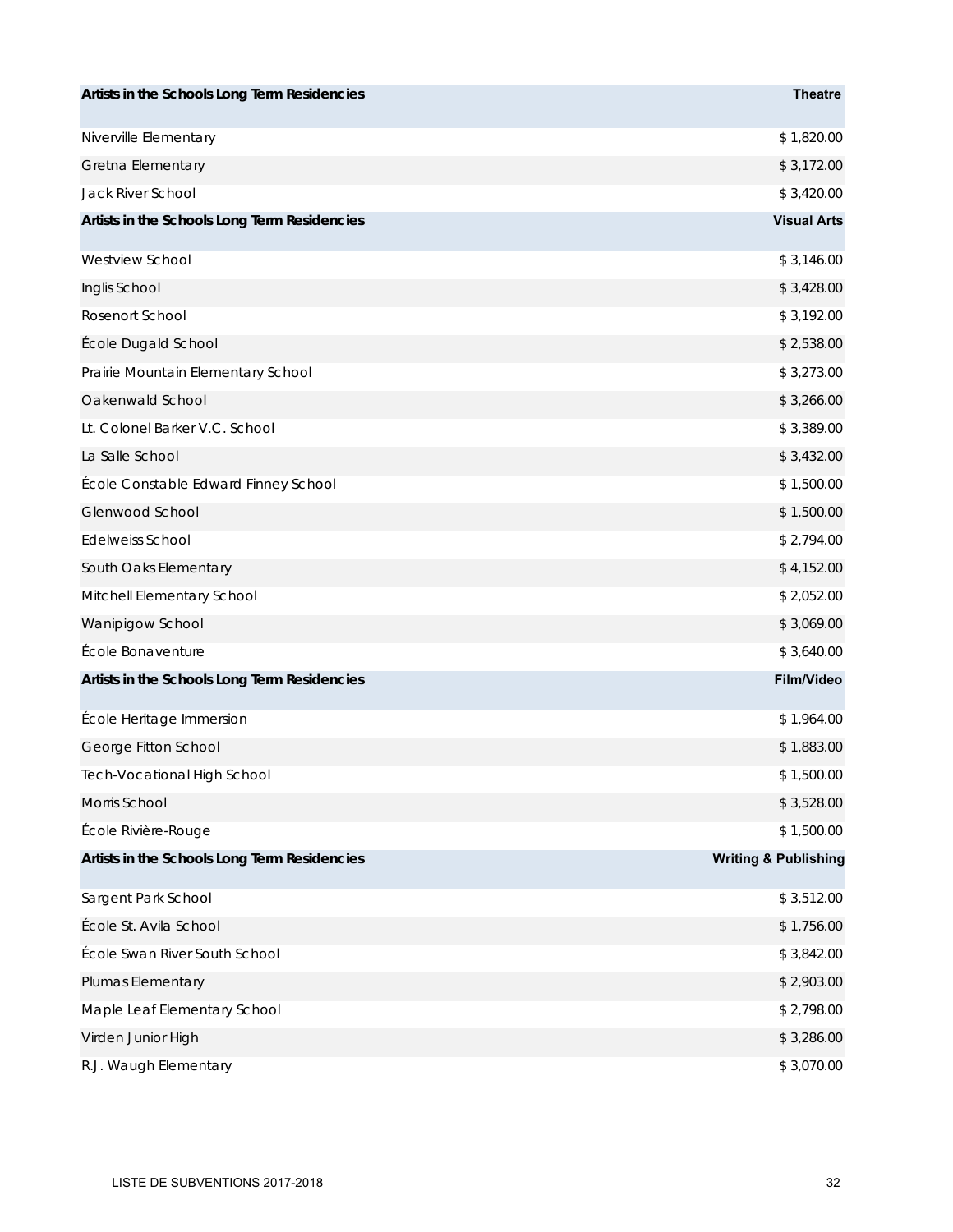| Artists in the Schools Long Term Residencies | <b>Theatre</b>                  |
|----------------------------------------------|---------------------------------|
| Niverville Elementary                        | \$1,820.00                      |
| Gretna Elementary                            | \$3,172.00                      |
| Jack River School                            | \$3,420.00                      |
| Artists in the Schools Long Term Residencies | <b>Visual Arts</b>              |
| <b>Westview School</b>                       | \$3,146.00                      |
| Inglis School                                | \$3,428.00                      |
| Rosenort School                              | \$3,192.00                      |
| École Dugald School                          | \$2,538.00                      |
| Prairie Mountain Elementary School           | \$3,273.00                      |
| Oakenwald School                             | \$3,266.00                      |
| Lt. Colonel Barker V.C. School               | \$3,389.00                      |
| La Salle School                              | \$3,432.00                      |
| École Constable Edward Finney School         | \$1,500.00                      |
| Glenwood School                              | \$1,500.00                      |
| <b>Edelweiss School</b>                      | \$2,794.00                      |
| South Oaks Elementary                        | \$4,152.00                      |
| Mitchell Elementary School                   | \$2,052.00                      |
| Wanipigow School                             | \$3,069.00                      |
| École Bonaventure                            | \$3,640.00                      |
| Artists in the Schools Long Term Residencies | <b>Film/Video</b>               |
| École Heritage Immersion                     | \$1,964.00                      |
| George Fitton School                         | \$1,883.00                      |
| Tech-Vocational High School                  | \$1,500.00                      |
| Morris School                                | \$3,528.00                      |
| École Rivière-Rouge                          | \$1,500.00                      |
| Artists in the Schools Long Term Residencies | <b>Writing &amp; Publishing</b> |
| Sargent Park School                          | \$3,512.00                      |
| École St. Avila School                       | \$1,756.00                      |
| École Swan River South School                | \$3,842.00                      |
| Plumas Elementary                            | \$2,903.00                      |
| Maple Leaf Elementary School                 | \$2,798.00                      |
| Virden Junior High                           | \$3,286.00                      |
| R.J. Waugh Elementary                        | \$3,070.00                      |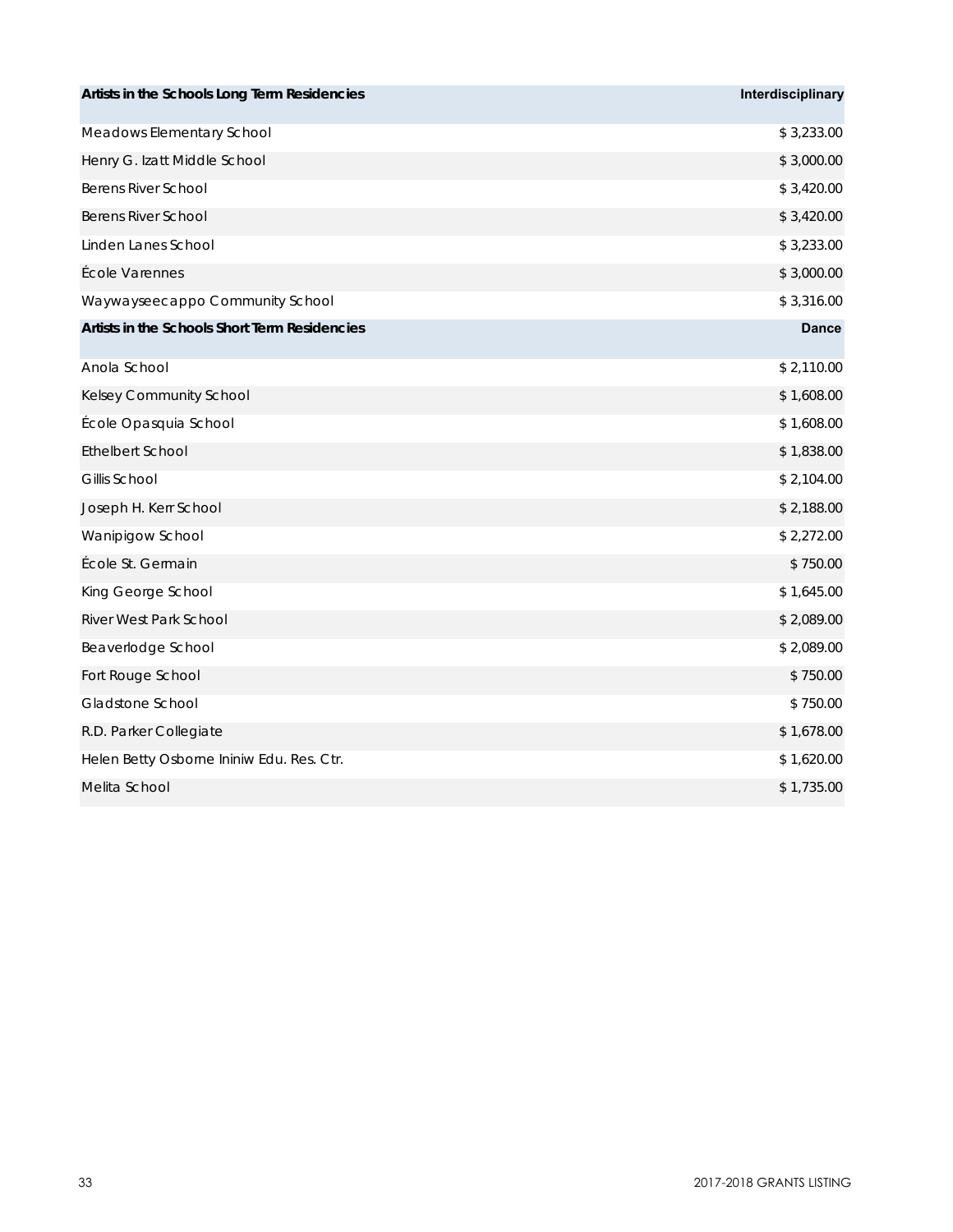| Artists in the Schools Long Term Residencies  | Interdisciplinary |
|-----------------------------------------------|-------------------|
| Meadows Elementary School                     | \$3,233.00        |
| Henry G. Izatt Middle School                  | \$3,000.00        |
| <b>Berens River School</b>                    | \$3,420.00        |
| <b>Berens River School</b>                    | \$3,420.00        |
| Linden Lanes School                           | \$3,233.00        |
| École Varennes                                | \$3,000.00        |
| Waywayseecappo Community School               | \$3,316.00        |
| Artists in the Schools Short Term Residencies | <b>Dance</b>      |
| Anola School                                  | \$2,110.00        |
| Kelsey Community School                       | \$1,608.00        |
| École Opasquia School                         | \$1,608.00        |
| <b>Ethelbert School</b>                       | \$1,838.00        |
| Gillis School                                 | \$2,104.00        |
| Joseph H. Kerr School                         | \$2,188.00        |
| Wanipigow School                              | \$2,272.00        |
| École St. Germain                             | \$750.00          |
| King George School                            | \$1,645.00        |
| River West Park School                        | \$2,089.00        |
| Beaverlodge School                            | \$2,089.00        |
| Fort Rouge School                             | \$750.00          |
| Gladstone School                              | \$750.00          |
| R.D. Parker Collegiate                        | \$1,678.00        |
| Helen Betty Osborne Ininiw Edu. Res. Ctr.     | \$1,620.00        |
| Melita School                                 | \$1,735.00        |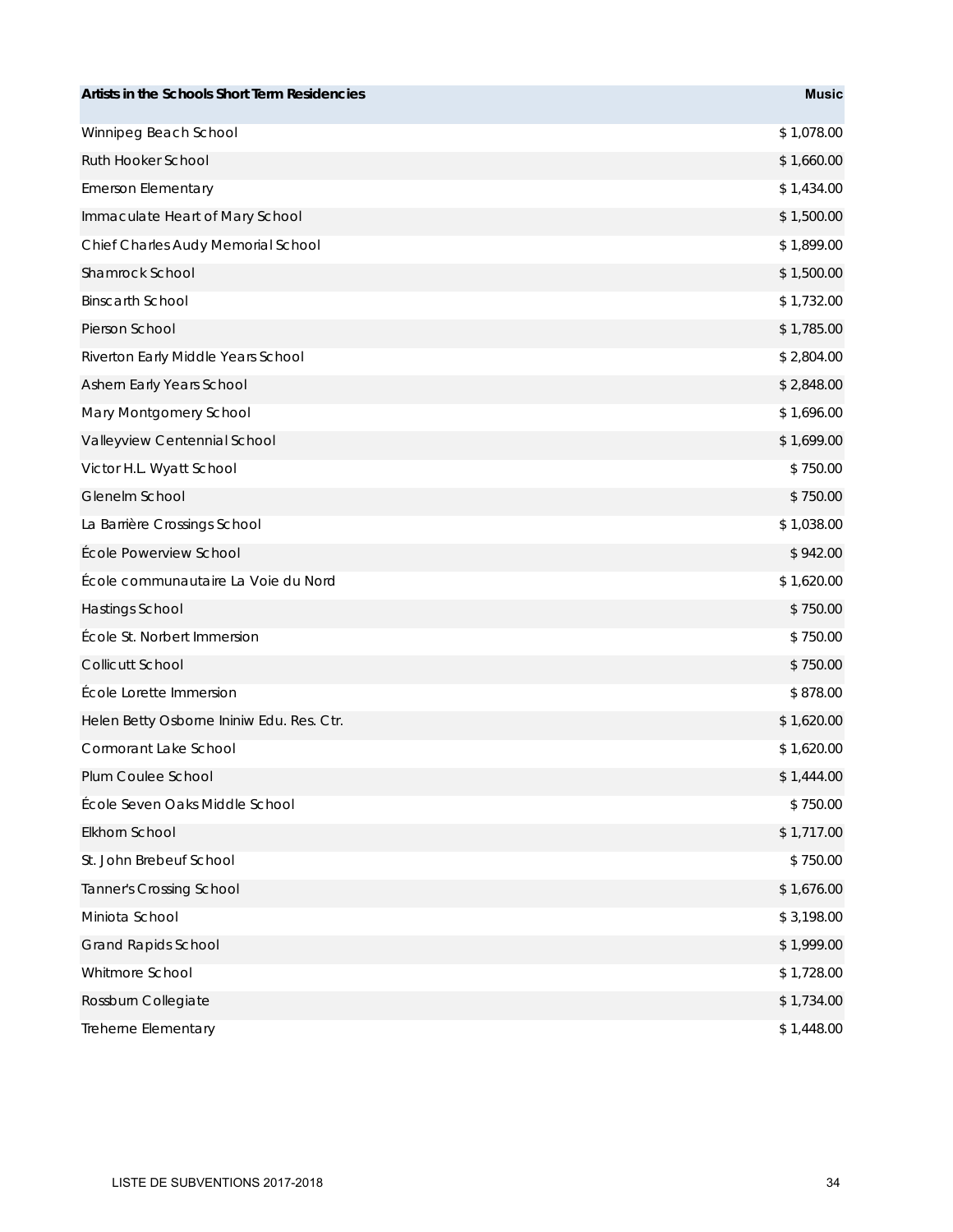| Artists in the Schools Short Term Residencies | <b>Music</b> |
|-----------------------------------------------|--------------|
| Winnipeg Beach School                         | \$1,078.00   |
| Ruth Hooker School                            | \$1,660.00   |
| <b>Emerson Elementary</b>                     | \$1,434.00   |
| Immaculate Heart of Mary School               | \$1,500.00   |
| Chief Charles Audy Memorial School            | \$1,899.00   |
| Shamrock School                               | \$1,500.00   |
| <b>Binscarth School</b>                       | \$1,732.00   |
| Pierson School                                | \$1,785.00   |
| Riverton Early Middle Years School            | \$2,804.00   |
| Ashern Early Years School                     | \$2,848.00   |
| Mary Montgomery School                        | \$1,696.00   |
| Valleyview Centennial School                  | \$1,699.00   |
| Victor H.L. Wyatt School                      | \$750.00     |
| Glenelm School                                | \$750.00     |
| La Barrière Crossings School                  | \$1,038.00   |
| École Powerview School                        | \$942.00     |
| École communautaire La Voie du Nord           | \$1,620.00   |
| Hastings School                               | \$750.00     |
| École St. Norbert Immersion                   | \$750.00     |
| Collicutt School                              | \$750.00     |
| École Lorette Immersion                       | \$878.00     |
| Helen Betty Osborne Ininiw Edu. Res. Ctr.     | \$1,620.00   |
| Cormorant Lake School                         | \$1,620.00   |
| Plum Coulee School                            | \$1,444.00   |
| École Seven Oaks Middle School                | \$750.00     |
| Elkhorn School                                | \$1,717.00   |
| St. John Brebeuf School                       | \$750.00     |
| <b>Tanner's Crossing School</b>               | \$1,676.00   |
| Miniota School                                | \$3,198.00   |
| <b>Grand Rapids School</b>                    | \$1,999.00   |
| Whitmore School                               | \$1,728.00   |
| Rossburn Collegiate                           | \$1,734.00   |
| Treherne Elementary                           | \$1,448.00   |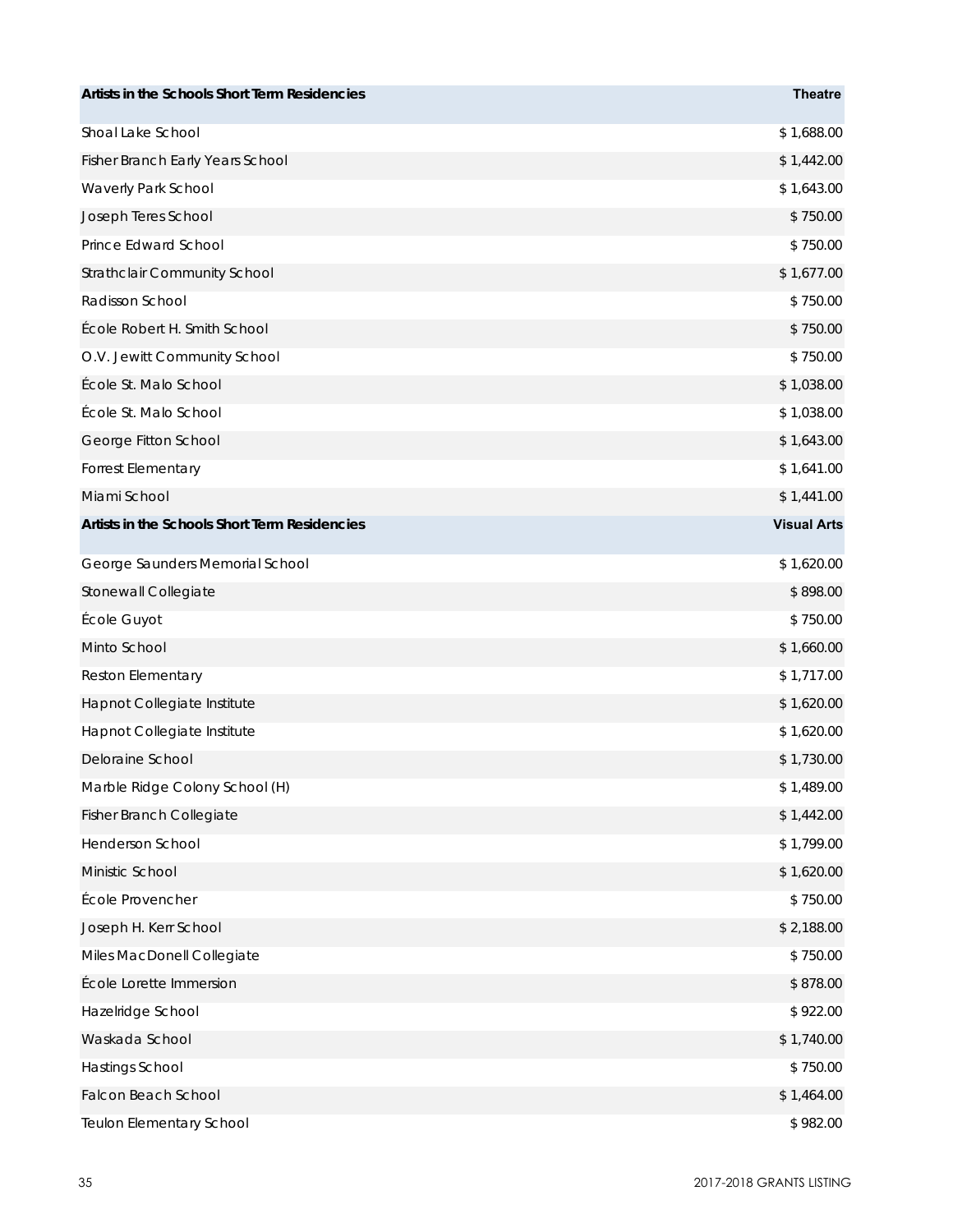| Artists in the Schools Short Term Residencies | <b>Theatre</b>     |
|-----------------------------------------------|--------------------|
| Shoal Lake School                             | \$1,688.00         |
| Fisher Branch Early Years School              | \$1,442.00         |
| Waverly Park School                           | \$1,643.00         |
| Joseph Teres School                           | \$750.00           |
| Prince Edward School                          | \$750.00           |
| Strathclair Community School                  | \$1,677.00         |
| Radisson School                               | \$750.00           |
| École Robert H. Smith School                  | \$750.00           |
| O.V. Jewitt Community School                  | \$750.00           |
| École St. Malo School                         | \$1,038.00         |
| École St. Malo School                         | \$1,038.00         |
| George Fitton School                          | \$1,643.00         |
| Forrest Elementary                            | \$1,641.00         |
| Miami School                                  | \$1,441.00         |
| Artists in the Schools Short Term Residencies | <b>Visual Arts</b> |
| George Saunders Memorial School               | \$1,620.00         |
| Stonewall Collegiate                          | \$898.00           |
| École Guyot                                   | \$750.00           |
| Minto School                                  | \$1,660.00         |
| Reston Elementary                             | \$1,717.00         |
| Hapnot Collegiate Institute                   | \$1,620.00         |
| Hapnot Collegiate Institute                   | \$1,620.00         |
| Deloraine School                              | \$1,730.00         |
| Marble Ridge Colony School (H)                | \$1,489.00         |
| Fisher Branch Collegiate                      | \$1,442.00         |
| Henderson School                              | \$1,799.00         |
| Ministic School                               | \$1,620.00         |
| École Provencher                              | \$750.00           |
| Joseph H. Kerr School                         | \$2,188.00         |
| Miles MacDonell Collegiate                    | \$750.00           |
| École Lorette Immersion                       | \$878.00           |
| Hazelridge School                             | \$922.00           |
| Waskada School                                | \$1,740.00         |
| Hastings School                               | \$750.00           |
| <b>Falcon Beach School</b>                    | \$1,464.00         |
| Teulon Elementary School                      | \$982.00           |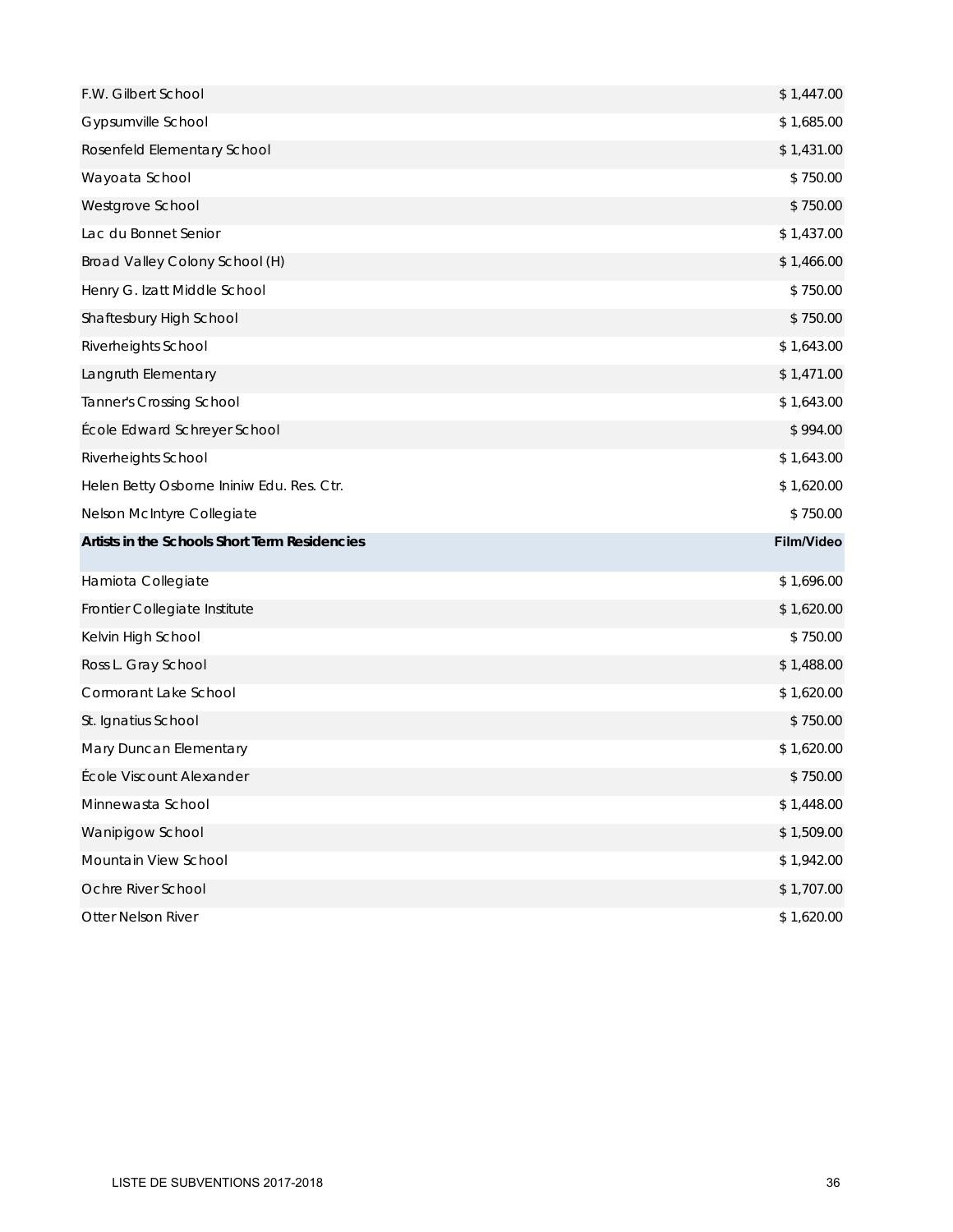| F.W. Gilbert School                           | \$1,447.00 |
|-----------------------------------------------|------------|
| Gypsumville School                            | \$1,685.00 |
| Rosenfeld Elementary School                   | \$1,431.00 |
| Wayoata School                                | \$750.00   |
| Westgrove School                              | \$750.00   |
| Lac du Bonnet Senior                          | \$1,437.00 |
| Broad Valley Colony School (H)                | \$1,466.00 |
| Henry G. Izatt Middle School                  | \$750.00   |
| Shaftesbury High School                       | \$750.00   |
| Riverheights School                           | \$1,643.00 |
| Langruth Elementary                           | \$1,471.00 |
| <b>Tanner's Crossing School</b>               | \$1,643.00 |
| École Edward Schreyer School                  | \$994.00   |
| Riverheights School                           | \$1,643.00 |
| Helen Betty Osborne Ininiw Edu. Res. Ctr.     | \$1,620.00 |
| Nelson McIntyre Collegiate                    | \$750.00   |
| Artists in the Schools Short Term Residencies | Film/Video |
| Hamiota Collegiate                            | \$1,696.00 |
| Frontier Collegiate Institute                 | \$1,620.00 |
| Kelvin High School                            | \$750.00   |
| Ross L. Gray School                           | \$1,488.00 |
| Cormorant Lake School                         | \$1,620.00 |
| St. Ignatius School                           | \$750.00   |
| Mary Duncan Elementary                        | \$1,620.00 |
| École Viscount Alexander                      | \$750.00   |
| Minnewasta School                             | \$1,448.00 |
| Wanipigow School                              | \$1,509.00 |
| Mountain View School                          | \$1,942.00 |
| Ochre River School                            | \$1,707.00 |
| Otter Nelson River                            | \$1,620.00 |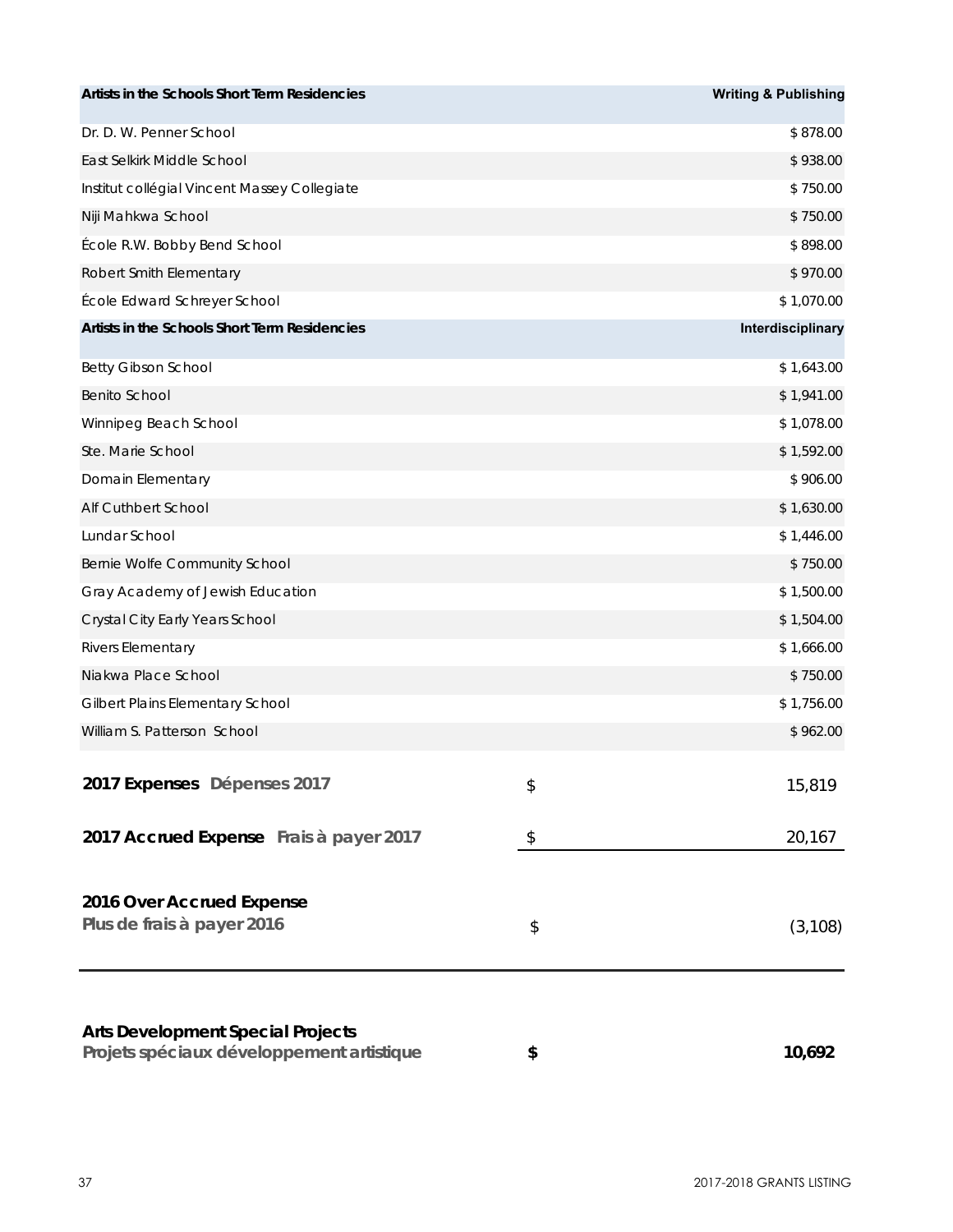| Artists in the Schools Short Term Residencies                                         |                | <b>Writing &amp; Publishing</b> |
|---------------------------------------------------------------------------------------|----------------|---------------------------------|
| Dr. D. W. Penner School                                                               |                | \$878.00                        |
| East Selkirk Middle School                                                            |                | \$938.00                        |
| Institut collégial Vincent Massey Collegiate                                          |                | \$750.00                        |
| Niji Mahkwa School                                                                    |                | \$750.00                        |
| École R.W. Bobby Bend School                                                          |                | \$898.00                        |
| Robert Smith Elementary                                                               |                | \$970.00                        |
| École Edward Schreyer School                                                          |                | \$1,070.00                      |
| Artists in the Schools Short Term Residencies                                         |                | Interdisciplinary               |
| <b>Betty Gibson School</b>                                                            |                | \$1,643.00                      |
| <b>Benito School</b>                                                                  |                | \$1,941.00                      |
| Winnipeg Beach School                                                                 |                | \$1,078.00                      |
| Ste. Marie School                                                                     |                | \$1,592.00                      |
| Domain Elementary                                                                     |                | \$906.00                        |
| Alf Cuthbert School                                                                   |                | \$1,630.00                      |
| Lundar School                                                                         |                | \$1,446.00                      |
| Bernie Wolfe Community School                                                         |                | \$750.00                        |
| Gray Academy of Jewish Education                                                      |                | \$1,500.00                      |
| Crystal City Early Years School                                                       |                | \$1,504.00                      |
| Rivers Elementary                                                                     |                | \$1,666.00                      |
| Niakwa Place School                                                                   |                | \$750.00                        |
| Gilbert Plains Elementary School                                                      |                | \$1,756.00                      |
| William S. Patterson School                                                           |                | \$962.00                        |
| 2017 Expenses Dépenses 2017                                                           | \$             | 15,819                          |
| 2017 Accrued Expense Frais à payer 2017                                               | $\updownarrow$ | 20,167                          |
| 2016 Over Accrued Expense<br>Plus de frais à payer 2016                               | \$             | (3, 108)                        |
| <b>Arts Development Special Projects</b><br>Projets spéciaux développement artistique | \$             | 10,692                          |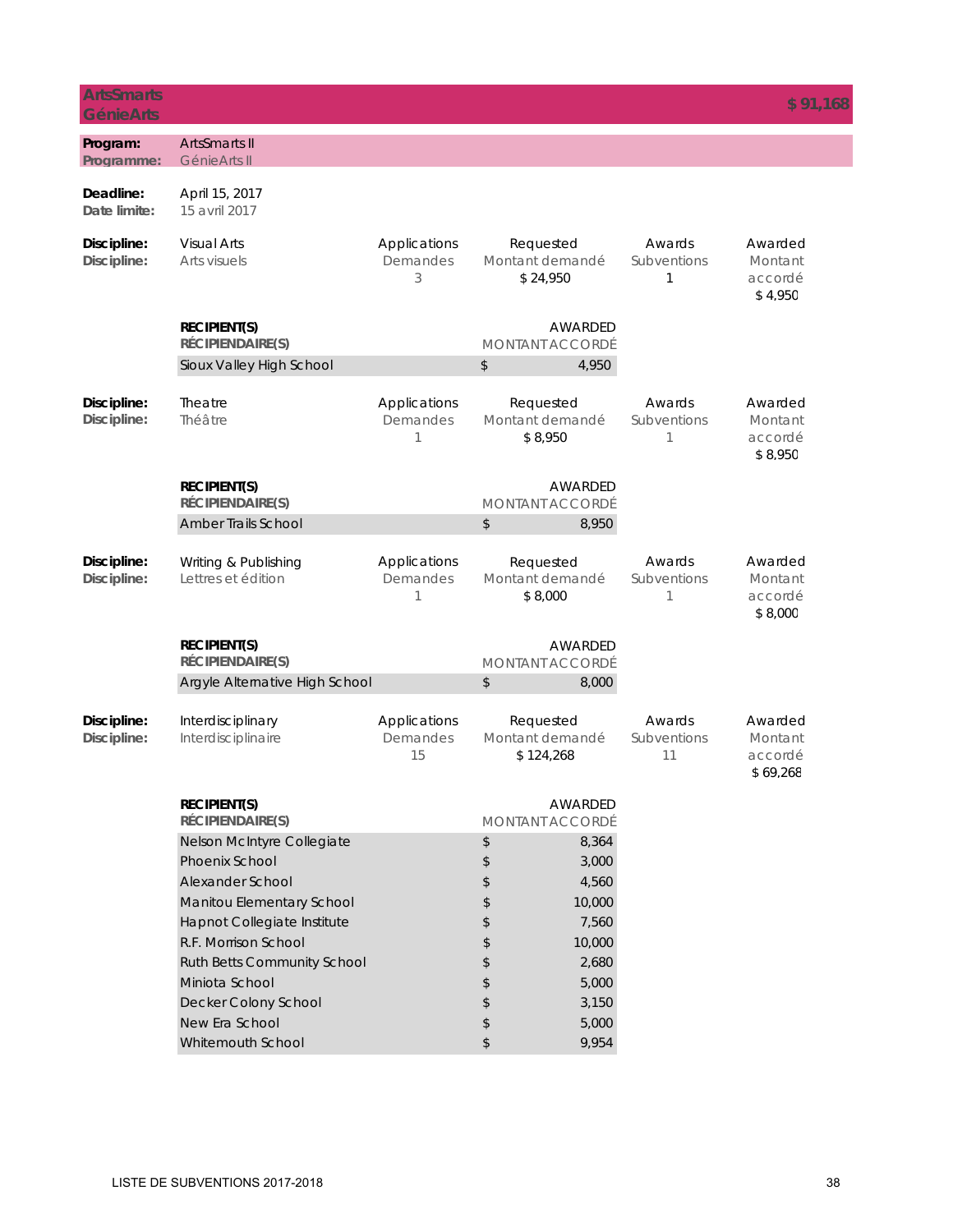| <b>ArtsSmarts</b><br><b>GénieArts</b> |                                                                                                                                                                                                                                                                             |                                |                                                                                                                                                                     |                             | \$91,168                                  |
|---------------------------------------|-----------------------------------------------------------------------------------------------------------------------------------------------------------------------------------------------------------------------------------------------------------------------------|--------------------------------|---------------------------------------------------------------------------------------------------------------------------------------------------------------------|-----------------------------|-------------------------------------------|
| Program:<br>Programme:                | <b>ArtsSmarts II</b><br>GénieArts II                                                                                                                                                                                                                                        |                                |                                                                                                                                                                     |                             |                                           |
| Deadline:<br>Date limite:             | April 15, 2017<br>15 avril 2017                                                                                                                                                                                                                                             |                                |                                                                                                                                                                     |                             |                                           |
| Discipline:<br>Discipline:            | <b>Visual Arts</b><br>Arts visuels                                                                                                                                                                                                                                          | Applications<br>Demandes<br>3  | Requested<br>Montant demandé<br>\$24,950                                                                                                                            | Awards<br>Subventions<br>1  | Awarded<br>Montant<br>accordé<br>\$4,950  |
|                                       | <b>RECIPIENT(S)</b><br>RÉCIPIENDAIRE(S)                                                                                                                                                                                                                                     |                                | AWARDED<br><b>MONTANT ACCORDÉ</b>                                                                                                                                   |                             |                                           |
|                                       | Sioux Valley High School                                                                                                                                                                                                                                                    |                                | \$<br>4,950                                                                                                                                                         |                             |                                           |
| Discipline:<br>Discipline:            | Theatre<br>Théâtre                                                                                                                                                                                                                                                          | Applications<br>Demandes<br>1  | Requested<br>Montant demandé<br>\$8,950                                                                                                                             | Awards<br>Subventions<br>1  | Awarded<br>Montant<br>accordé<br>\$8,950  |
|                                       | <b>RECIPIENT(S)</b><br>RÉCIPIENDAIRE(S)                                                                                                                                                                                                                                     |                                | AWARDED<br><b>MONTANT ACCORDÉ</b>                                                                                                                                   |                             |                                           |
|                                       | Amber Trails School                                                                                                                                                                                                                                                         |                                | \$<br>8,950                                                                                                                                                         |                             |                                           |
| Discipline:<br>Discipline:            | Writing & Publishing<br>Lettres et édition                                                                                                                                                                                                                                  | Applications<br>Demandes<br>1  | Requested<br>Montant demandé<br>\$8,000                                                                                                                             | Awards<br>Subventions<br>1  | Awarded<br>Montant<br>accordé<br>\$8,000  |
|                                       | <b>RECIPIENT(S)</b><br>RÉCIPIENDAIRE(S)                                                                                                                                                                                                                                     |                                | AWARDED<br><b>MONTANT ACCORDÉ</b>                                                                                                                                   |                             |                                           |
|                                       | Argyle Alternative High School                                                                                                                                                                                                                                              |                                | \$<br>8,000                                                                                                                                                         |                             |                                           |
| Discipline:<br>Discipline:            | Interdisciplinary<br>Interdisciplinaire                                                                                                                                                                                                                                     | Applications<br>Demandes<br>15 | Requested<br>Montant demandé<br>\$124,268                                                                                                                           | Awards<br>Subventions<br>11 | Awarded<br>Montant<br>accordé<br>\$69,268 |
|                                       | <b>RECIPIENT(S)</b><br>RÉCIPIENDAIRE(S)                                                                                                                                                                                                                                     |                                | AWARDED<br><b>MONTANT ACCORDÉ</b>                                                                                                                                   |                             |                                           |
|                                       | Nelson McIntyre Collegiate<br>Phoenix School<br>Alexander School<br>Manitou Elementary School<br>Hapnot Collegiate Institute<br>R.F. Morrison School<br><b>Ruth Betts Community School</b><br>Miniota School<br>Decker Colony School<br>New Era School<br>Whitemouth School |                                | \$<br>8,364<br>\$<br>3,000<br>\$<br>4,560<br>\$<br>10,000<br>7,560<br>\$<br>10,000<br>\$<br>\$<br>2,680<br>\$<br>5,000<br>\$<br>3,150<br>\$<br>5,000<br>\$<br>9,954 |                             |                                           |
|                                       |                                                                                                                                                                                                                                                                             |                                |                                                                                                                                                                     |                             |                                           |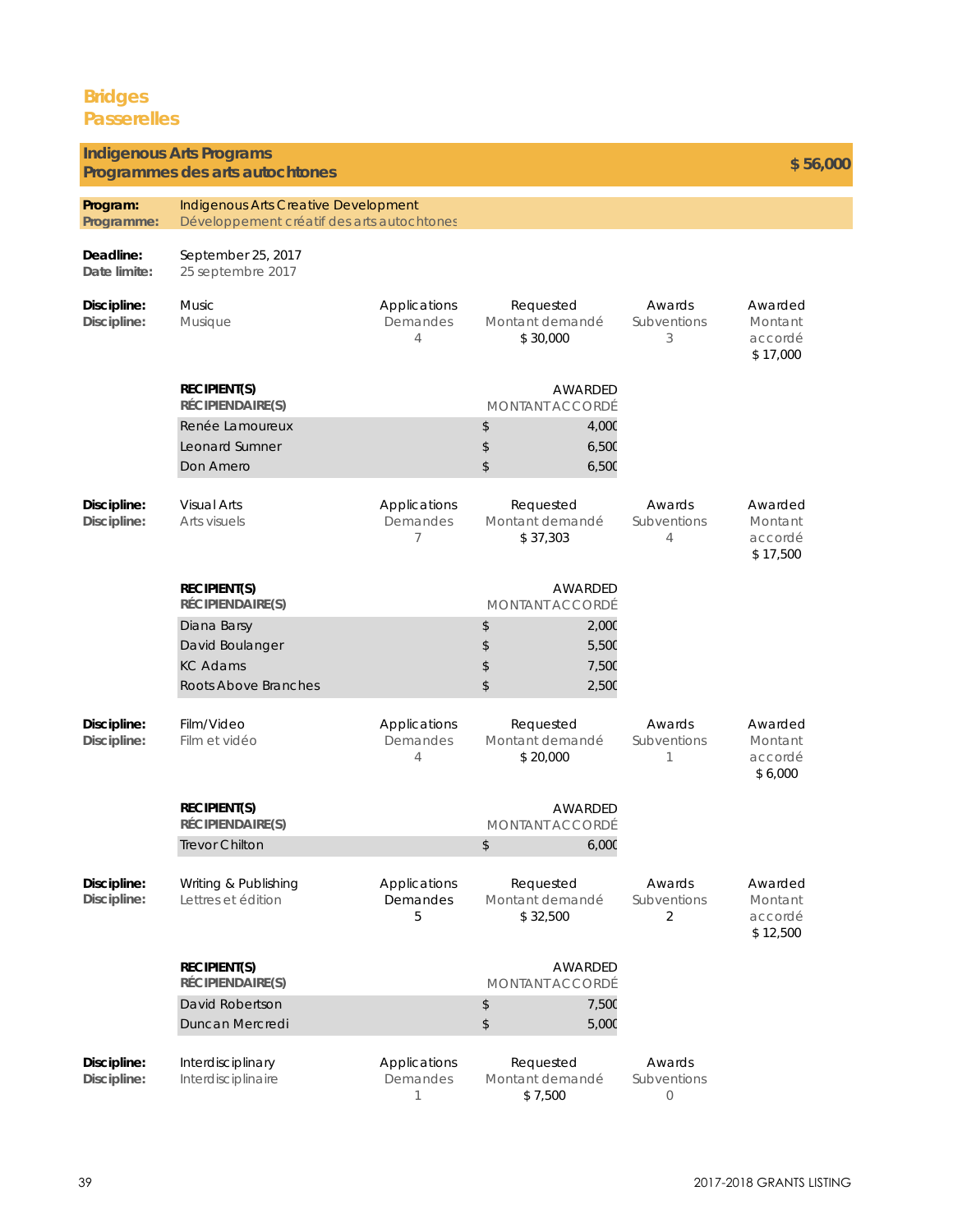### **Bridges Passerelles**

#### **Program: Programme: Deadline: Date limite: Discipline: Discipline:**  Applications Demandes 4 Awards **Subventions** 3 Awarded Montant accordé \$ 17,000 **Discipline: Discipline:**  Applications Demandes 7 Awards Subventions 4 Awarded Montant accordé \$ 17,500 **Discipline: Discipline:**  Applications Demandes 4 Awards Subventions 1 Awarded Montant accordé \$ 6,000 **Discipline: Discipline:**  Applications Demandes 5 Awards Subventions 2 Awarded Montant accordé \$ 12,500 Music Musique Requested Montant demandé \$ 30,000 Visual Arts Arts visuels **Indigenous Arts Programs Programmes des arts autochtones \$ 56,000** Indigenous Arts Creative Development Développement créatif des arts autochtones Renée Lamoureux  $\sim$  4,000 Requested Montant demandé \$ 37,303 **RECIPIENT(S) RÉCIPIENDAIRE(S)** AWARDED MONTANT ACCORDÉ Leonard Sumner Don Amero \$ 6,500  $$ 6,500$ September 25, 2017 25 septembre 2017 Film/Video Film et vidéo Requested Montant demandé \$ 20,000 **RECIPIENT(S) RÉCIPIENDAIRE(S)** AWARDED MONTANT ACCORDÉ \$ 7,500 Diana Barsy **3** 2,000 David Boulanger \$ 5,500 Roots Above Branches  $\sim$  2,500 KC Adams **RECIPIENT(S) RÉCIPIENDAIRE(S)** AWARDED MONTANT ACCORDÉ Trevor Chilton 6,000 Writing & Publishing Lettres et édition Requested Montant demandé \$ 32,500 **RECIPIENT(S) RÉCIPIENDAIRE(S)** AWARDED MONTANT ACCORDÉ David Robertson **\$** 7,500 Duncan Mercredi 5,000

**Discipline: Discipline:**  Applications Demandes 1 Awards Subventions  $\bigcap$ Interdisciplinary Interdisciplinaire Requested Montant demandé \$ 7,500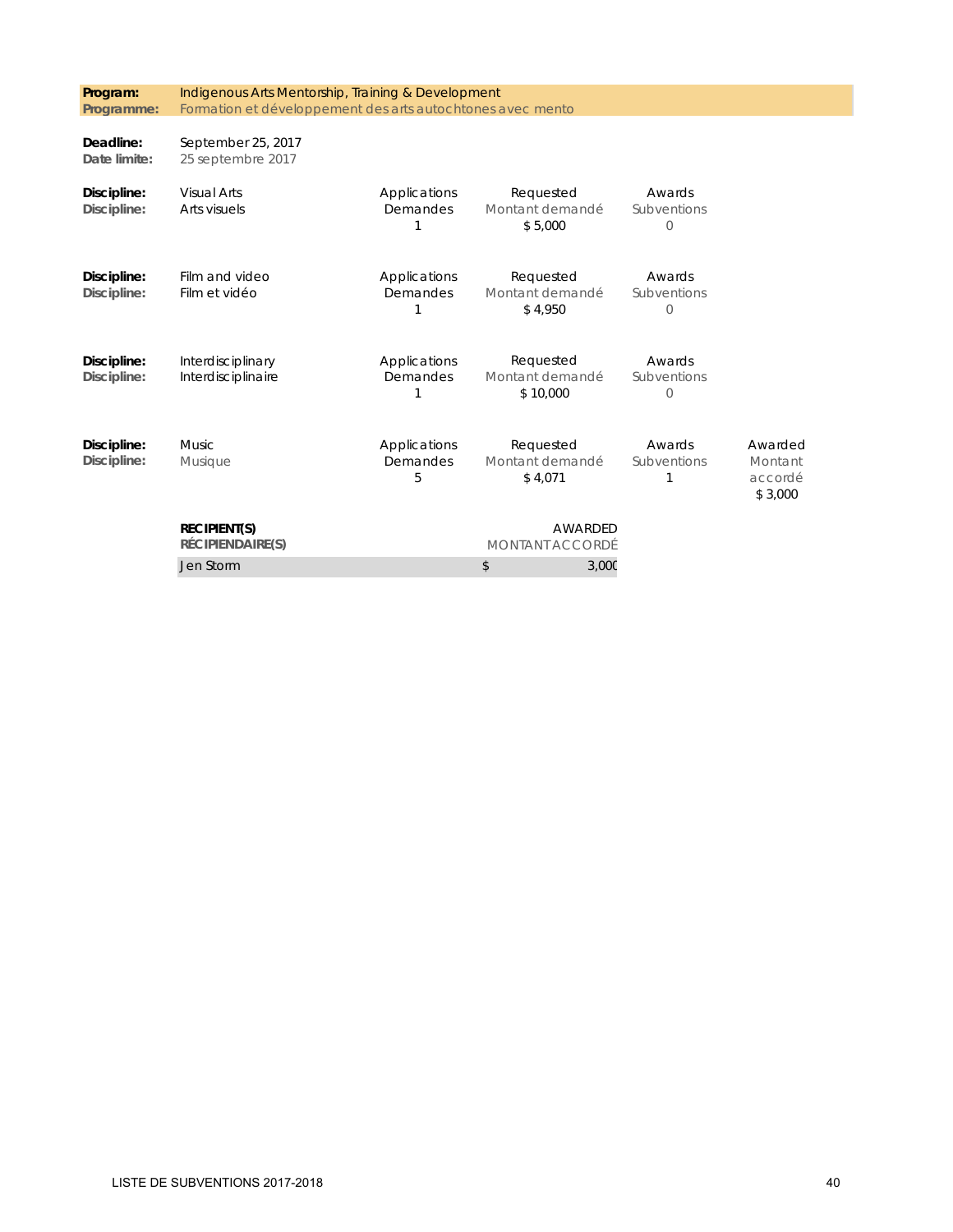| Program:<br>Programme:     | Indigenous Arts Mentorship, Training & Development<br>Formation et développement des arts autochtones avec mento |                               |                                          |                                    |                                          |
|----------------------------|------------------------------------------------------------------------------------------------------------------|-------------------------------|------------------------------------------|------------------------------------|------------------------------------------|
| Deadline:<br>Date limite:  | September 25, 2017<br>25 septembre 2017                                                                          |                               |                                          |                                    |                                          |
| Discipline:<br>Discipline: | <b>Visual Arts</b><br>Arts visuels                                                                               | Applications<br>Demandes      | Requested<br>Montant demandé<br>\$5,000  | Awards<br>Subventions<br>$\bigcap$ |                                          |
| Discipline:<br>Discipline: | Film and video<br>Film et vidéo                                                                                  | Applications<br>Demandes      | Requested<br>Montant demandé<br>\$4,950  | Awards<br>Subventions<br>$\Omega$  |                                          |
| Discipline:<br>Discipline: | Interdisciplinary<br>Interdisciplinaire                                                                          | Applications<br>Demandes      | Requested<br>Montant demandé<br>\$10,000 | Awards<br>Subventions<br>$\Omega$  |                                          |
| Discipline:<br>Discipline: | <b>Music</b><br>Musique                                                                                          | Applications<br>Demandes<br>5 | Requested<br>Montant demandé<br>\$4,071  | Awards<br>Subventions              | Awarded<br>Montant<br>accordé<br>\$3,000 |
|                            | <b>RECIPIENT(S)</b><br>RÉCIPIENDAIRE(S)                                                                          |                               | AWARDED<br>MONTANT ACCORDÉ               |                                    |                                          |
|                            | Jen Storm                                                                                                        |                               | \$<br>3,000                              |                                    |                                          |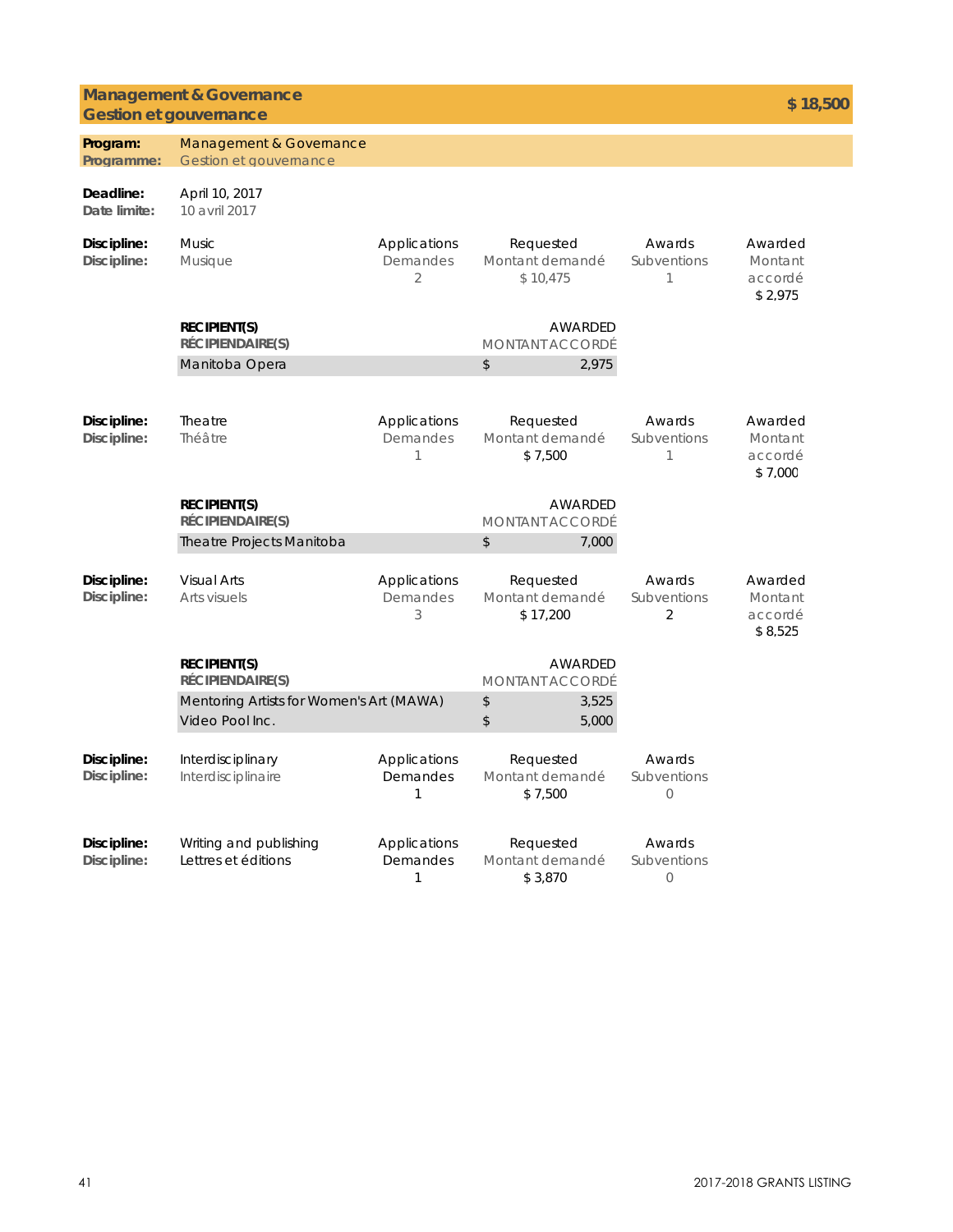### **Management & Governance Gestion et gouvernance \$ 18,500**

| Program:                   | Management & Governance                                     |                                            |                                          |                                         |                                          |
|----------------------------|-------------------------------------------------------------|--------------------------------------------|------------------------------------------|-----------------------------------------|------------------------------------------|
| Programme:                 | Gestion et gouvernance                                      |                                            |                                          |                                         |                                          |
| Deadline:<br>Date limite:  | April 10, 2017<br>10 avril 2017                             |                                            |                                          |                                         |                                          |
| Discipline:<br>Discipline: | <b>Music</b><br>Musique                                     | Applications<br>Demandes<br>$\overline{2}$ | Requested<br>Montant demandé<br>\$10.475 | Awards<br>Subventions<br>1              | Awarded<br>Montant<br>accordé<br>\$2.975 |
|                            | <b>RECIPIENT(S)</b><br><b>RÉCIPIENDAIRE(S)</b>              |                                            | AWARDED<br><b>MONTANT ACCORDÉ</b>        |                                         |                                          |
|                            | Manitoba Opera                                              |                                            | \$                                       | 2,975                                   |                                          |
| Discipline:<br>Discipline: | Theatre<br>Théâtre                                          | Applications<br>Demandes<br>1              | Requested<br>Montant demandé<br>\$7,500  | Awards<br>Subventions<br>1              | Awarded<br>Montant<br>accordé<br>\$7.000 |
|                            | <b>RECIPIENT(S)</b><br>RÉCIPIENDAIRE(S)                     |                                            | AWARDED<br><b>MONTANT ACCORDÉ</b>        |                                         |                                          |
|                            | Theatre Projects Manitoba                                   |                                            | \$                                       | 7,000                                   |                                          |
| Discipline:<br>Discipline: | <b>Visual Arts</b><br>Arts visuels                          | Applications<br>Demandes<br>3              | Requested<br>Montant demandé<br>\$17,200 | Awards<br>Subventions<br>$\overline{2}$ | Awarded<br>Montant<br>accordé<br>\$8,525 |
|                            | <b>RECIPIENT(S)</b><br>RÉCIPIENDAIRE(S)                     |                                            | AWARDED<br><b>MONTANT ACCORDÉ</b>        |                                         |                                          |
|                            | Mentoring Artists for Women's Art (MAWA)<br>Video Pool Inc. |                                            | \$<br>\$                                 | 3,525<br>5,000                          |                                          |
| Discipline:<br>Discipline: | Interdisciplinary<br>Interdisciplinaire                     | Applications<br>Demandes<br>1              | Requested<br>Montant demandé<br>\$7,500  | Awards<br>Subventions<br>0              |                                          |
| Discipline:<br>Discipline: | Writing and publishing<br>Lettres et éditions               | Applications<br>Demandes<br>1              | Requested<br>Montant demandé<br>\$3,870  | Awards<br>Subventions<br>$\circ$        |                                          |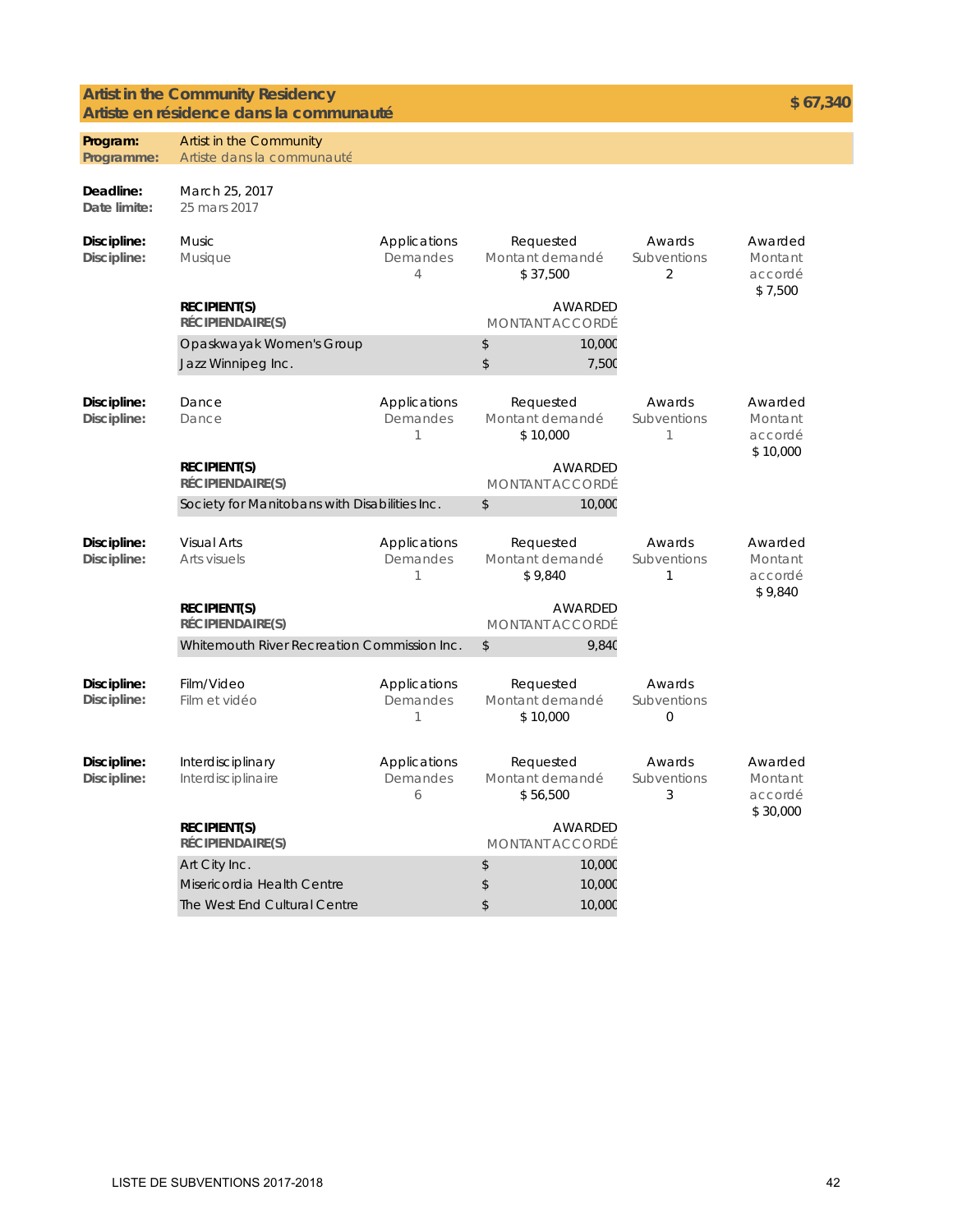### **Artist in the Community Residency** Artist in the Community Residency<br> **Artiste en résidence dans la communauté aux les productions de la communauté** de la production de la communauté

| Program:<br>Programme:     | Artist in the Community<br>Artiste dans la communauté                        |                                            |                                          |                 |                                         |                                           |
|----------------------------|------------------------------------------------------------------------------|--------------------------------------------|------------------------------------------|-----------------|-----------------------------------------|-------------------------------------------|
|                            |                                                                              |                                            |                                          |                 |                                         |                                           |
| Deadline:<br>Date limite:  | March 25, 2017<br>25 mars 2017                                               |                                            |                                          |                 |                                         |                                           |
| Discipline:<br>Discipline: | <b>Music</b><br><b>Musique</b>                                               | Applications<br>Demandes<br>$\overline{4}$ | Requested<br>Montant demandé<br>\$37,500 |                 | Awards<br>Subventions<br>2              | Awarded<br>Montant<br>accordé<br>\$7,500  |
|                            | <b>RECIPIENT(S)</b><br>RÉCIPIENDAIRE(S)                                      |                                            | <b>MONTANT ACCORDÉ</b>                   | AWARDED         |                                         |                                           |
|                            | Opaskwayak Women's Group<br>Jazz Winnipeg Inc.                               |                                            | \$<br>\$                                 | 10,000<br>7,50C |                                         |                                           |
| Discipline:<br>Discipline: | Dance<br>Dance                                                               | Applications<br>Demandes<br>1              | Requested<br>Montant demandé<br>\$10,000 |                 | Awards<br>Subventions<br>1              | Awarded<br>Montant<br>accordé<br>\$10,000 |
|                            | AWARDED<br><b>RECIPIENT(S)</b><br>RÉCIPIENDAIRE(S)<br><b>MONTANT ACCORDÉ</b> |                                            |                                          |                 |                                         |                                           |
|                            | Society for Manitobans with Disabilities Inc.                                |                                            | \$                                       | 10,000          |                                         |                                           |
| Discipline:<br>Discipline: | <b>Visual Arts</b><br>Arts visuels                                           | Applications<br>Demandes<br>1              | Requested<br>Montant demandé<br>\$9,840  |                 | Awards<br>Subventions<br>1              | Awarded<br>Montant<br>accordé             |
|                            | <b>RECIPIENT(S)</b><br>RÉCIPIENDAIRE(S)<br><b>MONTANT ACCORDÉ</b>            |                                            | <b>AWARDED</b>                           |                 | \$9,840                                 |                                           |
|                            | Whitemouth River Recreation Commission Inc.                                  |                                            | \$                                       | <b>9,840</b>    |                                         |                                           |
| Discipline:<br>Discipline: | Film/Video<br>Film et vidéo                                                  | Applications<br>Demandes<br>1              | Requested<br>Montant demandé<br>\$10,000 |                 | Awards<br>Subventions<br>$\overline{0}$ |                                           |
| Discipline:<br>Discipline: | Interdisciplinary<br>Interdisciplinaire                                      | Applications<br>Demandes<br>6              | Requested<br>Montant demandé<br>\$56,500 |                 | Awards<br>Subventions<br>3              | Awarded<br>Montant<br>accordé             |
|                            | <b>RECIPIENT(S)</b><br>RÉCIPIENDAIRE(S)                                      |                                            | <b>MONTANT ACCORDÉ</b>                   | AWARDED         |                                         | \$30,000                                  |
|                            | Art City Inc.                                                                |                                            | \$                                       | 10,000          |                                         |                                           |
|                            | Misericordia Health Centre                                                   |                                            | \$                                       | 10,000          |                                         |                                           |
|                            | The West End Cultural Centre                                                 |                                            | \$                                       | 10,000          |                                         |                                           |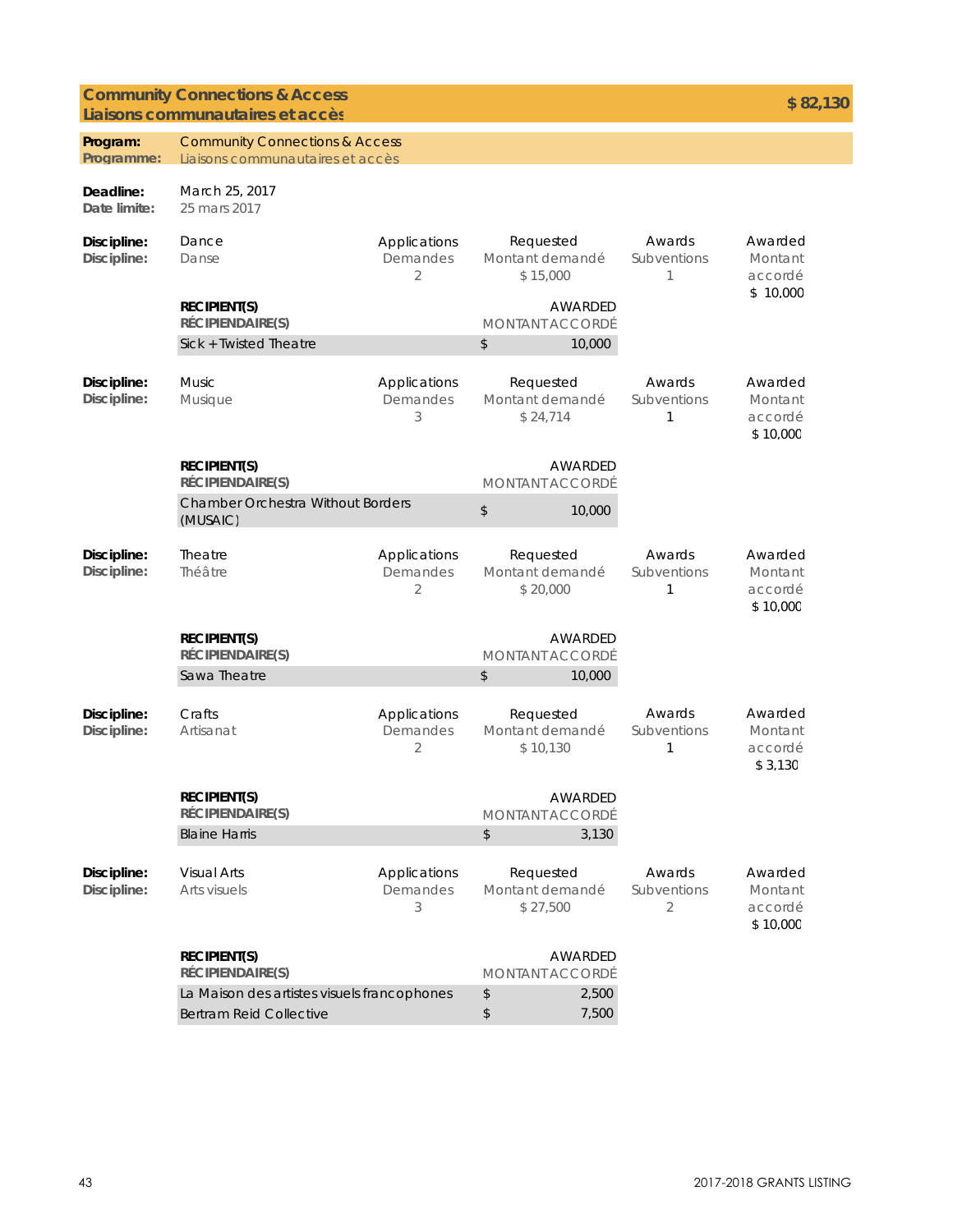### **Community Connections & Access Liaisons communautaires et accès**

| Program:<br>Programme:     | <b>Community Connections &amp; Access</b><br>Liaisons communautaires et accès |                                            |                                          |                                   |                            |                                           |
|----------------------------|-------------------------------------------------------------------------------|--------------------------------------------|------------------------------------------|-----------------------------------|----------------------------|-------------------------------------------|
| Deadline:<br>Date limite:  | March 25, 2017<br>25 mars 2017                                                |                                            |                                          |                                   |                            |                                           |
| Discipline:<br>Discipline: | Dance<br>Danse                                                                | Applications<br>Demandes<br>2              | Requested<br>Montant demandé<br>\$15,000 |                                   | Awards<br>Subventions<br>1 | Awarded<br>Montant<br>accordé<br>\$10,000 |
|                            | <b>RECIPIENT(S)</b><br>RÉCIPIENDAIRE(S)                                       |                                            |                                          | AWARDED<br><b>MONTANT ACCORDÉ</b> |                            |                                           |
|                            | Sick + Twisted Theatre                                                        |                                            | \$                                       | 10,000                            |                            |                                           |
| Discipline:<br>Discipline: | <b>Music</b><br>Musique                                                       | Applications<br>Demandes<br>3              | Requested<br>Montant demandé<br>\$24,714 |                                   | Awards<br>Subventions<br>1 | Awarded<br>Montant<br>accordé<br>\$10.000 |
|                            | <b>RECIPIENT(S)</b><br><b>RÉCIPIENDAIRE(S)</b>                                |                                            | <b>AWARDED</b><br><b>MONTANT ACCORDÉ</b> |                                   |                            |                                           |
|                            | <b>Chamber Orchestra Without Borders</b><br>(MUSAIC)                          |                                            | $$\mathbb{S}$$                           | 10,000                            |                            |                                           |
| Discipline:<br>Discipline: | <b>Theatre</b><br>Théâtre                                                     | Applications<br>Demandes<br>2              | Requested<br>Montant demandé<br>\$20,000 |                                   | Awards<br>Subventions<br>1 | Awarded<br>Montant<br>accordé<br>\$10.000 |
|                            | <b>RECIPIENT(S)</b><br>RÉCIPIENDAIRE(S)                                       |                                            |                                          | AWARDED<br><b>MONTANT ACCORDÉ</b> |                            |                                           |
|                            | Sawa Theatre                                                                  |                                            | \$                                       | 10,000                            |                            |                                           |
| Discipline:<br>Discipline: | Crafts<br>Artisanat                                                           | Applications<br>Demandes<br>$\overline{2}$ | Requested<br>Montant demandé<br>\$10,130 |                                   | Awards<br>Subventions<br>1 | Awarded<br>Montant<br>accordé<br>\$3,130  |
|                            | <b>RECIPIENT(S)</b><br>RÉCIPIENDAIRE(S)                                       |                                            |                                          | AWARDED<br>MONTANT ACCORDÉ        |                            |                                           |
|                            | <b>Blaine Harris</b>                                                          |                                            | \$                                       | 3,130                             |                            |                                           |
| Discipline:<br>Discipline: | <b>Visual Arts</b><br>Arts visuels                                            | Applications<br>Demandes<br>3              | Requested<br>Montant demandé<br>\$27,500 |                                   | Awards<br>Subventions<br>2 | Awarded<br>Montant<br>accordé<br>\$10.000 |
|                            | <b>RECIPIENT(S)</b><br><b>RÉCIPIENDAIRE(S)</b>                                |                                            |                                          | AWARDED<br><b>MONTANT ACCORDÉ</b> |                            |                                           |
|                            | La Maison des artistes visuels francophones                                   |                                            | \$                                       | 2,500                             |                            |                                           |
|                            | <b>Bertram Reid Collective</b>                                                |                                            | \$                                       | 7,500                             |                            |                                           |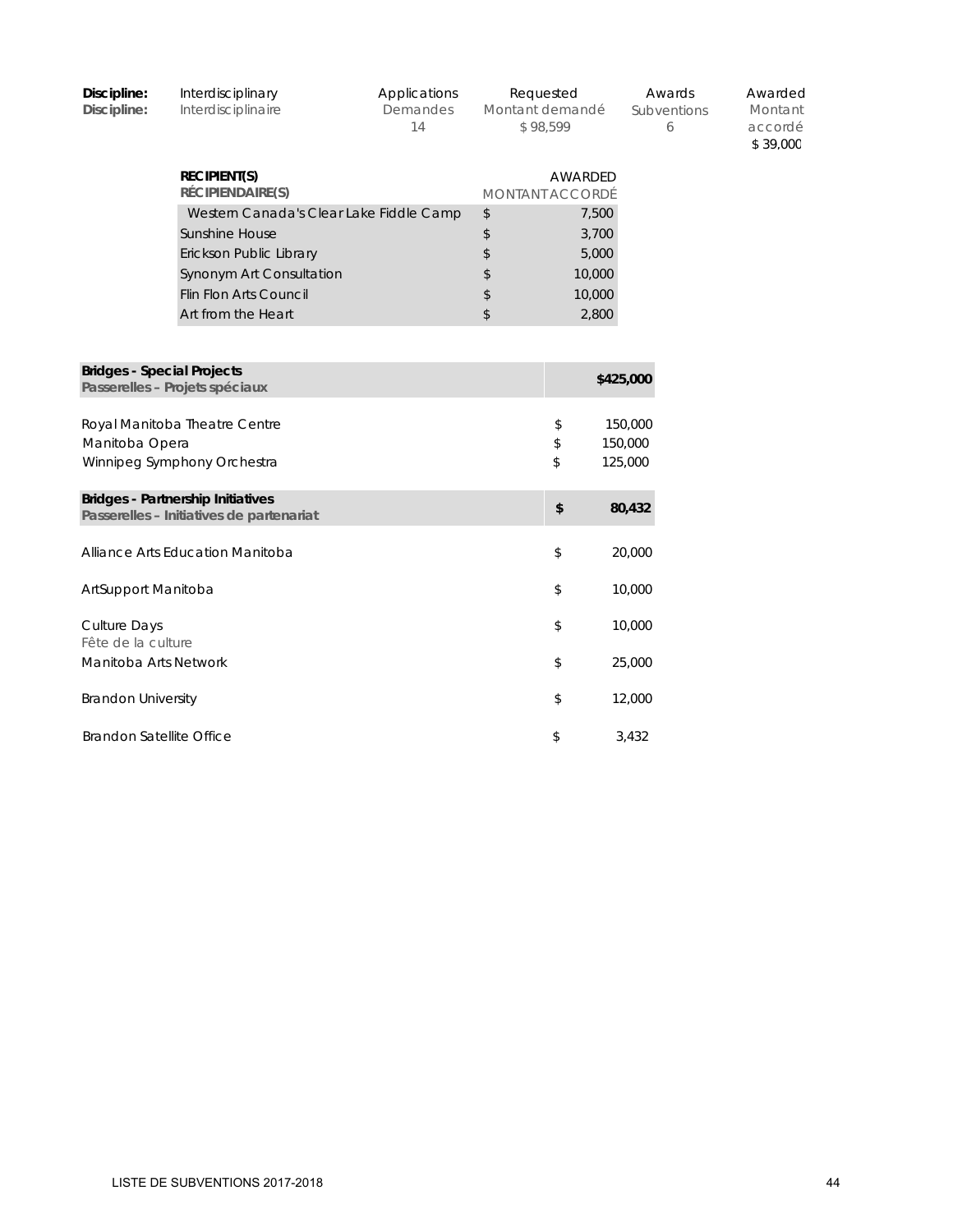| Discipline:<br>Discipline:                | Interdisciplinary<br>Interdisciplinaire                                              | Applications<br>Demandes<br>14 | Requested<br>Montant demandé<br>\$98,599 |           | Awards<br>Subventions<br>6 | Awarded<br>Montant<br>accordé<br>\$39.000 |
|-------------------------------------------|--------------------------------------------------------------------------------------|--------------------------------|------------------------------------------|-----------|----------------------------|-------------------------------------------|
|                                           | <b>RECIPIENT(S)</b><br>RÉCIPIENDAIRE(S)                                              |                                | AWARDED<br><b>MONTANT ACCORDÉ</b>        |           |                            |                                           |
|                                           | Western Canada's Clear Lake Fiddle Camp                                              |                                | \$                                       | 7,500     |                            |                                           |
|                                           | Sunshine House                                                                       |                                | \$                                       | 3,700     |                            |                                           |
|                                           | Erickson Public Library                                                              |                                | \$                                       | 5,000     |                            |                                           |
|                                           | Synonym Art Consultation                                                             |                                | \$                                       | 10,000    |                            |                                           |
|                                           | <b>Flin Flon Arts Council</b>                                                        |                                | \$                                       | 10,000    |                            |                                           |
|                                           | Art from the Heart                                                                   |                                | \$                                       | 2,800     |                            |                                           |
|                                           |                                                                                      |                                |                                          |           |                            |                                           |
| <b>Bridges - Special Projects</b>         | Passerelles - Projets spéciaux                                                       |                                |                                          | \$425,000 |                            |                                           |
|                                           | Royal Manitoba Theatre Centre                                                        |                                | \$                                       | 150,000   |                            |                                           |
| Manitoba Opera                            |                                                                                      |                                | \$                                       | 150,000   |                            |                                           |
|                                           | Winnipeg Symphony Orchestra                                                          |                                | \$                                       | 125,000   |                            |                                           |
|                                           | <b>Bridges - Partnership Initiatives</b><br>Passerelles - Initiatives de partenariat |                                | \$                                       | 80,432    |                            |                                           |
|                                           | Alliance Arts Education Manitoba                                                     |                                | \$                                       | 20,000    |                            |                                           |
| ArtSupport Manitoba                       |                                                                                      |                                | \$                                       | 10,000    |                            |                                           |
| <b>Culture Days</b><br>Fête de la culture |                                                                                      |                                | \$                                       | 10,000    |                            |                                           |
| Manitoba Arts Network                     |                                                                                      |                                | \$                                       | 25,000    |                            |                                           |
| <b>Brandon University</b>                 |                                                                                      |                                | \$                                       | 12,000    |                            |                                           |
| <b>Brandon Satellite Office</b>           |                                                                                      |                                | \$                                       | 3,432     |                            |                                           |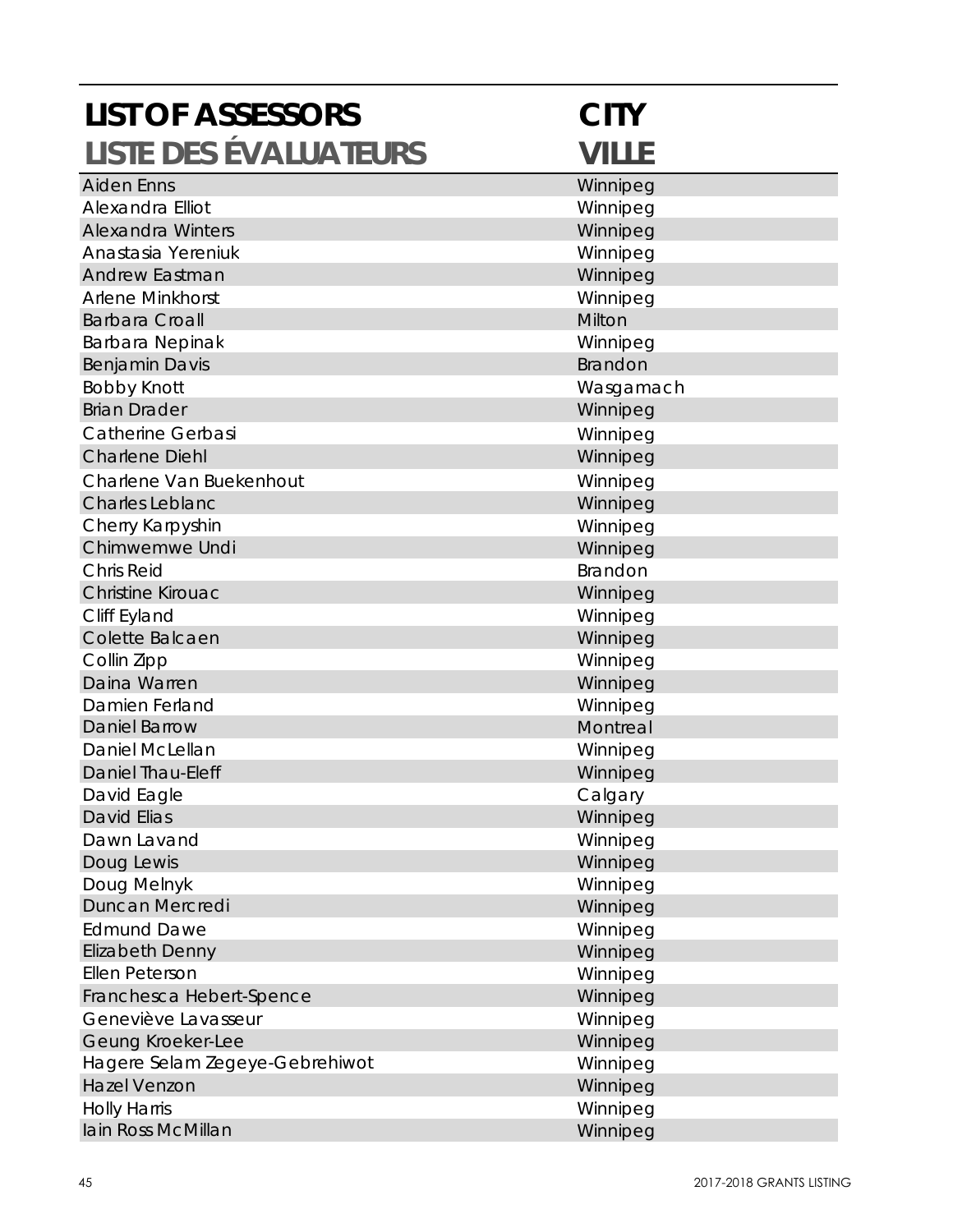| <b>LIST OF ASSESSORS</b>       | <b>CITY</b>  |
|--------------------------------|--------------|
| <b>LISTE DES ÉVALUATEURS</b>   | <b>VILLE</b> |
| <b>Aiden Enns</b>              | Winnipeg     |
| Alexandra Elliot               | Winnipeg     |
| <b>Alexandra Winters</b>       | Winnipeg     |
| Anastasia Yereniuk             | Winnipeg     |
| <b>Andrew Eastman</b>          | Winnipeg     |
| Arlene Minkhorst               | Winnipeg     |
| <b>Barbara Croall</b>          | Milton       |
| Barbara Nepinak                | Winnipeg     |
| <b>Benjamin Davis</b>          | Brandon      |
| <b>Bobby Knott</b>             | Wasgamach    |
| <b>Brian Drader</b>            | Winnipeg     |
| <b>Catherine Gerbasi</b>       | Winnipeg     |
| <b>Charlene Diehl</b>          | Winnipeg     |
| Charlene Van Buekenhout        | Winnipeg     |
| <b>Charles Leblanc</b>         | Winnipeg     |
| Cherry Karpyshin               | Winnipeg     |
| Chimwemwe Undi                 | Winnipeg     |
| <b>Chris Reid</b>              | Brandon      |
| <b>Christine Kirouac</b>       | Winnipeg     |
| Cliff Eyland                   | Winnipeg     |
| Colette Balcaen                | Winnipeg     |
| Collin Zipp                    | Winnipeg     |
| Daina Warren                   | Winnipeg     |
| Damien Ferland                 | Winnipeg     |
| <b>Daniel Barrow</b>           | Montreal     |
| Daniel McLellan                | Winnipeg     |
| <b>Daniel Thau-Eleff</b>       | Winnipeg     |
| David Eagle                    | Calgary      |
| <b>David Elias</b>             | Winnipeg     |
| Dawn Lavand                    | Winnipeg     |
| Doug Lewis                     | Winnipeg     |
| Doug Melnyk                    | Winnipeg     |
| Duncan Mercredi                | Winnipeg     |
| <b>Edmund Dawe</b>             | Winnipeg     |
| Elizabeth Denny                | Winnipeg     |
| Ellen Peterson                 | Winnipeg     |
| Franchesca Hebert-Spence       | Winnipeg     |
| Geneviève Lavasseur            | Winnipeg     |
| Geung Kroeker-Lee              | Winnipeg     |
| Hagere Selam Zegeye-Gebrehiwot | Winnipeg     |
| <b>Hazel Venzon</b>            | Winnipeg     |
| <b>Holly Harris</b>            | Winnipeg     |
| Iain Ross McMillan             | Winnipeg     |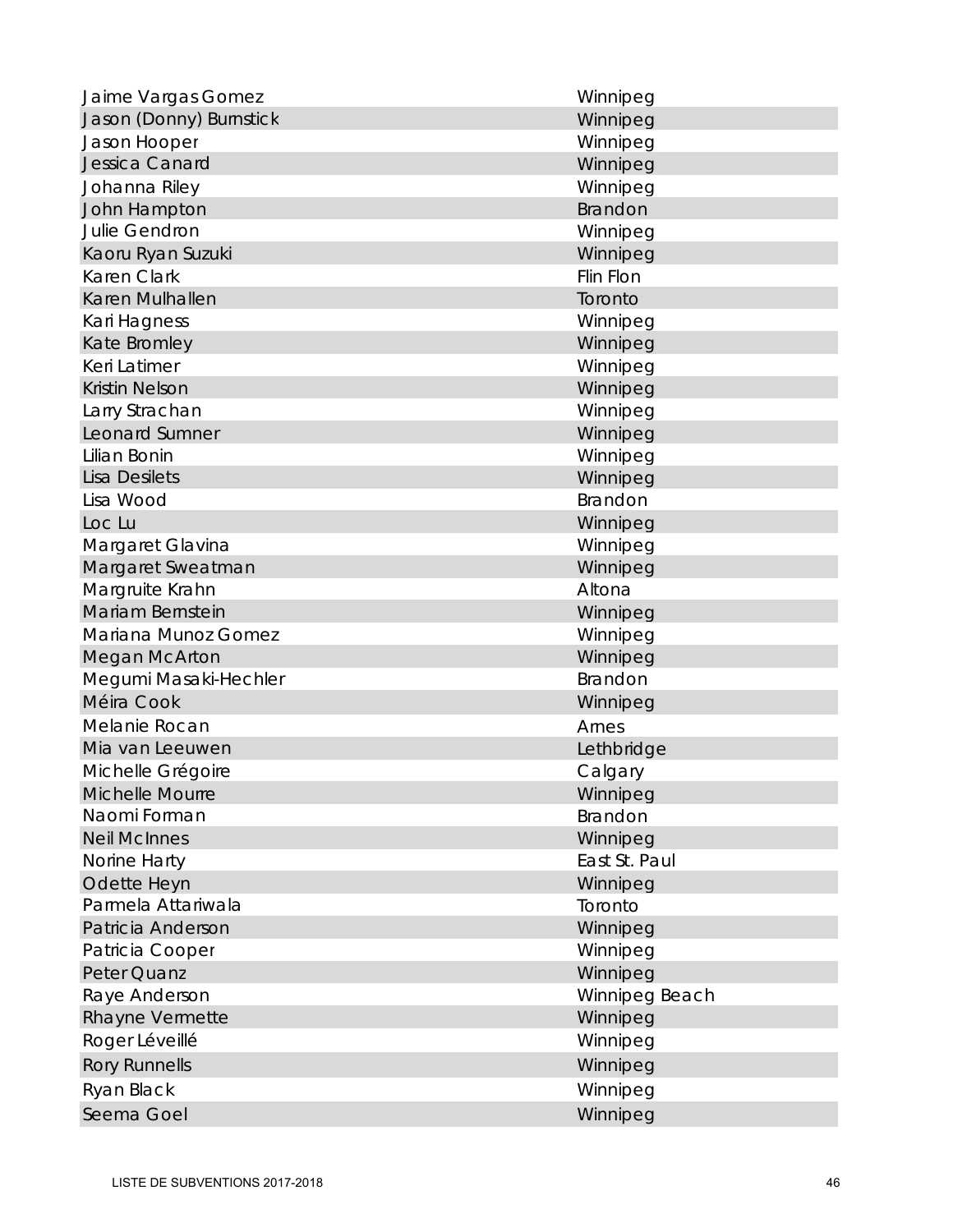| Jaime Vargas Gomez      | Winnipeg         |
|-------------------------|------------------|
| Jason (Donny) Burnstick | Winnipeg         |
| Jason Hooper            | Winnipeg         |
| Jessica Canard          | Winnipeg         |
| Johanna Riley           | Winnipeg         |
| John Hampton            | Brandon          |
| Julie Gendron           | Winnipeg         |
| Kaoru Ryan Suzuki       | Winnipeg         |
| Karen Clark             | <b>Flin Flon</b> |
| Karen Mulhallen         | Toronto          |
| Kari Hagness            | Winnipeg         |
| Kate Bromley            | Winnipeg         |
| Keri Latimer            | Winnipeg         |
| <b>Kristin Nelson</b>   | Winnipeg         |
| Larry Strachan          | Winnipeg         |
| Leonard Sumner          | Winnipeg         |
| Lilian Bonin            | Winnipeg         |
| <b>Lisa Desilets</b>    | Winnipeg         |
| Lisa Wood               | Brandon          |
| Loc Lu                  | Winnipeg         |
| Margaret Glavina        | Winnipeg         |
| Margaret Sweatman       | Winnipeg         |
| Margruite Krahn         | Altona           |
| Mariam Bernstein        | Winnipeg         |
| Mariana Munoz Gomez     | Winnipeg         |
| <b>Megan McArton</b>    | Winnipeg         |
| Megumi Masaki-Hechler   | Brandon          |
| Méira Cook              | Winnipeg         |
| Melanie Rocan           | Arnes            |
| Mia van Leeuwen         | Lethbridge       |
| Michelle Grégoire       | Calgary          |
| Michelle Mourre         | Winnipeg         |
| Naomi Forman            | Brandon          |
| <b>Neil McInnes</b>     | Winnipeg         |
| Norine Harty            | East St. Paul    |
| Odette Heyn             | Winnipeg         |
| Parmela Attariwala      | Toronto          |
| Patricia Anderson       | Winnipeg         |
| Patricia Cooper         | Winnipeg         |
| Peter Quanz             | Winnipeg         |
| Raye Anderson           | Winnipeg Beach   |
| Rhayne Vermette         | Winnipeg         |
| Roger Léveillé          | Winnipeg         |
| <b>Rory Runnells</b>    | Winnipeg         |
| Ryan Black              | Winnipeg         |
| Seema Goel              | Winnipeg         |